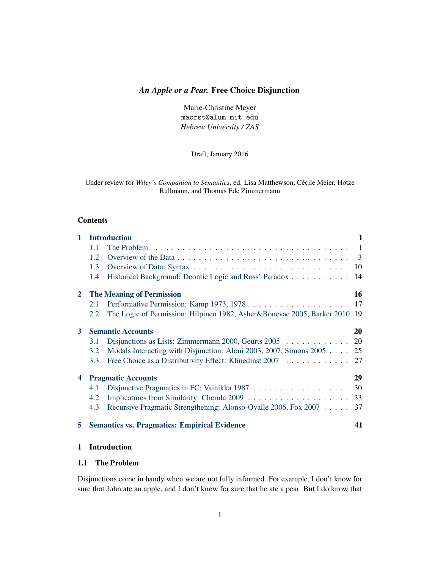# <span id="page-0-2"></span>*An Apple or a Pear.* Free Choice Disjunction

Marie-Christine Meyer macrst@alum.mit.edu *Hebrew University / ZAS*

Draft, January 2016

Under review for *Wiley's Companion to Semantics*, ed. Lisa Matthewson, Cécile Meier, Hotze Rullmann, and Thomas Ede Zimmermann

### Contents

| $\mathbf{1}$   | <b>Introduction</b> |                                                                            |    |
|----------------|---------------------|----------------------------------------------------------------------------|----|
|                | 1.1                 |                                                                            |    |
|                | $1.2^{\circ}$       |                                                                            |    |
|                | 1.3                 |                                                                            |    |
|                | 1.4                 | Historical Background: Deontic Logic and Ross' Paradox 14                  |    |
| $\mathbf{2}^-$ |                     | <b>The Meaning of Permission</b>                                           | 16 |
|                | 2.1                 |                                                                            |    |
|                | 2.2                 | The Logic of Permission: Hilpinen 1982, Asher&Bonevac 2005, Barker 2010 19 |    |
| 3 <sup>1</sup> |                     | <b>Semantic Accounts</b>                                                   | 20 |
|                | 3.1                 | Disjunctions as Lists: Zimmermann 2000, Geurts 2005 20                     |    |
|                | 3.2                 | Modals Interacting with Disjunction: Aloni 2003, 2007, Simons 2005 25      |    |
|                | 3.3                 | Free Choice as a Distributivity Effect: Klinedinst 2007 27                 |    |
| 4              |                     | <b>Pragmatic Accounts</b>                                                  | 29 |
|                | 4.1                 |                                                                            |    |
|                | 4.2                 |                                                                            |    |
|                | 4.3                 | Recursive Pragmatic Strengthening: Alonso-Ovalle 2006, Fox 2007 37         |    |
| 5              |                     | <b>Semantics vs. Pragmatics: Empirical Evidence</b>                        | 41 |
|                |                     |                                                                            |    |

# <span id="page-0-0"></span>1 Introduction

# <span id="page-0-1"></span>1.1 The Problem

Disjunctions come in handy when we are not fully informed. For example, I don't know for sure that John ate an apple, and I don't know for sure that he ate a pear. But I do know that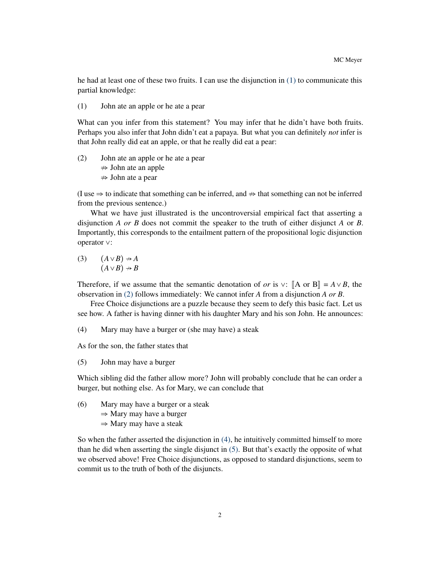he had at least one of these two fruits. I can use the disjunction in [\(1\)](#page-1-0) to communicate this partial knowledge:

<span id="page-1-0"></span>(1) John ate an apple or he ate a pear

What can you infer from this statement? You may infer that he didn't have both fruits. Perhaps you also infer that John didn't eat a papaya. But what you can definitely *not* infer is that John really did eat an apple, or that he really did eat a pear:

<span id="page-1-1"></span>(2) John ate an apple or he ate a pear

 $\Rightarrow$  John ate an apple

 $\Rightarrow$  John ate a pear

(I use  $\Rightarrow$  to indicate that something can be inferred, and  $\Rightarrow$  that something can not be inferred from the previous sentence.)

What we have just illustrated is the uncontroversial empirical fact that asserting a disjunction *A or B* does not commit the speaker to the truth of either disjunct *A* or *B*. Importantly, this corresponds to the entailment pattern of the propositional logic disjunction operator <sup>∨</sup>:

(3) 
$$
(A \lor B) \nrightarrow A
$$
  
\n $(A \lor B) \nrightarrow B$ 

Therefore, if we assume that the semantic denotation of *or* is  $\vee$ :  $\mathbb{A}$  or  $\mathbb{B}$  = *A*  $\vee$  *B*, the observation in [\(2\)](#page-1-1) follows immediately: We cannot infer *A* from a disjunction *A or B*.

Free Choice disjunctions are a puzzle because they seem to defy this basic fact. Let us see how. A father is having dinner with his daughter Mary and his son John. He announces:

<span id="page-1-2"></span>(4) Mary may have a burger or (she may have) a steak

<span id="page-1-3"></span>As for the son, the father states that

(5) John may have a burger

Which sibling did the father allow more? John will probably conclude that he can order a burger, but nothing else. As for Mary, we can conclude that

- (6) Mary may have a burger or a steak
	- $\Rightarrow$  Mary may have a burger
	- $\Rightarrow$  Mary may have a steak

So when the father asserted the disjunction in [\(4\),](#page-1-2) he intuitively committed himself to more than he did when asserting the single disjunct in [\(5\).](#page-1-3) But that's exactly the opposite of what we observed above! Free Choice disjunctions, as opposed to standard disjunctions, seem to commit us to the truth of both of the disjuncts.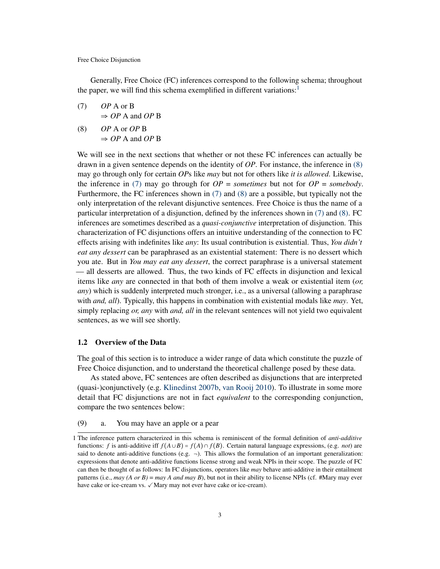Generally, Free Choice (FC) inferences correspond to the following schema; throughout the paper, we will find this schema exemplified in different variations:<sup>[1](#page-2-1)</sup>

<span id="page-2-3"></span>(7) 
$$
OP
$$
 A or B  
\n $\Rightarrow OP$  A and *OP* B

<span id="page-2-2"></span>(8) *OP* A or *OP* B  $\Rightarrow$  *OP* A and *OP* B

We will see in the next sections that whether or not these FC inferences can actually be drawn in a given sentence depends on the identity of *OP*. For instance, the inference in [\(8\)](#page-2-2) may go through only for certain *OP*s like *may* but not for others like *it is allowed*. Likewise, the inference in [\(7\)](#page-2-3) may go through for  $OP =$  *sometimes* but not for  $OP =$  *somebody*. Furthermore, the FC inferences shown in [\(7\)](#page-2-3) and [\(8\)](#page-2-2) are a possible, but typically not the only interpretation of the relevant disjunctive sentences. Free Choice is thus the name of a particular interpretation of a disjunction, defined by the inferences shown in [\(7\)](#page-2-3) and [\(8\).](#page-2-2) FC inferences are sometimes described as a *quasi-conjunctive* interpretation of disjunction. This characterization of FC disjunctions offers an intuitive understanding of the connection to FC effects arising with indefinites like *any*: Its usual contribution is existential. Thus, *You didn't eat any dessert* can be paraphrased as an existential statement: There is no dessert which you ate. But in *You may eat any dessert*, the correct paraphrase is a universal statement — all desserts are allowed. Thus, the two kinds of FC effects in disjunction and lexical items like *any* are connected in that both of them involve a weak or existential item (*or, any*) which is suddenly interpreted much stronger, i.e., as a universal (allowing a paraphrase with *and, all*). Typically, this happens in combination with existential modals like *may*. Yet, simply replacing *or, any* with *and, all* in the relevant sentences will not yield two equivalent sentences, as we will see shortly.

### <span id="page-2-0"></span>1.2 Overview of the Data

The goal of this section is to introduce a wider range of data which constitute the puzzle of Free Choice disjunction, and to understand the theoretical challenge posed by these data.

As stated above, FC sentences are often described as disjunctions that are interpreted (quasi-)conjunctively (e.g. [Klinedinst](#page-47-0) [2007b,](#page-47-0) [van Rooij](#page-48-0) [2010\)](#page-48-0). To illustrate in some more detail that FC disjunctions are not in fact *equivalent* to the corresponding conjunction, compare the two sentences below:

<span id="page-2-5"></span><span id="page-2-4"></span>(9) a. You may have an apple or a pear

<span id="page-2-1"></span><sup>1</sup> The inference pattern characterized in this schema is reminiscent of the formal definition of *anti-additive* functions: *f* is anti-additive iff  $f(A \cup B) = f(A) \cap f(B)$ . Certain natural language expressions, (e.g. *not*) are said to denote anti-additive functions (e.g.  $\neg$ ). This allows the formulation of an important generalization: expressions that denote anti-additive functions license strong and weak NPIs in their scope. The puzzle of FC can then be thought of as follows: In FC disjunctions, operators like *may* behave anti-additive in their entailment patterns (i.e., *may (A or B)* = *may A and may B*), but not in their ability to license NPIs (cf. #Mary may ever have cake or ice-cream vs. ✓ Mary may not ever have cake or ice-cream).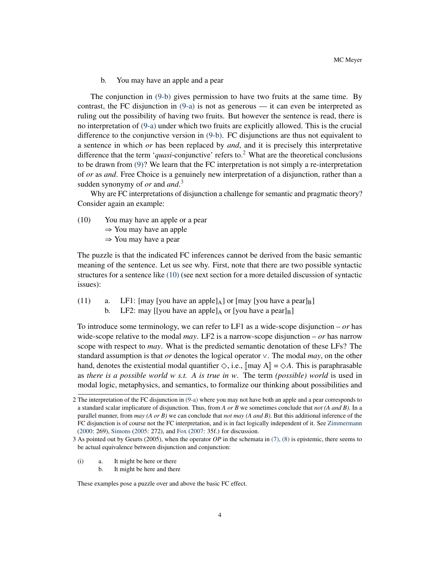b. You may have an apple and a pear

<span id="page-3-0"></span>The conjunction in [\(9-b\)](#page-3-0) gives permission to have two fruits at the same time. By contrast, the FC disjunction in  $(9-a)$  is not as generous — it can even be interpreted as ruling out the possibility of having two fruits. But however the sentence is read, there is no interpretation of [\(9-a\)](#page-2-4) under which two fruits are explicitly allowed. This is the crucial difference to the conjunctive version in [\(9-b\).](#page-3-0) FC disjunctions are thus not equivalent to a sentence in which *or* has been replaced by *and*, and it is precisely this interpretative difference that the term '*quasi*-conjunctive' refers to.<sup>[2](#page-3-1)</sup> What are the theoretical conclusions to be drawn from [\(9\)?](#page-2-5) We learn that the FC interpretation is not simply a re-interpretation of *or* as *and*. Free Choice is a genuinely new interpretation of a disjunction, rather than a sudden synonymy of *or* and *and*. [3](#page-3-2)

Why are FC interpretations of disjunction a challenge for semantic and pragmatic theory? Consider again an example:

<span id="page-3-3"></span>(10) You may have an apple or a pear

 $\Rightarrow$  You may have an apple

<sup>⇒</sup> You may have a pear

The puzzle is that the indicated FC inferences cannot be derived from the basic semantic meaning of the sentence. Let us see why. First, note that there are two possible syntactic structures for a sentence like [\(10\)](#page-3-3) (see next section for a more detailed discussion of syntactic issues):

- <span id="page-3-4"></span>(11) a. LF1:  $\lceil \text{may} \rceil$  [you have an apple]<sub>A</sub>] or  $\lceil \text{may} \rceil$  [you have a pear]<sub>B</sub>]
	- b. LF2: may [[you have an apple] $_A$  or [you have a pear] $_B$ ]

To introduce some terminology, we can refer to LF1 as a wide-scope disjunction – *or* has wide-scope relative to the modal *may*. LF2 is a narrow-scope disjunction – *or* has narrow scope with respect to *may*. What is the predicted semantic denotation of these LFs? The standard assumption is that *or* denotes the logical operator <sup>∨</sup>. The modal *may*, on the other hand, denotes the existential modal quantifier  $\Diamond$ , i.e.,  $\llbracket \text{may } A \rrbracket = \Diamond A$ . This is paraphrasable as *there is a possible world w s.t. A is true in w*. The term *(possible) world* is used in modal logic, metaphysics, and semantics, to formalize our thinking about possibilities and

(i) a. It might be here or there

These examples pose a puzzle over and above the basic FC effect.

<span id="page-3-1"></span><sup>2</sup> The interpretation of the FC disjunction in [\(9-a\)](#page-2-4) where you may not have both an apple and a pear corresponds to a standard scalar implicature of disjunction. Thus, from *A or B* we sometimes conclude that *not (A and B)*. In a parallel manner, from *may (A or B)* we can conclude that *not may (A and B)*. But this additional inference of the FC disjunction is of course not the FC interpretation, and is in fact logically independent of it. See [Zimmermann](#page-50-0) [\(2000:](#page-50-0) 269), [Simons](#page-49-0) [\(2005:](#page-49-0) 272), and [Fox](#page-45-0) [\(2007:](#page-45-0) 35f.) for discussion.

<span id="page-3-2"></span><sup>3</sup> As pointed out by Geurts (2005), when the operator *OP* in the schemata in [\(7\),](#page-2-3) [\(8\)](#page-2-2) is epistemic, there seems to be actual equivalence between disjunction and conjunction:

b. It might be here and there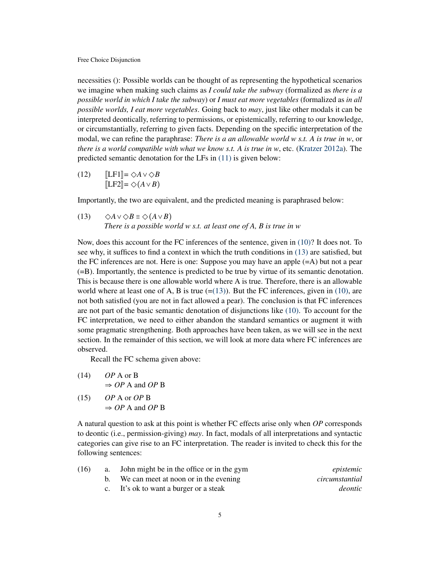necessities (): Possible worlds can be thought of as representing the hypothetical scenarios we imagine when making such claims as *I could take the subway* (formalized as *there is a possible world in which I take the subway*) or *I must eat more vegetables* (formalized as *in all possible worlds, I eat more vegetables*. Going back to *may*, just like other modals it can be interpreted deontically, referring to permissions, or epistemically, referring to our knowledge, or circumstantially, referring to given facts. Depending on the specific interpretation of the modal, we can refine the paraphrase: *There is a an allowable world w s.t. A is true in w*, or *there is a world compatible with what we know s.t. A is true in w*, etc. [\(Kratzer](#page-47-1) [2012a\)](#page-47-1). The predicted semantic denotation for the LFs in [\(11\)](#page-3-4) is given below:

<span id="page-4-1"></span> $(L2)$   $[LF1] = \Diamond A \lor \Diamond B$  $\mathbb{I}$ LF2 $\mathbb{I} = \Diamond(A \vee B)$ 

<span id="page-4-0"></span>Importantly, the two are equivalent, and the predicted meaning is paraphrased below:

(13)  $\Diamond A \vee \Diamond B \equiv \Diamond (A \vee B)$ *There is a possible world w s.t. at least one of A, B is true in w*

Now, does this account for the FC inferences of the sentence, given in [\(10\)?](#page-3-3) It does not. To see why, it suffices to find a context in which the truth conditions in [\(13\)](#page-4-0) are satisfied, but the FC inferences are not. Here is one: Suppose you may have an apple  $(=A)$  but not a pear (=B). Importantly, the sentence is predicted to be true by virtue of its semantic denotation. This is because there is one allowable world where A is true. Therefore, there is an allowable world where at least one of A, B is true  $(=(13))$  $(=(13))$ . But the FC inferences, given in [\(10\),](#page-3-3) are not both satisfied (you are not in fact allowed a pear). The conclusion is that FC inferences are not part of the basic semantic denotation of disjunctions like [\(10\).](#page-3-3) To account for the FC interpretation, we need to either abandon the standard semantics or augment it with some pragmatic strengthening. Both approaches have been taken, as we will see in the next section. In the remainder of this section, we will look at more data where FC inferences are observed.

Recall the FC schema given above:

(14) *OP* A or B  $\Rightarrow$  *OP* A and *OP* B

(15) *OP* A or *OP* B <sup>⇒</sup> *OP* A and *OP* <sup>B</sup>

A natural question to ask at this point is whether FC effects arise only when *OP* corresponds to deontic (i.e., permission-giving) *may*. In fact, modals of all interpretations and syntactic categories can give rise to an FC interpretation. The reader is invited to check this for the following sentences:

| epistemic      | a. John might be in the office or in the gym | (16) |
|----------------|----------------------------------------------|------|
| circumstantial | We can meet at noon or in the evening        |      |
| <i>deontic</i> | c. It's ok to want a burger or a steak       |      |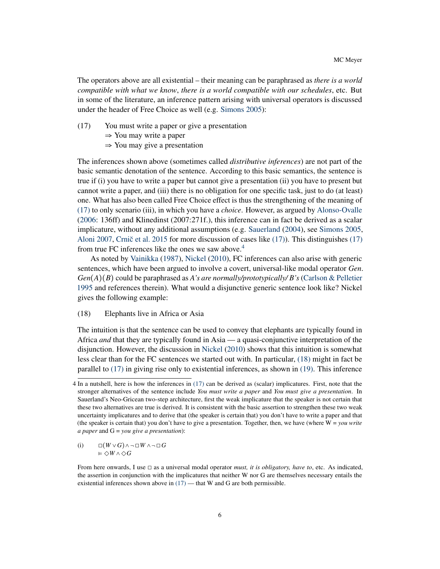The operators above are all existential – their meaning can be paraphrased as *there is a world compatible with what we know*, *there is a world compatible with our schedules*, etc. But in some of the literature, an inference pattern arising with universal operators is discussed under the header of Free Choice as well (e.g. [Simons](#page-49-0) [2005\)](#page-49-0):

- <span id="page-5-0"></span>(17) You must write a paper or give a presentation
	- <sup>⇒</sup> You may write a paper
	- <sup>⇒</sup> You may give a presentation

The inferences shown above (sometimes called *distributive inferences*) are not part of the basic semantic denotation of the sentence. According to this basic semantics, the sentence is true if (i) you have to write a paper but cannot give a presentation (ii) you have to present but cannot write a paper, and (iii) there is no obligation for one specific task, just to do (at least) one. What has also been called Free Choice effect is thus the strengthening of the meaning of [\(17\)](#page-5-0) to only scenario (iii), in which you have a *choice*. However, as argued by [Alonso-Ovalle](#page-43-0) [\(2006:](#page-43-0) 136ff) and Klinedinst (2007:271f.), this inference can in fact be derived as a scalar implicature, without any additional assumptions (e.g. [Sauerland](#page-49-1) [\(2004\)](#page-49-1), see [Simons](#page-49-0) [2005,](#page-49-0) [Aloni](#page-43-1) [2007,](#page-43-1) Crnič et al.  $2015$  for more discussion of cases like  $(17)$ ). This distinguishes  $(17)$ from true FC inferences like the ones we saw above.<sup>[4](#page-5-1)</sup>

As noted by [Vainikka](#page-50-1) [\(1987\)](#page-50-1), [Nickel](#page-48-1) [\(2010\)](#page-48-1), FC inferences can also arise with generic sentences, which have been argued to involve a covert, universal-like modal operator *Gen*. *Gen*(*A*)(*B*) could be paraphrased as *A's are normally/prototypically/ B's* [\(Carlson & Pelletier](#page-44-1) [1995](#page-44-1) and references therein). What would a disjunctive generic sentence look like? Nickel gives the following example:

# <span id="page-5-2"></span>(18) Elephants live in Africa or Asia

The intuition is that the sentence can be used to convey that elephants are typically found in Africa *and* that they are typically found in Asia — a quasi-conjunctive interpretation of the disjunction. However, the discussion in [Nickel](#page-48-1) [\(2010\)](#page-48-1) shows that this intuition is somewhat less clear than for the FC sentences we started out with. In particular, [\(18\)](#page-5-2) might in fact be parallel to [\(17\)](#page-5-0) in giving rise only to existential inferences, as shown in [\(19\).](#page-6-0) This inference

<span id="page-5-3"></span>(i) ◻(*<sup>W</sup>* <sup>∨</sup>*G*)∧ ¬◻*<sup>W</sup>* ∧ ¬◻*<sup>G</sup>* <sup>⊧</sup> ◇*<sup>W</sup>* ∧◇*<sup>G</sup>*

<span id="page-5-1"></span><sup>4</sup> In a nutshell, here is how the inferences in [\(17\)](#page-5-0) can be derived as (scalar) implicatures. First, note that the stronger alternatives of the sentence include *You must write a paper* and *You must give a presentation*. In Sauerland's Neo-Gricean two-step architecture, first the weak implicature that the speaker is not certain that these two alternatives are true is derived. It is consistent with the basic assertion to strengthen these two weak uncertainty implicatures and to derive that (the speaker is certain that) you don't have to write a paper and that (the speaker is certain that) you don't have to give a presentation. Together, then, we have (where  $W = you$  *write a paper* and G = *you give a presentation*):

From here onwards, I use ◻ as a universal modal operator *must, it is obligatory, have to*, etc. As indicated, the assertion in conjunction with the implicatures that neither W nor G are themselves necessary entails the existential inferences shown above in  $(17)$  — that W and G are both permissible.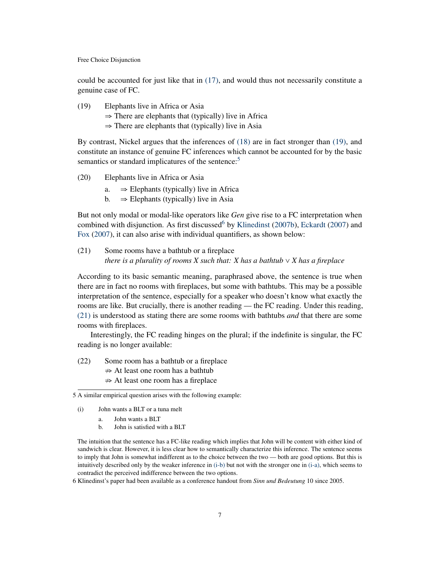could be accounted for just like that in [\(17\),](#page-5-0) and would thus not necessarily constitute a genuine case of FC.

<span id="page-6-0"></span>(19) Elephants live in Africa or Asia  $\Rightarrow$  There are elephants that (typically) live in Africa  $\Rightarrow$  There are elephants that (typically) live in Asia

By contrast, Nickel argues that the inferences of [\(18\)](#page-5-2) are in fact stronger than [\(19\),](#page-6-0) and constitute an instance of genuine FC inferences which cannot be accounted for by the basic semantics or standard implicatures of the sentence:<sup>[5](#page-6-1)</sup>

- (20) Elephants live in Africa or Asia
	- a.  $\Rightarrow$  Elephants (typically) live in Africa<br>b.  $\Rightarrow$  Elephants (typically) live in Asia
	- $\Rightarrow$  Elephants (typically) live in Asia

But not only modal or modal-like operators like *Gen* give rise to a FC interpretation when combined with disjunction. As first discussed by [Klinedinst](#page-47-0) [\(2007b\)](#page-47-0), [Eckardt](#page-45-1) [\(2007\)](#page-45-1) and [Fox](#page-45-0) [\(2007\)](#page-45-0), it can also arise with individual quantifiers, as shown below:

<span id="page-6-3"></span>(21) Some rooms have a bathtub or a fireplace *there is a plurality of rooms X such that: X has a bathtub*  $\vee$  *X has a fireplace* 

According to its basic semantic meaning, paraphrased above, the sentence is true when there are in fact no rooms with fireplaces, but some with bathtubs. This may be a possible interpretation of the sentence, especially for a speaker who doesn't know what exactly the rooms are like. But crucially, there is another reading — the FC reading. Under this reading, [\(21\)](#page-6-3) is understood as stating there are some rooms with bathtubs *and* that there are some rooms with fireplaces.

Interestingly, the FC reading hinges on the plural; if the indefinite is singular, the FC reading is no longer available:

(22) Some room has a bathtub or a fireplace

- $\Rightarrow$  At least one room has a bathtub
- $\Rightarrow$  At least one room has a fireplace

<span id="page-6-5"></span><span id="page-6-4"></span>(i) John wants a BLT or a tuna melt

- a. John wants a BLT
- b. John is satisfied with a BLT

The intuition that the sentence has a FC-like reading which implies that John will be content with either kind of sandwich is clear. However, it is less clear how to semantically characterize this inference. The sentence seems to imply that John is somewhat indifferent as to the choice between the two — both are good options. But this is intuitively described only by the weaker inference in [\(i-b\)](#page-6-4) but not with the stronger one in [\(i-a\),](#page-6-5) which seems to contradict the perceived indifference between the two options.

<span id="page-6-2"></span>6 Klinedinst's paper had been available as a conference handout from *Sinn und Bedeutung* 10 since 2005.

<span id="page-6-1"></span><sup>5</sup> A similar empirical question arises with the following example: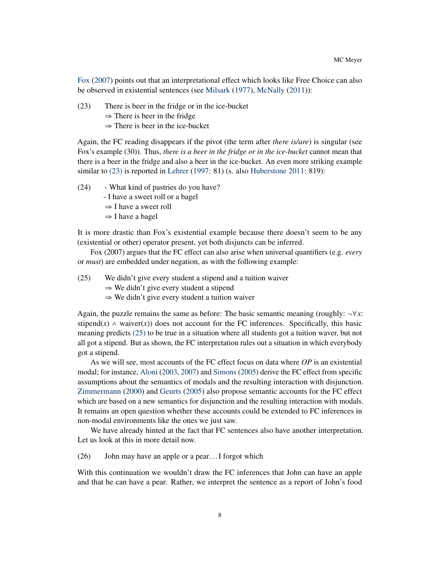[Fox](#page-45-0) [\(2007\)](#page-45-0) points out that an interpretational effect which looks like Free Choice can also be observed in existential sentences (see [Milsark](#page-48-2) [\(1977\)](#page-48-2), [McNally](#page-47-2) [\(2011\)](#page-47-2)):

- <span id="page-7-0"></span>(23) There is beer in the fridge or in the ice-bucket
	- $\Rightarrow$  There is beer in the fridge
	- $\Rightarrow$  There is beer in the ice-bucket

Again, the FC reading disappears if the pivot (the term after *there is/are*) is singular (see Fox's example (30)). Thus, *there is a beer in the fridge or in the ice-bucket* cannot mean that there is a beer in the fridge and also a beer in the ice-bucket. An even more striking example similar to [\(23\)](#page-7-0) is reported in [Lehrer](#page-47-3) [\(1997:](#page-47-3) 81) (s. also [Huberstone](#page-46-0) [2011:](#page-46-0) 819):

(24) - What kind of pastries do you have?

- I have a sweet roll or a bagel
- <sup>⇒</sup> I have a sweet roll
- <sup>⇒</sup> I have a bagel

It is more drastic than Fox's existential example because there doesn't seem to be any (existential or other) operator present, yet both disjuncts can be inferred.

Fox (2007) argues that the FC effect can also arise when universal quantifiers (e.g. *every* or *must*) are embedded under negation, as with the following example:

<span id="page-7-1"></span>(25) We didn't give every student a stipend and a tuition waiver

- $\Rightarrow$  We didn't give every student a stipend
- $\Rightarrow$  We didn't give every student a tuition waiver

Again, the puzzle remains the same as before: The basic semantic meaning (roughly:  $\neg \forall x$ : stipend( $x$ )  $\wedge$  waiver( $x$ )) does not account for the FC inferences. Specifically, this basic meaning predicts [\(25\)](#page-7-1) to be true in a situation where all students got a tuition waver, but not all got a stipend. But as shown, the FC interpretation rules out a situation in which everybody got a stipend.

As we will see, most accounts of the FC effect focus on data where *OP* is an existential modal; for instance, [Aloni](#page-43-2) [\(2003,](#page-43-2) [2007\)](#page-43-1) and [Simons](#page-49-0) [\(2005\)](#page-49-0) derive the FC effect from specific assumptions about the semantics of modals and the resulting interaction with disjunction. [Zimmermann](#page-50-0) [\(2000\)](#page-50-0) and [Geurts](#page-45-2) [\(2005\)](#page-45-2) also propose semantic accounts for the FC effect which are based on a new semantics for disjunction and the resulting interaction with modals. It remains an open question whether these accounts could be extended to FC inferences in non-modal environments like the ones we just saw.

We have already hinted at the fact that FC sentences also have another interpretation. Let us look at this in more detail now.

<span id="page-7-2"></span>(26) John may have an apple or a pear. . . I forgot which

With this continuation we wouldn't draw the FC inferences that John can have an apple and that he can have a pear. Rather, we interpret the sentence as a report of John's food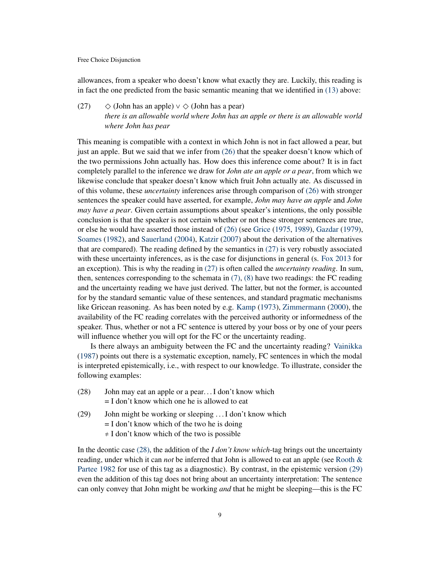allowances, from a speaker who doesn't know what exactly they are. Luckily, this reading is in fact the one predicted from the basic semantic meaning that we identified in [\(13\)](#page-4-0) above:

# <span id="page-8-0"></span>(27)  $\Diamond$  (John has an apple)  $\lor$   $\Diamond$  (John has a pear) *there is an allowable world where John has an apple or there is an allowable world where John has pear*

This meaning is compatible with a context in which John is not in fact allowed a pear, but just an apple. But we said that we infer from [\(26\)](#page-7-2) that the speaker doesn't know which of the two permissions John actually has. How does this inference come about? It is in fact completely parallel to the inference we draw for *John ate an apple or a pear*, from which we likewise conclude that speaker doesn't know which fruit John actually ate. As discussed in of this volume, these *uncertainty* inferences arise through comparison of [\(26\)](#page-7-2) with stronger sentences the speaker could have asserted, for example, *John may have an apple* and *John may have a pear*. Given certain assumptions about speaker's intentions, the only possible conclusion is that the speaker is not certain whether or not these stronger sentences are true, or else he would have asserted those instead of [\(26\)](#page-7-2) (see [Grice](#page-46-1) [\(1975,](#page-46-1) [1989\)](#page-46-2), [Gazdar](#page-45-3) [\(1979\)](#page-45-3), [Soames](#page-49-2) [\(1982\)](#page-49-2), and [Sauerland](#page-49-1) [\(2004\)](#page-49-1), [Katzir](#page-46-3) [\(2007\)](#page-46-3) about the derivation of the alternatives that are compared). The reading defined by the semantics in [\(27\)](#page-8-0) is very robustly associated with these uncertainty inferences, as is the case for disjunctions in general (s. [Fox](#page-45-4) [2013](#page-45-4) for an exception). This is why the reading in [\(27\)](#page-8-0) is often called the *uncertainty reading*. In sum, then, sentences corresponding to the schemata in  $(7)$ ,  $(8)$  have two readings: the FC reading and the uncertainty reading we have just derived. The latter, but not the former, is accounted for by the standard semantic value of these sentences, and standard pragmatic mechanisms like Gricean reasoning. As has been noted by e.g. [Kamp](#page-46-4) [\(1973\)](#page-46-4), [Zimmermann](#page-50-0) [\(2000\)](#page-50-0), the availability of the FC reading correlates with the perceived authority or informedness of the speaker. Thus, whether or not a FC sentence is uttered by your boss or by one of your peers will influence whether you will opt for the FC or the uncertainty reading.

Is there always an ambiguity between the FC and the uncertainty reading? [Vainikka](#page-50-1) [\(1987\)](#page-50-1) points out there is a systematic exception, namely, FC sentences in which the modal is interpreted epistemically, i.e., with respect to our knowledge. To illustrate, consider the following examples:

- <span id="page-8-1"></span>(28) John may eat an apple or a pear. . . I don't know which = I don't know which one he is allowed to eat
- <span id="page-8-2"></span>(29) John might be working or sleeping . . . I don't know which  $=$  I don't know which of the two he is doing  $\neq$  I don't know which of the two is possible

In the deontic case [\(28\),](#page-8-1) the addition of the *I don't know which*-tag brings out the uncertainty reading, under which it can *not* be inferred that John is allowed to eat an apple (see [Rooth &](#page-49-3) [Partee](#page-49-3) [1982](#page-49-3) for use of this tag as a diagnostic). By contrast, in the epistemic version [\(29\)](#page-8-2) even the addition of this tag does not bring about an uncertainty interpretation: The sentence can only convey that John might be working *and* that he might be sleeping—this is the FC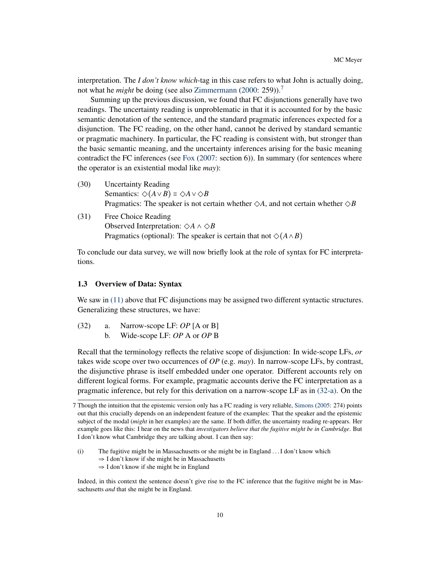interpretation. The *I don't know which*-tag in this case refers to what John is actually doing, not what he *might* be doing (see also [Zimmermann](#page-50-0) [\(2000:](#page-50-0) 259)).<sup>[7](#page-9-1)</sup>

Summing up the previous discussion, we found that FC disjunctions generally have two readings. The uncertainty reading is unproblematic in that it is accounted for by the basic semantic denotation of the sentence, and the standard pragmatic inferences expected for a disjunction. The FC reading, on the other hand, cannot be derived by standard semantic or pragmatic machinery. In particular, the FC reading is consistent with, but stronger than the basic semantic meaning, and the uncertainty inferences arising for the basic meaning contradict the FC inferences (see [Fox](#page-45-0) [\(2007:](#page-45-0) section 6)). In summary (for sentences where the operator is an existential modal like *may*):

- (30) Uncertainty Reading Semantics:  $\Diamond$ ( $A \lor B$ )  $\equiv \Diamond A \lor \Diamond B$ Pragmatics: The speaker is not certain whether  $\Diamond A$ , and not certain whether  $\Diamond B$
- (31) Free Choice Reading Observed Interpretation: ◇*<sup>A</sup>* ∧ ◇*<sup>B</sup>* Pragmatics (optional): The speaker is certain that not  $\Diamond(A \land B)$

To conclude our data survey, we will now briefly look at the role of syntax for FC interpretations.

# <span id="page-9-0"></span>1.3 Overview of Data: Syntax

We saw in [\(11\)](#page-3-4) above that FC disjunctions may be assigned two different syntactic structures. Generalizing these structures, we have:

- <span id="page-9-4"></span><span id="page-9-3"></span><span id="page-9-2"></span>(32) a. Narrow-scope LF: *OP* [A or B]
	- b. Wide-scope LF: *OP* A or *OP* B

Recall that the terminology reflects the relative scope of disjunction: In wide-scope LFs, *or* takes wide scope over two occurrences of *OP* (e.g. *may*). In narrow-scope LFs, by contrast, the disjunctive phrase is itself embedded under one operator. Different accounts rely on different logical forms. For example, pragmatic accounts derive the FC interpretation as a pragmatic inference, but rely for this derivation on a narrow-scope LF as in [\(32-a\).](#page-9-2) On the

<span id="page-9-1"></span><sup>7</sup> Though the intuition that the epistemic version only has a FC reading is very reliable, [Simons](#page-49-0) [\(2005:](#page-49-0) 274) points out that this crucially depends on an independent feature of the examples: That the speaker and the epistemic subject of the modal (*might* in her examples) are the same. If both differ, the uncertainty reading re-appears. Her example goes like this: I hear on the news that *investigators believe that the fugitive might be in Cambridge*. But I don't know what Cambridge they are talking about. I can then say:

<span id="page-9-5"></span><sup>(</sup>i) The fugitive might be in Massachusetts or she might be in England . . . I don't know which ⇒ I don't know if she might be in Massachusetts ⇒ I don't know if she might be in England

Indeed, in this context the sentence doesn't give rise to the FC inference that the fugitive might be in Massachusetts *and* that she might be in England.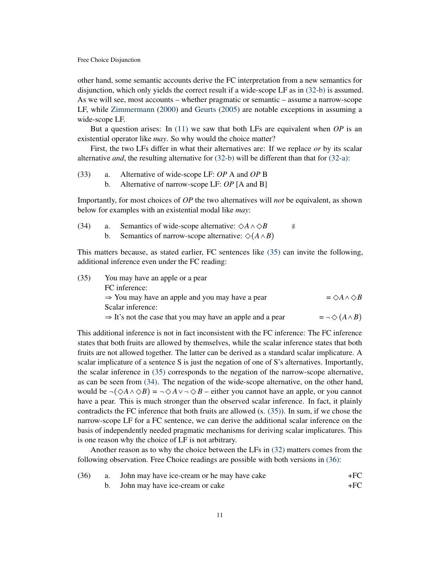other hand, some semantic accounts derive the FC interpretation from a new semantics for disjunction, which only yields the correct result if a wide-scope LF as in [\(32-b\)](#page-9-3) is assumed. As we will see, most accounts – whether pragmatic or semantic – assume a narrow-scope LF, while [Zimmermann](#page-50-0) [\(2000\)](#page-50-0) and [Geurts](#page-45-2) [\(2005\)](#page-45-2) are notable exceptions in assuming a wide-scope LF.

But a question arises: In [\(11\)](#page-3-4) we saw that both LFs are equivalent when *OP* is an existential operator like *may*. So why would the choice matter?

First, the two LFs differ in what their alternatives are: If we replace *or* by its scalar alternative *and*, the resulting alternative for [\(32-b\)](#page-9-3) will be different than that for [\(32-a\):](#page-9-2)

<span id="page-10-4"></span>(33) a. Alternative of wide-scope LF: *OP* A and *OP* B b. Alternative of narrow-scope LF: *OP* [A and B]

Importantly, for most choices of *OP* the two alternatives will *not* be equivalent, as shown below for examples with an existential modal like *may*:

<span id="page-10-1"></span>(34) a. Semantics of wide-scope alternative:  $\Diamond A \land \Diamond B$   $\neq$ <br>b. Semantics of narrow-scope alternative:  $\Diamond (A \land B)$ Semantics of narrow-scope alternative:  $\Diamond(A \land B)$ 

This matters because, as stated earlier, FC sentences like [\(35\)](#page-10-0) can invite the following, additional inference even under the FC reading:

<span id="page-10-0"></span>

| (35) | You may have an apple or a pear                                       |                                   |
|------|-----------------------------------------------------------------------|-----------------------------------|
|      | FC inference:                                                         |                                   |
|      | $\Rightarrow$ You may have an apple and you may have a pear           | $=$ $\Diamond A \land \Diamond B$ |
|      | Scalar inference:                                                     |                                   |
|      | $\Rightarrow$ It's not the case that you may have an apple and a pear | $= \neg \diamond (A \wedge B)$    |
|      |                                                                       |                                   |

This additional inference is not in fact inconsistent with the FC inference: The FC inference states that both fruits are allowed by themselves, while the scalar inference states that both fruits are not allowed together. The latter can be derived as a standard scalar implicature. A scalar implicature of a sentence S is just the negation of one of S's alternatives. Importantly, the scalar inference in [\(35\)](#page-10-0) corresponds to the negation of the narrow-scope alternative, as can be seen from [\(34\).](#page-10-1) The negation of the wide-scope alternative, on the other hand, would be  $\neg(\Diamond A \land \Diamond B) = \neg \Diamond A \lor \neg \Diamond B$  – either you cannot have an apple, or you cannot have a pear. This is much stronger than the observed scalar inference. In fact, it plainly contradicts the FC inference that both fruits are allowed (s. [\(35\)\)](#page-10-0). In sum, if we chose the narrow-scope LF for a FC sentence, we can derive the additional scalar inference on the basis of independently needed pragmatic mechanisms for deriving scalar implicatures. This is one reason why the choice of LF is not arbitrary.

Another reason as to why the choice between the LFs in [\(32\)](#page-9-4) matters comes from the following observation. Free Choice readings are possible with both versions in [\(36\):](#page-10-2)

<span id="page-10-3"></span><span id="page-10-2"></span>

| (36) | a. John may have ice-cream or he may have cake | $+FC$ |
|------|------------------------------------------------|-------|
|      |                                                |       |

b. John may have ice-cream or cake  $+FC$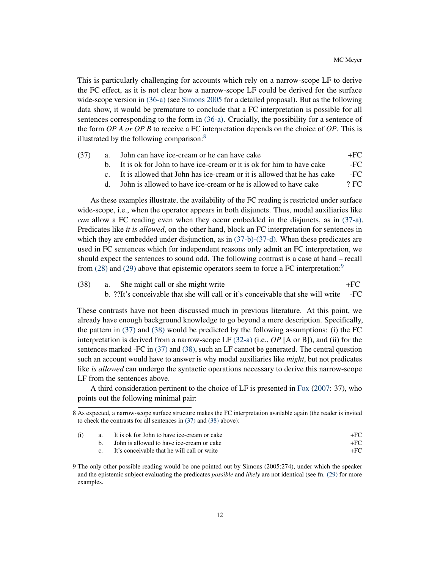This is particularly challenging for accounts which rely on a narrow-scope LF to derive the FC effect, as it is not clear how a narrow-scope LF could be derived for the surface wide-scope version in [\(36-a\)](#page-10-3) (see [Simons](#page-49-0) [2005](#page-49-0) for a detailed proposal). But as the following data show, it would be premature to conclude that a FC interpretation is possible for all sentences corresponding to the form in [\(36-a\).](#page-10-3) Crucially, the possibility for a sentence of the form *OP A or OP B* to receive a FC interpretation depends on the choice of *OP*. This is illustrated by the following comparison:<sup>[8](#page-11-0)</sup>

<span id="page-11-5"></span><span id="page-11-2"></span><span id="page-11-1"></span>

| (37) |                             | a. John can have ice-cream or he can have cake                          | $+FC$  |
|------|-----------------------------|-------------------------------------------------------------------------|--------|
|      |                             | b. It is ok for John to have ice-cream or it is ok for him to have cake | $-FC$  |
|      | $\mathbf{c}$ $\blacksquare$ | It is allowed that John has ice-cream or it is allowed that he has cake | -FC    |
|      | $\mathsf{d}$                | John is allowed to have ice-cream or he is allowed to have cake         | $?$ FC |

<span id="page-11-3"></span>As these examples illustrate, the availability of the FC reading is restricted under surface wide-scope, i.e., when the operator appears in both disjuncts. Thus, modal auxiliaries like *can* allow a FC reading even when they occur embedded in the disjuncts, as in [\(37-a\).](#page-11-1) Predicates like *it is allowed*, on the other hand, block an FC interpretation for sentences in which they are embedded under disjunction, as in  $(37-b)-(37-d)$  $(37-b)-(37-d)$ . When these predicates are used in FC sentences which for independent reasons only admit an FC interpretation, we should expect the sentences to sound odd. The following contrast is a case at hand – recall from  $(28)$  and  $(29)$  above that epistemic operators seem to force a FC interpretation:<sup>[9](#page-11-4)</sup>

<span id="page-11-7"></span><span id="page-11-6"></span> $(38)$  a. She might call or she might write  $+FC$ b. ??It's conceivable that she will call or it's conceivable that she will write -FC

These contrasts have not been discussed much in previous literature. At this point, we already have enough background knowledge to go beyond a mere description. Specifically, the pattern in [\(37\)](#page-11-5) and [\(38\)](#page-11-6) would be predicted by the following assumptions: (i) the FC interpretation is derived from a narrow-scope LF [\(32-a\)](#page-9-2) (i.e., *OP* [A or B]), and (ii) for the sentences marked -FC in [\(37\)](#page-11-5) and [\(38\),](#page-11-6) such an LF cannot be generated. The central question such an account would have to answer is why modal auxiliaries like *might*, but not predicates like *is allowed* can undergo the syntactic operations necessary to derive this narrow-scope LF from the sentences above.

A third consideration pertinent to the choice of LF is presented in [Fox](#page-45-0) [\(2007:](#page-45-0) 37), who points out the following minimal pair:

<span id="page-11-0"></span><sup>8</sup> As expected, a narrow-scope surface structure makes the FC interpretation available again (the reader is invited to check the contrasts for all sentences in [\(37\)](#page-11-5) and [\(38\)](#page-11-6) above):

| (i) | a. It is ok for John to have ice-cream or cake |  |
|-----|------------------------------------------------|--|
|     | John is allowed to have ice-cream or cake      |  |
|     | It's conceivable that he will call or write    |  |

<span id="page-11-4"></span><sup>9</sup> The only other possible reading would be one pointed out by Simons (2005:274), under which the speaker and the epistemic subject evaluating the predicates *possible* and *likely* are not identical (see fn. [\(29\)](#page-9-5) for more examples.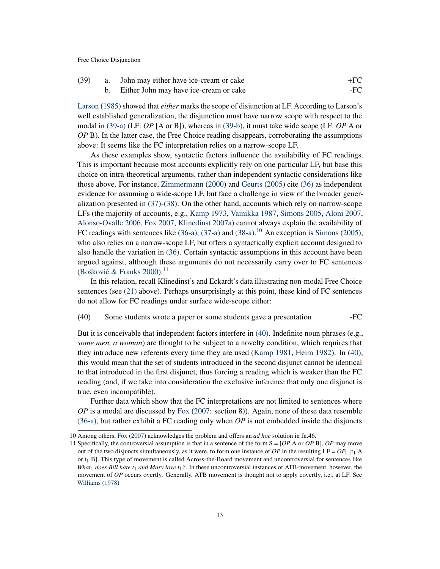<span id="page-12-1"></span><span id="page-12-0"></span>

| (39) | a. John may either have ice-cream or cake | +FC |
|------|-------------------------------------------|-----|
|      | Either John may have ice-cream or cake    | -FC |

[Larson](#page-47-4) [\(1985\)](#page-47-4) showed that *either* marks the scope of disjunction at LF. According to Larson's well established generalization, the disjunction must have narrow scope with respect to the modal in [\(39-a\)](#page-12-0) (LF: *OP* [A or B]), whereas in [\(39-b\),](#page-12-1) it must take wide scope (LF: *OP* A or *OP* B). In the latter case, the Free Choice reading disappears, corroborating the assumptions above: It seems like the FC interpretation relies on a narrow-scope LF.

As these examples show, syntactic factors influence the availability of FC readings. This is important because most accounts explicitly rely on one particular LF, but base this choice on intra-theoretical arguments, rather than independent syntactic considerations like those above. For instance, [Zimmermann](#page-50-0) [\(2000\)](#page-50-0) and [Geurts](#page-45-2) [\(2005\)](#page-45-2) cite [\(36\)](#page-10-2) as independent evidence for assuming a wide-scope LF, but face a challenge in view of the broader generalization presented in [\(37\)](#page-11-5)[-\(38\).](#page-11-6) On the other hand, accounts which rely on narrow-scope LFs (the majority of accounts, e.g., [Kamp](#page-46-4) [1973,](#page-46-4) [Vainikka](#page-50-1) [1987,](#page-50-1) [Simons](#page-49-0) [2005,](#page-49-0) [Aloni](#page-43-1) [2007,](#page-43-1) [Alonso-Ovalle](#page-43-0) [2006,](#page-43-0) [Fox](#page-45-0) [2007,](#page-45-0) [Klinedinst](#page-46-5) [2007a\)](#page-46-5) cannot always explain the availability of FC readings with sentences like  $(36-a)$ ,  $(37-a)$  and  $(38-a)$ .<sup>[10](#page-12-2)</sup> An exception is [Simons](#page-49-0) [\(2005\)](#page-49-0), who also relies on a narrow-scope LF, but offers a syntactically explicit account designed to also handle the variation in [\(36\).](#page-10-2) Certain syntactic assumptions in this account have been argued against, although these arguments do not necessarily carry over to FC sentences (Bošković & Franks  $2000$ ).<sup>[11](#page-12-3)</sup>

In this relation, recall Klinedinst's and Eckardt's data illustrating non-modal Free Choice sentences (see [\(21\)](#page-6-3) above). Perhaps unsurprisingly at this point, these kind of FC sentences do not allow for FC readings under surface wide-scope either:

### <span id="page-12-4"></span>(40) Some students wrote a paper or some students gave a presentation -FC

But it is conceivable that independent factors interfere in [\(40\).](#page-12-4) Indefinite noun phrases (e.g., *some men, a woman*) are thought to be subject to a novelty condition, which requires that they introduce new referents every time they are used [\(Kamp](#page-46-6) [1981,](#page-46-6) [Heim](#page-46-7) [1982\)](#page-46-7). In [\(40\),](#page-12-4) this would mean that the set of students introduced in the second disjunct cannot be identical to that introduced in the first disjunct, thus forcing a reading which is weaker than the FC reading (and, if we take into consideration the exclusive inference that only one disjunct is true, even incompatible).

Further data which show that the FC interpretations are not limited to sentences where *OP* is a modal are discussed by [Fox](#page-45-0) [\(2007:](#page-45-0) section 8)). Again, none of these data resemble [\(36-a\),](#page-10-3) but rather exhibit a FC reading only when *OP* is not embedded inside the disjuncts

<span id="page-12-2"></span><sup>10</sup> Among others, [Fox](#page-45-0) [\(2007\)](#page-45-0) acknowledges the problem and offers an *ad hoc* solution in fn.46.

<span id="page-12-3"></span><sup>11</sup> Specifically, the controversial assumption is that in a sentence of the form S = [*OP* A or *OP* B], *OP* may move out of the two disjuncts simultaneously, as it were, to form one instance of  $OP$  in the resulting  $LF = OP_1$  [t<sub>1</sub> A or  $t_1$  B]. This type of movement is called Across-the-Board movement and uncontroversial for sentences like *What*<sup>1</sup> *does Bill hate t*<sup>1</sup> *and Mary love t*1*?*. In these uncontroversial instances of ATB-movement, however, the movement of *OP* occurs overtly. Generally, ATB movement is thought not to apply covertly, i.e., at LF. See [Williams](#page-50-2) [\(1978\)](#page-50-2)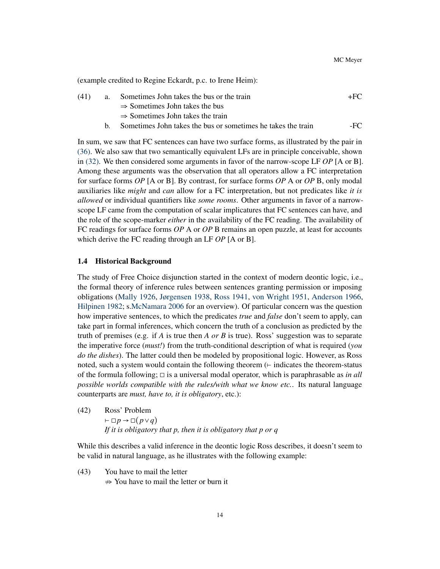(example credited to Regine Eckardt, p.c. to Irene Heim):

| (41) | Sometimes John takes the bus or the train  | +FC |
|------|--------------------------------------------|-----|
|      | $\Rightarrow$ Sometimes John takes the bus |     |

- <sup>⇒</sup> Sometimes John takes the train
- b. Sometimes John takes the bus or sometimes he takes the train FC

In sum, we saw that FC sentences can have two surface forms, as illustrated by the pair in [\(36\).](#page-10-2) We also saw that two semantically equivalent LFs are in principle conceivable, shown in [\(32\).](#page-9-4) We then considered some arguments in favor of the narrow-scope LF *OP* [A or B]. Among these arguments was the observation that all operators allow a FC interpretation for surface forms *OP* [A or B]. By contrast, for surface forms *OP* A or *OP* B, only modal auxiliaries like *might* and *can* allow for a FC interpretation, but not predicates like *it is allowed* or individual quantifiers like *some rooms*. Other arguments in favor of a narrowscope LF came from the computation of scalar implicatures that FC sentences can have, and the role of the scope-marker *either* in the availability of the FC reading. The availability of FC readings for surface forms *OP* A or *OP* B remains an open puzzle, at least for accounts which derive the FC reading through an LF *OP* [A or B].

#### <span id="page-13-0"></span>1.4 Historical Background

The study of Free Choice disjunction started in the context of modern deontic logic, i.e., the formal theory of inference rules between sentences granting permission or imposing obligations [\(Mally](#page-47-5) [1926,](#page-47-5) [Jørgensen](#page-46-8) [1938,](#page-46-8) [Ross](#page-49-4) [1941,](#page-49-4) [von Wright](#page-50-3) [1951,](#page-50-3) [Anderson](#page-43-3) [1966,](#page-43-3) [Hilpinen](#page-46-9) [1982;](#page-46-9) s[.McNamara](#page-47-6) [2006](#page-47-6) for an overview). Of particular concern was the question how imperative sentences, to which the predicates *true* and *false* don't seem to apply, can take part in formal inferences, which concern the truth of a conclusion as predicted by the truth of premises (e.g. if *A* is true then *A or B* is true). Ross' suggestion was to separate the imperative force (*must!*) from the truth-conditional description of what is required (*you do the dishes*). The latter could then be modeled by propositional logic. However, as Ross noted, such a system would contain the following theorem (⊢ indicates the theorem-status of the formula following; <sup>◻</sup> is a universal modal operator, which is paraphrasable as *in all possible worlds compatible with the rules/with what we know etc.*. Its natural language counterparts are *must, have to, it is obligatory*, etc.):

<span id="page-13-1"></span>(42) Ross' Problem <sup>⊢</sup> <sup>◻</sup>*<sup>p</sup>* <sup>→</sup> ◻(*p*∨*q*) *If it is obligatory that p, then it is obligatory that p or q*

While this describes a valid inference in the deontic logic Ross describes, it doesn't seem to be valid in natural language, as he illustrates with the following example:

<span id="page-13-2"></span>(43) You have to mail the letter  $\Rightarrow$  You have to mail the letter or burn it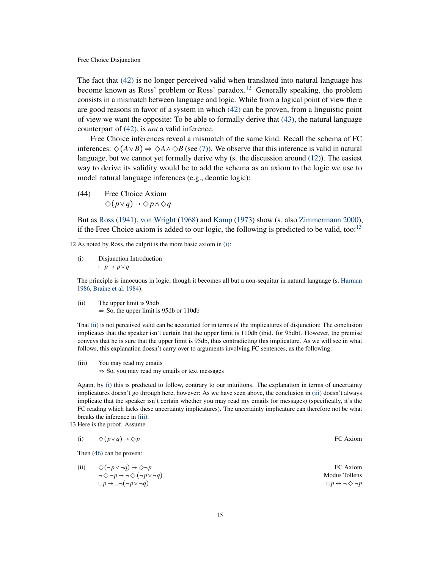The fact that [\(42\)](#page-13-1) is no longer perceived valid when translated into natural language has become known as Ross' problem or Ross' paradox.<sup>[12](#page-14-0)</sup> Generally speaking, the problem consists in a mismatch between language and logic. While from a logical point of view there are good reasons in favor of a system in which [\(42\)](#page-13-1) can be proven, from a linguistic point of view we want the opposite: To be able to formally derive that [\(43\),](#page-13-2) the natural language counterpart of [\(42\),](#page-13-1) is *not* a valid inference.

Free Choice inferences reveal a mismatch of the same kind. Recall the schema of FC inferences:  $\Diamond(A \lor B) \Rightarrow \Diamond A \land \Diamond B$  (see [\(7\)\)](#page-2-3). We observe that this inference is valid in natural language, but we cannot yet formally derive why (s. the discussion around [\(12\)\)](#page-4-1). The easiest way to derive its validity would be to add the schema as an axiom to the logic we use to model natural language inferences (e.g., deontic logic):

(44) Free Choice Axiom ◇(*p*∨*q*) <sup>→</sup> ◇*p*∧◇*<sup>q</sup>*

But as [Ross](#page-49-4) [\(1941\)](#page-49-4), [von Wright](#page-50-4) [\(1968\)](#page-50-4) and [Kamp](#page-46-4) [\(1973\)](#page-46-4) show (s. also [Zimmermann](#page-50-0) [2000\)](#page-50-0), if the Free Choice axiom is added to our logic, the following is predicted to be valid, too:<sup>[13](#page-14-1)</sup>

<span id="page-14-2"></span>(i) Disjunction Introduction <sup>⊢</sup> *<sup>p</sup>* <sup>→</sup> *<sup>p</sup>*∨*<sup>q</sup>*

The principle is innocuous in logic, though it becomes all but a non-sequitur in natural language (s. [Harman](#page-46-10) [1986,](#page-46-10) [Braine et al.](#page-44-3) [1984\)](#page-44-3):

<span id="page-14-3"></span>(ii) The upper limit is 95db  $\Rightarrow$  So, the upper limit is 95db or 110db

That [\(ii\)](#page-14-3) is not perceived valid can be accounted for in terms of the implicatures of disjunction: The conclusion implicates that the speaker isn't certain that the upper limit is 110db (ibid. for 95db). However, the premise conveys that he is sure that the upper limit is 95db, thus contradicting this implicature. As we will see in what follows, this explanation doesn't carry over to arguments involving FC sentences, as the following:

<span id="page-14-4"></span>(iii) You may read my emails  $\Rightarrow$  So, you may read my emails or text messages

Again, by [\(i\)](#page-14-2) this is predicted to follow, contrary to our intuitions. The explanation in terms of uncertainty implicatures doesn't go through here, however: As we have seen above, the conclusion in [\(iii\)](#page-14-4) doesn't always implicate that the speaker isn't certain whether you may read my emails (or messages) (specifically, it's the FC reading which lacks these uncertainty implicatures). The uncertainty implicature can therefore not be what breaks the inference in [\(iii\).](#page-14-4)

<span id="page-14-1"></span>13 Here is the proof. Assume

| (i) $\Diamond (p \lor q) \rightarrow \Diamond p$ | FC Axiom |
|--------------------------------------------------|----------|
|                                                  |          |

Then [\(46\)](#page-15-1) can be proven:

(ii)  $\diamondsuit(\neg p \lor \neg q) \rightarrow \diamondsuit \neg p$  FC Axiom<br> $\neg \diamondsuit \neg p \rightarrow \neg \diamondsuit(\neg p \lor \neg q)$  Modus Tollens  $\neg \Diamond \neg p \rightarrow \neg \Diamond (\neg p \lor \neg q)$  Modus Tollens<br>  $\Box p \rightarrow \Box \neg (\neg p \lor \neg q)$   $\Box p \leftrightarrow \neg \Diamond \neg p$ <sup>◻</sup>*<sup>p</sup>* <sup>→</sup> ◻¬(¬*p*∨ ¬*q*) <sup>◻</sup>*<sup>p</sup>* <sup>↔</sup> ¬◇ ¬*<sup>p</sup>*

<span id="page-14-0"></span><sup>12</sup> As noted by Ross, the culprit is the more basic axiom in [\(i\):](#page-14-2)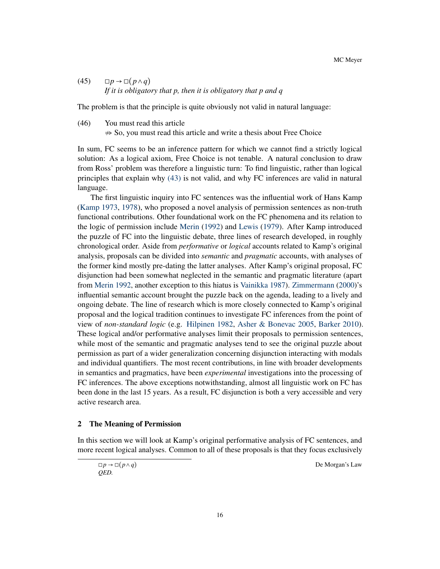$(45)$   $\Box p \rightarrow \Box (p \land q)$ *If it is obligatory that p, then it is obligatory that p and q*

<span id="page-15-1"></span>The problem is that the principle is quite obviously not valid in natural language:

(46) You must read this article  $\Rightarrow$  So, you must read this article and write a thesis about Free Choice

In sum, FC seems to be an inference pattern for which we cannot find a strictly logical solution: As a logical axiom, Free Choice is not tenable. A natural conclusion to draw from Ross' problem was therefore a linguistic turn: To find linguistic, rather than logical principles that explain why [\(43\)](#page-13-2) is not valid, and why FC inferences are valid in natural language.

The first linguistic inquiry into FC sentences was the influential work of Hans Kamp [\(Kamp](#page-46-4) [1973,](#page-46-4) [1978\)](#page-46-11), who proposed a novel analysis of permission sentences as non-truth functional contributions. Other foundational work on the FC phenomena and its relation to the logic of permission include [Merin](#page-48-3) [\(1992\)](#page-48-3) and [Lewis](#page-47-7) [\(1979\)](#page-47-7). After Kamp introduced the puzzle of FC into the linguistic debate, three lines of research developed, in roughly chronological order. Aside from *performative* or *logical* accounts related to Kamp's original analysis, proposals can be divided into *semantic* and *pragmatic* accounts, with analyses of the former kind mostly pre-dating the latter analyses. After Kamp's original proposal, FC disjunction had been somewhat neglected in the semantic and pragmatic literature (apart from [Merin](#page-48-3) [1992,](#page-48-3) another exception to this hiatus is [Vainikka](#page-50-1) [1987\)](#page-50-1). [Zimmermann](#page-50-0) [\(2000\)](#page-50-0)'s influential semantic account brought the puzzle back on the agenda, leading to a lively and ongoing debate. The line of research which is more closely connected to Kamp's original proposal and the logical tradition continues to investigate FC inferences from the point of view of *non-standard logic* (e.g. [Hilpinen](#page-46-9) [1982,](#page-46-9) [Asher & Bonevac](#page-43-4) [2005,](#page-43-4) [Barker](#page-43-5) [2010\)](#page-43-5). These logical and/or performative analyses limit their proposals to permission sentences, while most of the semantic and pragmatic analyses tend to see the original puzzle about permission as part of a wider generalization concerning disjunction interacting with modals and individual quantifiers. The most recent contributions, in line with broader developments in semantics and pragmatics, have been *experimental* investigations into the processing of FC inferences. The above exceptions notwithstanding, almost all linguistic work on FC has been done in the last 15 years. As a result, FC disjunction is both a very accessible and very active research area.

### <span id="page-15-0"></span>2 The Meaning of Permission

In this section we will look at Kamp's original performative analysis of FC sentences, and more recent logical analyses. Common to all of these proposals is that they focus exclusively

<sup>◻</sup>*<sup>p</sup>* <sup>→</sup> ◻(*p*∧*q*) De Morgan's Law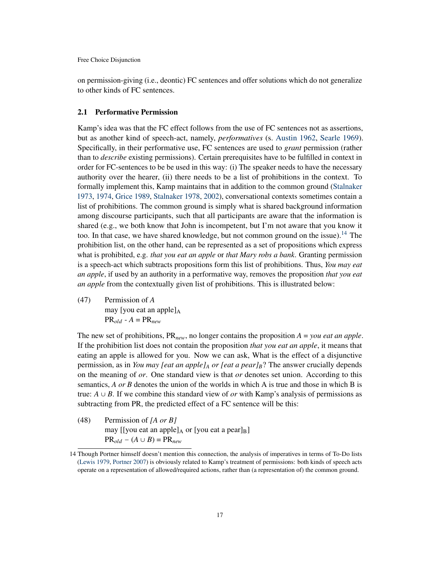on permission-giving (i.e., deontic) FC sentences and offer solutions which do not generalize to other kinds of FC sentences.

# <span id="page-16-0"></span>2.1 Performative Permission

Kamp's idea was that the FC effect follows from the use of FC sentences not as assertions, but as another kind of speech-act, namely, *performatives* (s. [Austin](#page-43-6) [1962,](#page-43-6) [Searle](#page-49-5) [1969\)](#page-49-5). Specifically, in their performative use, FC sentences are used to *grant* permission (rather than to *describe* existing permissions). Certain prerequisites have to be fulfilled in context in order for FC-sentences to be be used in this way: (i) The speaker needs to have the necessary authority over the hearer, (ii) there needs to be a list of prohibitions in the context. To formally implement this, Kamp maintains that in addition to the common ground [\(Stalnaker](#page-49-6) [1973,](#page-49-6) [1974,](#page-49-7) [Grice](#page-46-2) [1989,](#page-46-2) [Stalnaker](#page-49-8) [1978,](#page-49-8) [2002\)](#page-50-5), conversational contexts sometimes contain a list of prohibitions. The common ground is simply what is shared background information among discourse participants, such that all participants are aware that the information is shared (e.g., we both know that John is incompetent, but I'm not aware that you know it too. In that case, we have shared knowledge, but not common ground on the issue).<sup>[14](#page-16-1)</sup> The prohibition list, on the other hand, can be represented as a set of propositions which express what is prohibited, e.g. *that you eat an apple* or *that Mary robs a bank*. Granting permission is a speech-act which subtracts propositions form this list of prohibitions. Thus, *You may eat an apple*, if used by an authority in a performative way, removes the proposition *that you eat an apple* from the contextually given list of prohibitions. This is illustrated below:

<span id="page-16-3"></span>(47) Permission of *A* may [you eat an apple] $_A$  $PR_{old} - A = PR_{new}$ 

The new set of prohibitions, PR*new*, no longer contains the proposition *A* = *you eat an apple*. If the prohibition list does not contain the proposition *that you eat an apple*, it means that eating an apple is allowed for you. Now we can ask, What is the effect of a disjunctive permission, as in *You may [eat an apple]<sup>A</sup> or [eat a pear]B*? The answer crucially depends on the meaning of *or*. One standard view is that *or* denotes set union. According to this semantics, *A or B* denotes the union of the worlds in which A is true and those in which B is true:  $A \cup B$ . If we combine this standard view of *or* with Kamp's analysis of permissions as subtracting from PR, the predicted effect of a FC sentence will be this:

<span id="page-16-2"></span>(48) Permission of *[A or B]* may [[you eat an apple] $_A$  or [you eat a pear] $_B$ ]  $PR_{old} - (A \cup B) = PR_{new}$ 

<span id="page-16-1"></span><sup>14</sup> Though Portner himself doesn't mention this connection, the analysis of imperatives in terms of To-Do lists [\(Lewis](#page-47-7) [1979,](#page-47-7) [Portner](#page-48-4) [2007\)](#page-48-4) is obviously related to Kamp's treatment of permissions: both kinds of speech acts operate on a representation of allowed/required actions, rather than (a representation of) the common ground.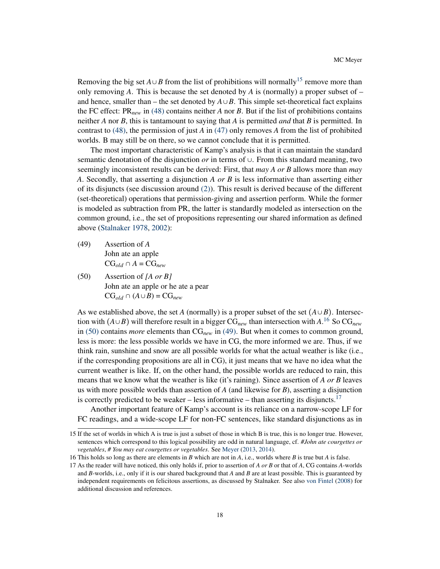Removing the big set  $A \cup B$  from the list of prohibitions will normally<sup>[15](#page-17-0)</sup> remove more than only removing A. This is because the set denoted by A is (normally) a proper subset of  $$ and hence, smaller than – the set denoted by  $A \cup B$ . This simple set-theoretical fact explains the FC effect:  $PR_{new}$  in [\(48\)](#page-16-2) contains neither *A* nor *B*. But if the list of prohibitions contains neither *A* nor *B*, this is tantamount to saying that *A* is permitted *and* that *B* is permitted. In contrast to [\(48\),](#page-16-2) the permission of just *A* in [\(47\)](#page-16-3) only removes *A* from the list of prohibited worlds. B may still be on there, so we cannot conclude that it is permitted.

The most important characteristic of Kamp's analysis is that it can maintain the standard semantic denotation of the disjunction *or* in terms of <sup>∪</sup>. From this standard meaning, two seemingly inconsistent results can be derived: First, that *may A or B* allows more than *may A*. Secondly, that asserting a disjunction *A or B* is less informative than asserting either of its disjuncts (see discussion around [\(2\)\)](#page-1-1). This result is derived because of the different (set-theoretical) operations that permission-giving and assertion perform. While the former is modeled as subtraction from PR, the latter is standardly modeled as intersection on the common ground, i.e., the set of propositions representing our shared information as defined above [\(Stalnaker](#page-49-8) [1978,](#page-49-8) [2002\)](#page-50-5):

- <span id="page-17-3"></span>(49) Assertion of *A* John ate an apple  $CG_{old} \cap A = CG_{new}$
- <span id="page-17-2"></span>(50) Assertion of *[A or B]* John ate an apple or he ate a pear  $CG_{old} ∩ (A ∪ B) = CG_{new}$

As we established above, the set *A* (normally) is a proper subset of the set  $(A \cup B)$ . Intersection with  $(A \cup B)$  will therefore result in a bigger  $CG_{new}$  than intersection with  $A^{16}$  $A^{16}$  $A^{16}$  So  $CG_{new}$ in [\(50\)](#page-17-2) contains *more* elements than CG*new* in [\(49\).](#page-17-3) But when it comes to common ground, less is more: the less possible worlds we have in CG, the more informed we are. Thus, if we think rain, sunshine and snow are all possible worlds for what the actual weather is like (i.e., if the corresponding propositions are all in CG), it just means that we have no idea what the current weather is like. If, on the other hand, the possible worlds are reduced to rain, this means that we know what the weather is like (it's raining). Since assertion of *A or B* leaves us with more possible worlds than assertion of *A* (and likewise for *B*), asserting a disjunction is correctly predicted to be weaker – less informative – than asserting its disjuncts.<sup>[17](#page-17-4)</sup>

Another important feature of Kamp's account is its reliance on a narrow-scope LF for FC readings, and a wide-scope LF for non-FC sentences, like standard disjunctions as in

<span id="page-17-0"></span><sup>15</sup> If the set of worlds in which A is true is just a subset of those in which B is true, this is no longer true. However, sentences which correspond to this logical possibility are odd in natural language, cf. *#John ate courgettes or vegetables*, *# You may eat courgettes or vegetables*. See [Meyer](#page-48-5) [\(2013,](#page-48-5) [2014\)](#page-48-6).

<span id="page-17-1"></span><sup>16</sup> This holds so long as there are elements in *B* which are not in *A*, i.e., worlds where *B* is true but *A* is false.

<span id="page-17-4"></span><sup>17</sup> As the reader will have noticed, this only holds if, prior to assertion of *A or B* or that of *A*, CG contains *A*-worlds and *B*-worlds, i.e., only if it is our shared background that *A* and *B* are at least possible. This is guaranteed by independent requirements on felicitous assertions, as discussed by Stalnaker. See also [von Fintel](#page-45-5) [\(2008\)](#page-45-5) for additional discussion and references.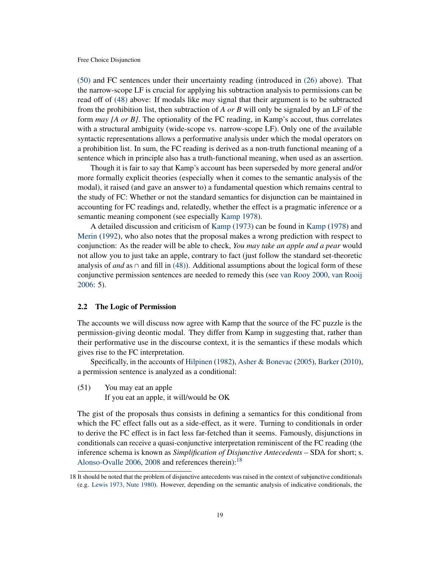[\(50\)](#page-17-2) and FC sentences under their uncertainty reading (introduced in [\(26\)](#page-7-2) above). That the narrow-scope LF is crucial for applying his subtraction analysis to permissions can be read off of [\(48\)](#page-16-2) above: If modals like *may* signal that their argument is to be subtracted from the prohibition list, then subtraction of *A or B* will only be signaled by an LF of the form *may [A or B]*. The optionality of the FC reading, in Kamp's accout, thus correlates with a structural ambiguity (wide-scope vs. narrow-scope LF). Only one of the available syntactic representations allows a performative analysis under which the modal operators on a prohibition list. In sum, the FC reading is derived as a non-truth functional meaning of a sentence which in principle also has a truth-functional meaning, when used as an assertion.

Though it is fair to say that Kamp's account has been superseded by more general and/or more formally explicit theories (especially when it comes to the semantic analysis of the modal), it raised (and gave an answer to) a fundamental question which remains central to the study of FC: Whether or not the standard semantics for disjunction can be maintained in accounting for FC readings and, relatedly, whether the effect is a pragmatic inference or a semantic meaning component (see especially [Kamp](#page-46-11) [1978\)](#page-46-11).

A detailed discussion and criticism of [Kamp](#page-46-4) [\(1973\)](#page-46-4) can be found in [Kamp](#page-46-11) [\(1978\)](#page-46-11) and [Merin](#page-48-3) [\(1992\)](#page-48-3), who also notes that the proposal makes a wrong prediction with respect to conjunction: As the reader will be able to check, *You may take an apple and a pear* would not allow you to just take an apple, contrary to fact (just follow the standard set-theoretic analysis of *and* as <sup>∩</sup> and fill in [\(48\)\)](#page-16-2). Additional assumptions about the logical form of these conjunctive permission sentences are needed to remedy this (see [van Rooy](#page-49-9) [2000,](#page-49-9) [van Rooij](#page-48-7) [2006:](#page-48-7) 5).

#### <span id="page-18-0"></span>2.2 The Logic of Permission

The accounts we will discuss now agree with Kamp that the source of the FC puzzle is the permission-giving deontic modal. They differ from Kamp in suggesting that, rather than their performative use in the discourse context, it is the semantics if these modals which gives rise to the FC interpretation.

Specifically, in the accounts of [Hilpinen](#page-46-9) [\(1982\)](#page-46-9), [Asher & Bonevac](#page-43-4) [\(2005\)](#page-43-4), [Barker](#page-43-5) [\(2010\)](#page-43-5), a permission sentence is analyzed as a conditional:

<span id="page-18-2"></span>(51) You may eat an apple

If you eat an apple, it will/would be OK

The gist of the proposals thus consists in defining a semantics for this conditional from which the FC effect falls out as a side-effect, as it were. Turning to conditionals in order to derive the FC effect is in fact less far-fetched than it seems. Famously, disjunctions in conditionals can receive a quasi-conjunctive interpretation reminiscent of the FC reading (the inference schema is known as *Simplification of Disjunctive Antecedents* – SDA for short; s. [Alonso-Ovalle](#page-43-0) [2006,](#page-43-0) [2008](#page-43-7) and references therein):<sup>[18](#page-18-1)</sup>

<span id="page-18-3"></span><span id="page-18-1"></span><sup>18</sup> It should be noted that the problem of disjunctive antecedents was raised in the context of subjunctive conditionals (e.g. [Lewis](#page-47-8) [1973,](#page-47-8) [Nute](#page-48-8) [1980\)](#page-48-8). However, depending on the semantic analysis of indicative conditionals, the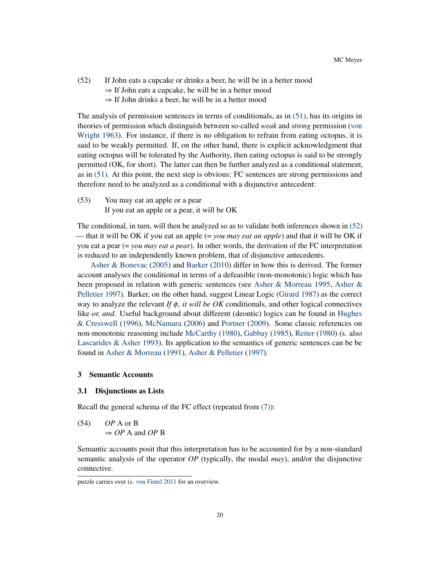# (52) If John eats a cupcake or drinks a beer, he will be in a better mood

- $\Rightarrow$  If John eats a cupcake, he will be in a better mood
- $\Rightarrow$  If John drinks a beer, he will be in a better mood

The analysis of permission sentences in terms of conditionals, as in [\(51\),](#page-18-2) has its origins in theories of permission which distinguish between so-called *weak* and *strong* permission [\(von](#page-50-6) [Wright](#page-50-6) [1963\)](#page-50-6). For instance, if there is no obligation to refrain from eating octopus, it is said to be weakly permitted. If, on the other hand, there is explicit acknowledgment that eating octopus will be tolerated by the Authority, then eating octopus is said to be strongly permitted (OK, for short). The latter can then be further analyzed as a conditional statement, as in [\(51\).](#page-18-2) At this point, the next step is obvious: FC sentences are strong permissions and therefore need to be analyzed as a conditional with a disjunctive antecedent:

(53) You may eat an apple or a pear If you eat an apple or a pear, it will be OK

The conditional, in turn, will then be analyzed so as to validate both inferences shown in [\(52\)](#page-18-3) — that it will be OK if you eat an apple (= *you may eat an apple*) and that it will be OK if you eat a pear (= *you may eat a pear*). In other words, the derivation of the FC interpretation is reduced to an independently known problem, that of disjunctive antecedents.

[Asher & Bonevac](#page-43-4) [\(2005\)](#page-43-4) and [Barker](#page-43-5) [\(2010\)](#page-43-5) differ in how this is derived. The former account analyses the conditional in terms of a defeasible (non-monotonic) logic which has been proposed in relation with generic sentences (see [Asher & Morreau](#page-43-8) [1995,](#page-43-8) [Asher &](#page-43-9) [Pelletier](#page-43-9) [1997\)](#page-43-9). Barker, on the other hand, suggest Linear Logic [\(Girard](#page-46-12) [1987\)](#page-46-12) as the correct way to analyze the relevant *If* φ*, it will be OK* conditionals, and other logical connectives like *or, and*. Useful background about different (deontic) logics can be found in [Hughes](#page-46-13) [& Cresswell](#page-46-13) [\(1996\)](#page-46-13), [McNamara](#page-47-6) [\(2006\)](#page-47-6) and [Portner](#page-48-9) [\(2009\)](#page-48-9). Some classic references on non-monotonic reasoning include [McCarthy](#page-47-9) [\(1980\)](#page-47-9), [Gabbay](#page-45-6) [\(1985\)](#page-45-6), [Reiter](#page-48-10) [\(1980\)](#page-48-10) (s. also Lascarides  $\&$  Asher [1993\)](#page-47-10). Its application to the semantics of generic sentences can be be found in [Asher & Morreau](#page-43-10) [\(1991\)](#page-43-10), [Asher & Pelletier](#page-43-9) [\(1997\)](#page-43-9).

# <span id="page-19-0"></span>3 Semantic Accounts

# <span id="page-19-1"></span>3.1 Disjunctions as Lists

Recall the general schema of the FC effect (repeated from [\(7\)\)](#page-2-3):

(54) 
$$
OP
$$
 A or B  
\n $\Rightarrow OP$  A and  $OP$  B

Semantic accounts posit that this interpretation has to be accounted for by a non-standard semantic analysis of the operator *OP* (typically, the modal *may*), and/or the disjunctive connective.

puzzle carries over (s. [von Fintel](#page-45-7) [2011](#page-45-7) for an overview.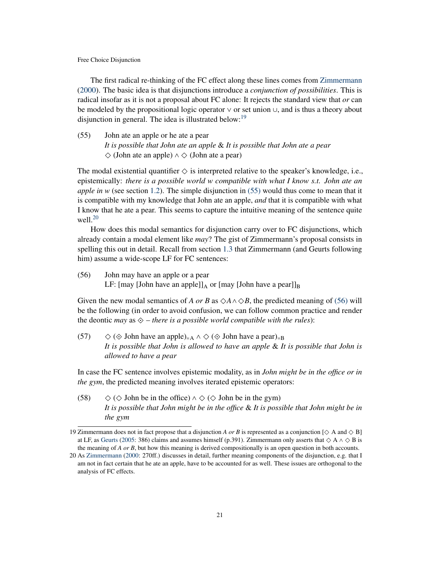The first radical re-thinking of the FC effect along these lines comes from [Zimmermann](#page-50-0) [\(2000\)](#page-50-0). The basic idea is that disjunctions introduce a *conjunction of possibilities*. This is radical insofar as it is not a proposal about FC alone: It rejects the standard view that *or* can be modeled by the propositional logic operator <sup>∨</sup> or set union <sup>∪</sup>, and is thus a theory about disjunction in general. The idea is illustrated below: $19$ 

<span id="page-20-1"></span>(55) John ate an apple or he ate a pear *It is possible that John ate an apple* & *It is possible that John ate a pear* ◇ (John ate an apple) ∧ ◇ (John ate a pear)

The modal existential quantifier  $\Diamond$  is interpreted relative to the speaker's knowledge, i.e., epistemically: *there is a possible world w compatible with what I know s.t. John ate an apple in w* (see section [1.2\)](#page-2-0). The simple disjunction in [\(55\)](#page-20-1) would thus come to mean that it is compatible with my knowledge that John ate an apple, *and* that it is compatible with what I know that he ate a pear. This seems to capture the intuitive meaning of the sentence quite well. $20$ 

How does this modal semantics for disjunction carry over to FC disjunctions, which already contain a modal element like *may*? The gist of Zimmermann's proposal consists in spelling this out in detail. Recall from section [1.3](#page-9-0) that Zimmermann (and Geurts following him) assume a wide-scope LF for FC sentences:

<span id="page-20-3"></span>(56) John may have an apple or a pear LF: [may [John have an apple]] $_A$  or [may [John have a pear]] $_B$ 

Given the new modal semantics of *A or B* as  $\Diamond A \land \Diamond B$ , the predicted meaning of [\(56\)](#page-20-3) will be the following (in order to avoid confusion, we can follow common practice and render the deontic *may* as  $\diamondsuit$  – *there is a possible world compatible with the rules*):

<span id="page-20-5"></span>(57)  $\Diamond$  ( $\Diamond$  John have an apple)<sub>=A</sub>  $\land$   $\Diamond$  ( $\Diamond$  John have a pear)<sub>=B</sub> *It is possible that John is allowed to have an apple* & *It is possible that John is allowed to have a pear*

In case the FC sentence involves epistemic modality, as in *John might be in the office or in the gym*, the predicted meaning involves iterated epistemic operators:

<span id="page-20-4"></span>(58)  $\Diamond$  ( $\Diamond$  John be in the office)  $\land$   $\Diamond$  ( $\Diamond$  John be in the gym) *It is possible that John might be in the office* & *It is possible that John might be in the gym*

<span id="page-20-0"></span><sup>19</sup> Zimmermann does not in fact propose that a disjunction *A or B* is represented as a conjunction  $[\diamondsuit A$  and  $\diamondsuit B]$ at LF, as [Geurts](#page-45-2) [\(2005:](#page-45-2) 386) claims and assumes himself (p.391). Zimmermann only asserts that  $\diamond$  A  $\wedge \diamond$  B is the meaning of *A or B*, but how this meaning is derived compositionally is an open question in both accounts.

<span id="page-20-2"></span><sup>20</sup> As [Zimmermann](#page-50-0) [\(2000:](#page-50-0) 270ff.) discusses in detail, further meaning components of the disjunction, e.g. that I am not in fact certain that he ate an apple, have to be accounted for as well. These issues are orthogonal to the analysis of FC effects.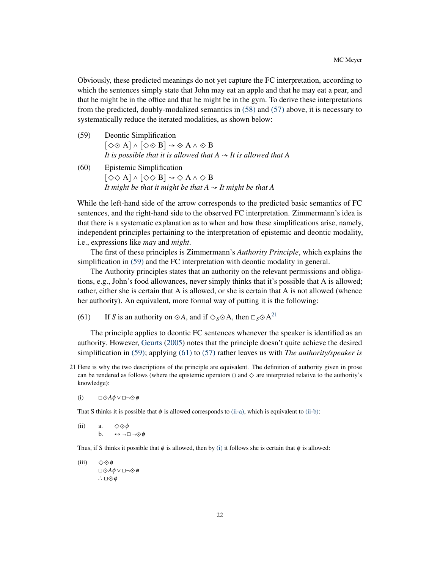Obviously, these predicted meanings do not yet capture the FC interpretation, according to which the sentences simply state that John may eat an apple and that he may eat a pear, and that he might be in the office and that he might be in the gym. To derive these interpretations from the predicted, doubly-modalized semantics in [\(58\)](#page-20-4) and [\(57\)](#page-20-5) above, it is necessary to systematically reduce the iterated modalities, as shown below:

- <span id="page-21-0"></span>(59) Deontic Simplification  $[\diamondsuit \diamondsuit A] \wedge [\diamondsuit \diamondsuit B] \rightarrow \diamondsuit A \wedge \diamondsuit B$ *It is possible that it is allowed that A*  $\rightarrow$  *It is allowed that A*
- <span id="page-21-6"></span>(60) Epistemic Simplification  $[\diamond \diamond A] \wedge [\diamond \diamond B] \rightarrow \diamond A \wedge \diamond B$ *It might be that it might be that A*  $\sim$  *It might be that A*

While the left-hand side of the arrow corresponds to the predicted basic semantics of FC sentences, and the right-hand side to the observed FC interpretation. Zimmermann's idea is that there is a systematic explanation as to when and how these simplifications arise, namely, independent principles pertaining to the interpretation of epistemic and deontic modality, i.e., expressions like *may* and *might*.

The first of these principles is Zimmermann's *Authority Principle*, which explains the simplification in [\(59\)](#page-21-0) and the FC interpretation with deontic modality in general.

The Authority principles states that an authority on the relevant permissions and obligations, e.g., John's food allowances, never simply thinks that it's possible that A is allowed; rather, either she is certain that A is allowed, or she is certain that A is not allowed (whence her authority). An equivalent, more formal way of putting it is the following:

<span id="page-21-2"></span>(61) If *S* is an authority on  $\otimes A$ , and if  $\Diamond$ *s* $\otimes$ A, then  $\Box$ *s* $\otimes$ A<sup>[21](#page-21-1)</sup>

The principle applies to deontic FC sentences whenever the speaker is identified as an authority. However, [Geurts](#page-45-2) [\(2005\)](#page-45-2) notes that the principle doesn't quite achieve the desired simplification in [\(59\);](#page-21-0) applying [\(61\)](#page-21-2) to [\(57\)](#page-20-5) rather leaves us with *The authority/speaker is*

<span id="page-21-5"></span>(i)  $\Box \diamondsuit A \phi \vee \Box \neg \diamondsuit \phi$ 

That S thinks it is possible that  $\phi$  is allowed corresponds to [\(ii-a\),](#page-21-3) which is equivalent to [\(ii-b\):](#page-21-4)

<span id="page-21-4"></span><span id="page-21-3"></span>(ii) a.  $\Diamond \Diamond \phi$ b.  $\leftrightarrow \neg \Box \neg \diamondsuit \phi$ 

Thus, if S thinks it possible that  $\phi$  is allowed, then by [\(i\)](#page-21-5) it follows she is certain that  $\phi$  is allowed:

(iii)  $\Diamond \Diamond \phi$ ◻⟐*A*φ ∨◻¬⟐φ  $\therefore$  □ $\diamondsuit$  $\phi$ 

<span id="page-21-1"></span><sup>21</sup> Here is why the two descriptions of the principle are equivalent. The definition of authority given in prose can be rendered as follows (where the epistemic operators  $\Box$  and  $\diamondsuit$  are interpreted relative to the authority's knowledge):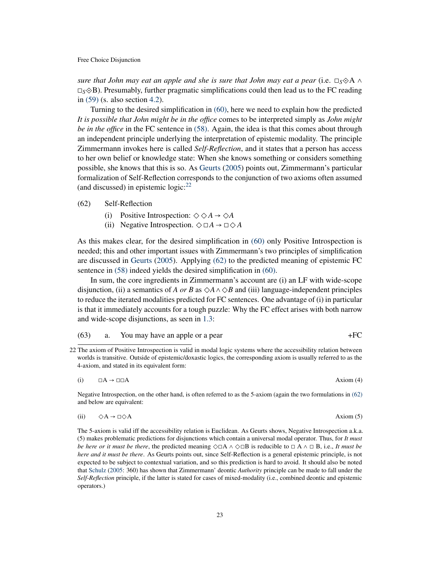*sure that John may eat an apple and she is sure that John may eat a pear* (i.e.  $\Box_S \Diamond A \wedge \Box_B$ <sup>◻</sup>*S*⟐B). Presumably, further pragmatic simplifications could then lead us to the FC reading in [\(59\)](#page-21-0) (s. also section [4.2\)](#page-32-0).

Turning to the desired simplification in [\(60\),](#page-21-6) here we need to explain how the predicted *It is possible that John might be in the office* comes to be interpreted simply as *John might be in the office* in the FC sentence in [\(58\).](#page-20-4) Again, the idea is that this comes about through an independent principle underlying the interpretation of epistemic modality. The principle Zimmermann invokes here is called *Self-Reflection*, and it states that a person has access to her own belief or knowledge state: When she knows something or considers something possible, she knows that this is so. As [Geurts](#page-45-2) [\(2005\)](#page-45-2) points out, Zimmermann's particular formalization of Self-Reflection corresponds to the conjunction of two axioms often assumed (and discussed) in epistemic  $logic:^{22}$  $logic:^{22}$  $logic:^{22}$ 

### <span id="page-22-1"></span>(62) Self-Reflection

- (i) Positive Introspection:  $\diamondsuit \diamond A \rightarrow \diamond A$
- (ii) Negative Introspection.  $\Diamond \Box A \rightarrow \Box \Diamond A$

As this makes clear, for the desired simplification in [\(60\)](#page-21-6) only Positive Introspection is needed; this and other important issues with Zimmermann's two principles of simplification are discussed in [Geurts](#page-45-2) [\(2005\)](#page-45-2). Applying [\(62\)](#page-22-1) to the predicted meaning of epistemic FC sentence in [\(58\)](#page-20-4) indeed yields the desired simplification in [\(60\).](#page-21-6)

In sum, the core ingredients in Zimmermann's account are (i) an LF with wide-scope disjunction, (ii) a semantics of *A or B* as  $\diamond A \land \diamond B$  and (iii) language-independent principles to reduce the iterated modalities predicted for FC sentences. One advantage of (i) in particular is that it immediately accounts for a tough puzzle: Why the FC effect arises with both narrow and wide-scope disjunctions, as seen in [1.3:](#page-9-0)

# $(63)$  a. You may have an apple or a pear  $+FC$

(i)  $\square A \rightarrow \square \square A$  Axiom (4)

Negative Introspection, on the other hand, is often referred to as the 5-axiom (again the two formulations in [\(62\)](#page-22-1) and below are equivalent:

<span id="page-22-2"></span>(ii) 
$$
\diamond A \rightarrow \square \diamond A
$$
 Axiom (5)

The 5-axiom is valid iff the accessibility relation is Euclidean. As Geurts shows, Negative Introspection a.k.a. (5) makes problematic predictions for disjunctions which contain a universal modal operator. Thus, for *It must be here or it must be there*, the predicted meaning  $\Diamond \Box A \land \Diamond \Box B$  is reducible to  $\Box A \land \Box B$ , *i.e., It must be here and it must be there*. As Geurts points out, since Self-Reflection is a general epistemic principle, is not expected to be subject to contextual variation, and so this prediction is hard to avoid. It should also be noted that [Schulz](#page-49-10) [\(2005:](#page-49-10) 360) has shown that Zimmermann' deontic *Authority* principle can be made to fall under the *Self-Reflection* principle, if the latter is stated for cases of mixed-modality (i.e., combined deontic and epistemic operators.)

<span id="page-22-0"></span><sup>22</sup> The axiom of Positive Introspection is valid in modal logic systems where the accessibility relation between worlds is transitive. Outside of epistemic/doxastic logics, the corresponding axiom is usually referred to as the 4-axiom, and stated in its equivalent form: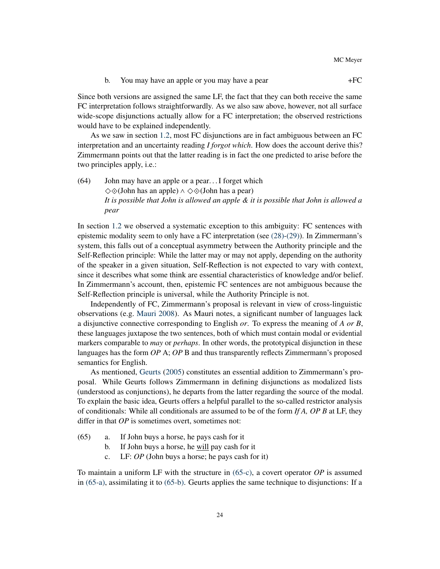b. You may have an apple or you may have a pear  $+FC$ 

Since both versions are assigned the same LF, the fact that they can both receive the same FC interpretation follows straightforwardly. As we also saw above, however, not all surface wide-scope disjunctions actually allow for a FC interpretation; the observed restrictions would have to be explained independently.

As we saw in section [1.2,](#page-2-0) most FC disjunctions are in fact ambiguous between an FC interpretation and an uncertainty reading *I forgot which*. How does the account derive this? Zimmermann points out that the latter reading is in fact the one predicted to arise before the two principles apply, i.e.:

(64) John may have an apple or a pear. . . I forget which ◇⟐(John has an apple) ∧ ◇⟐(John has a pear) *It is possible that John is allowed an apple & it is possible that John is allowed a pear*

In section [1.2](#page-2-0) we observed a systematic exception to this ambiguity: FC sentences with epistemic modality seem to only have a FC interpretation (see [\(28\)](#page-8-1)[-\(29\)\)](#page-8-2). In Zimmermann's system, this falls out of a conceptual asymmetry between the Authority principle and the Self-Reflection principle: While the latter may or may not apply, depending on the authority of the speaker in a given situation, Self-Reflection is not expected to vary with context, since it describes what some think are essential characteristics of knowledge and/or belief. In Zimmermann's account, then, epistemic FC sentences are not ambiguous because the Self-Reflection principle is universal, while the Authority Principle is not.

Independently of FC, Zimmermann's proposal is relevant in view of cross-linguistic observations (e.g. [Mauri](#page-47-11) [2008\)](#page-47-11). As Mauri notes, a significant number of languages lack a disjunctive connective corresponding to English *or*. To express the meaning of *A or B*, these languages juxtapose the two sentences, both of which must contain modal or evidential markers comparable to *may* or *perhaps*. In other words, the prototypical disjunction in these languages has the form *OP* A; *OP* B and thus transparently reflects Zimmermann's proposed semantics for English.

As mentioned, [Geurts](#page-45-2) [\(2005\)](#page-45-2) constitutes an essential addition to Zimmermann's proposal. While Geurts follows Zimmermann in defining disjunctions as modalized lists (understood as conjunctions), he departs from the latter regarding the source of the modal. To explain the basic idea, Geurts offers a helpful parallel to the so-called restrictor analysis of conditionals: While all conditionals are assumed to be of the form *If A, OP B* at LF, they differ in that *OP* is sometimes overt, sometimes not:

- <span id="page-23-2"></span><span id="page-23-1"></span><span id="page-23-0"></span>(65) a. If John buys a horse, he pays cash for it
	- b. If John buys a horse, he will pay cash for it
	- c. LF: *OP* (John buys a horse; he pays cash for it)

To maintain a uniform LF with the structure in [\(65-c\),](#page-23-0) a covert operator *OP* is assumed in [\(65-a\),](#page-23-1) assimilating it to [\(65-b\).](#page-23-2) Geurts applies the same technique to disjunctions: If a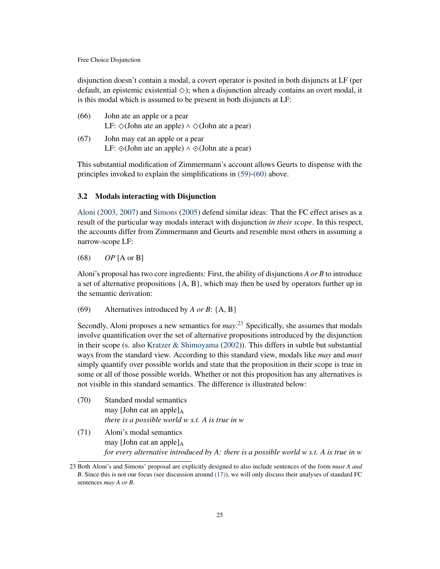disjunction doesn't contain a modal, a covert operator is posited in both disjuncts at LF (per default, an epistemic existential  $\Diamond$ ); when a disjunction already contains an overt modal, it is this modal which is assumed to be present in both disjuncts at LF:

| (66) | John ate an apple or a pear<br>LF: $\Diamond$ (John ate an apple) $\land \Diamond$ (John ate a pear) |
|------|------------------------------------------------------------------------------------------------------|
| (67) | John may eat an apple or a pear                                                                      |

LF:  $\diamondsuit$ (John ate an apple) ∧  $\diamondsuit$ (John ate a pear)

This substantial modification of Zimmermann's account allows Geurts to dispense with the principles invoked to explain the simplifications in [\(59\)](#page-21-0)[-\(60\)](#page-21-6) above.

### <span id="page-24-0"></span>3.2 Modals interacting with Disjunction

[Aloni](#page-43-2) [\(2003,](#page-43-2) [2007\)](#page-43-1) and [Simons](#page-49-0) [\(2005\)](#page-49-0) defend similar ideas: That the FC effect arises as a result of the particular way modals interact with disjunction *in their scope*. In this respect, the accounts differ from Zimmermann and Geurts and resemble most others in assuming a narrow-scope LF:

# (68) *OP* [A or B]

Aloni's proposal has two core ingredients: First, the ability of disjunctions *A or B* to introduce a set of alternative propositions  $\{A, B\}$ , which may then be used by operators further up in the semantic derivation:

<span id="page-24-2"></span>(69) Alternatives introduced by *A or B*: {A, B}

Secondly, Aloni proposes a new semantics for *may*. [23](#page-24-1) Specifically, she assumes that modals involve quantification over the set of alternative propositions introduced by the disjunction in their scope (s. also [Kratzer & Shimoyama](#page-47-12) [\(2002\)](#page-47-12)). This differs in subtle but substantial ways from the standard view. According to this standard view, modals like *may* and *must* simply quantify over possible worlds and state that the proposition in their scope is true in some or all of those possible worlds. Whether or not this proposition has any alternatives is not visible in this standard semantics. The difference is illustrated below:

- (70) Standard modal semantics may [John eat an apple] $_A$ *there is a possible world w s.t. A is true in w*
- <span id="page-24-3"></span>(71) Aloni's modal semantics may [John eat an apple] $_A$ *for every alternative introduced by A: there is a possible world w s.t. A is true in w*

<span id="page-24-1"></span><sup>23</sup> Both Aloni's and Simons' proposal are explicitly designed to also include sentences of the form *must A and B*. Since this is not our focus (see discussion around [\(17\)\)](#page-5-0), we will only discuss their analyses of standard FC sentences *may A or B*.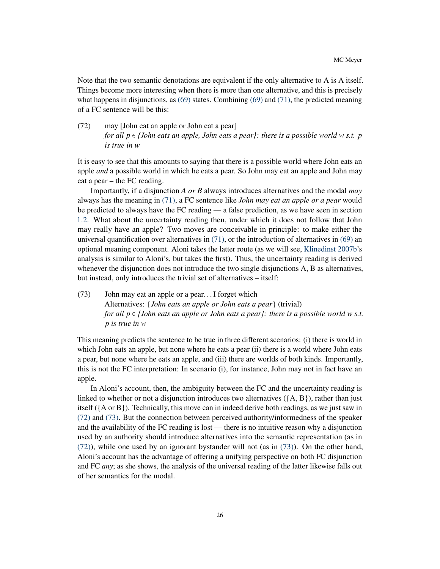Note that the two semantic denotations are equivalent if the only alternative to A is A itself. Things become more interesting when there is more than one alternative, and this is precisely what happens in disjunctions, as  $(69)$  states. Combining  $(69)$  and  $(71)$ , the predicted meaning of a FC sentence will be this:

<span id="page-25-0"></span>(72) may [John eat an apple or John eat a pear] *for all*  $p \in$  *{John eats an apple, John eats a pear}: there is a possible world w s.t. p is true in w*

It is easy to see that this amounts to saying that there is a possible world where John eats an apple *and* a possible world in which he eats a pear. So John may eat an apple and John may eat a pear – the FC reading.

Importantly, if a disjunction *A or B* always introduces alternatives and the modal *may* always has the meaning in [\(71\),](#page-24-3) a FC sentence like *John may eat an apple or a pear* would be predicted to always have the FC reading — a false prediction, as we have seen in section [1.2.](#page-2-0) What about the uncertainty reading then, under which it does not follow that John may really have an apple? Two moves are conceivable in principle: to make either the universal quantification over alternatives in  $(71)$ , or the introduction of alternatives in  $(69)$  an optional meaning component. Aloni takes the latter route (as we will see, [Klinedinst](#page-47-0) [2007b'](#page-47-0)s analysis is similar to Aloni's, but takes the first). Thus, the uncertainty reading is derived whenever the disjunction does not introduce the two single disjunctions A, B as alternatives, but instead, only introduces the trivial set of alternatives – itself:

<span id="page-25-1"></span>(73) John may eat an apple or a pear. . . I forget which Alternatives: {*John eats an apple or John eats a pear*} (trivial) *for all <sup>p</sup>* <sup>∈</sup> *{John eats an apple or John eats a pear}: there is a possible world <sup>w</sup> s.t. p is true in w*

This meaning predicts the sentence to be true in three different scenarios: (i) there is world in which John eats an apple, but none where he eats a pear (ii) there is a world where John eats a pear, but none where he eats an apple, and (iii) there are worlds of both kinds. Importantly, this is not the FC interpretation: In scenario (i), for instance, John may not in fact have an apple.

In Aloni's account, then, the ambiguity between the FC and the uncertainty reading is linked to whether or not a disjunction introduces two alternatives  $({A, B})$ , rather than just itself ({A or B}). Technically, this move can in indeed derive both readings, as we just saw in [\(72\)](#page-25-0) and [\(73\).](#page-25-1) But the connection between perceived authority/informedness of the speaker and the availability of the FC reading is lost — there is no intuitive reason why a disjunction used by an authority should introduce alternatives into the semantic representation (as in [\(72\)\)](#page-25-0), while one used by an ignorant bystander will not (as in [\(73\)\)](#page-25-1). On the other hand, Aloni's account has the advantage of offering a unifying perspective on both FC disjunction and FC *any*; as she shows, the analysis of the universal reading of the latter likewise falls out of her semantics for the modal.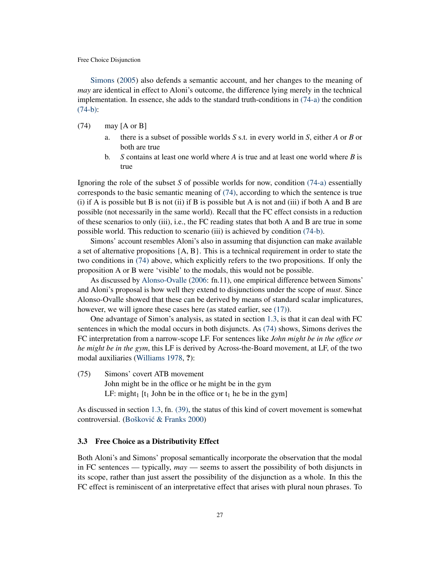[Simons](#page-49-0) [\(2005\)](#page-49-0) also defends a semantic account, and her changes to the meaning of *may* are identical in effect to Aloni's outcome, the difference lying merely in the technical implementation. In essence, she adds to the standard truth-conditions in [\(74-a\)](#page-26-1) the condition [\(74-b\):](#page-26-2)

- <span id="page-26-3"></span><span id="page-26-2"></span><span id="page-26-1"></span>(74) may [A or B]
	- a. there is a subset of possible worlds *S* s.t. in every world in *S*, either *A* or *B* or both are true
	- b. *S* contains at least one world where *A* is true and at least one world where *B* is true

Ignoring the role of the subset *S* of possible worlds for now, condition [\(74-a\)](#page-26-1) essentially corresponds to the basic semantic meaning of [\(74\),](#page-26-3) according to which the sentence is true (i) if A is possible but B is not (ii) if B is possible but A is not and (iii) if both A and B are possible (not necessarily in the same world). Recall that the FC effect consists in a reduction of these scenarios to only (iii), i.e., the FC reading states that both A and B are true in some possible world. This reduction to scenario (iii) is achieved by condition [\(74-b\).](#page-26-2)

Simons' account resembles Aloni's also in assuming that disjunction can make available a set of alternative propositions  ${A, B}$ . This is a technical requirement in order to state the two conditions in [\(74\)](#page-26-3) above, which explicitly refers to the two propositions. If only the proposition A or B were 'visible' to the modals, this would not be possible.

As discussed by [Alonso-Ovalle](#page-43-0) [\(2006:](#page-43-0) fn.11), one empirical difference between Simons' and Aloni's proposal is how well they extend to disjunctions under the scope of *must*. Since Alonso-Ovalle showed that these can be derived by means of standard scalar implicatures, however, we will ignore these cases here (as stated earlier, see [\(17\)\)](#page-5-0).

One advantage of Simon's analysis, as stated in section [1.3,](#page-9-0) is that it can deal with FC sentences in which the modal occurs in both disjuncts. As [\(74\)](#page-26-3) shows, Simons derives the FC interpretation from a narrow-scope LF. For sentences like *John might be in the office or he might be in the gym*, this LF is derived by Across-the-Board movement, at LF, of the two modal auxiliaries [\(Williams](#page-50-2) [1978,](#page-50-2) ?):

(75) Simons' covert ATB movement John might be in the office or he might be in the gym LF: might<sub>1</sub> [t<sub>1</sub> John be in the office or t<sub>1</sub> he be in the gym]

As discussed in section [1.3,](#page-9-0) fn. [\(39\),](#page-12-1) the status of this kind of covert movement is somewhat controversial. (Bošković & Franks [2000\)](#page-44-2)

### <span id="page-26-0"></span>3.3 Free Choice as a Distributivity Effect

Both Aloni's and Simons' proposal semantically incorporate the observation that the modal in FC sentences — typically, *may* — seems to assert the possibility of both disjuncts in its scope, rather than just assert the possibility of the disjunction as a whole. In this the FC effect is reminiscent of an interpretative effect that arises with plural noun phrases. To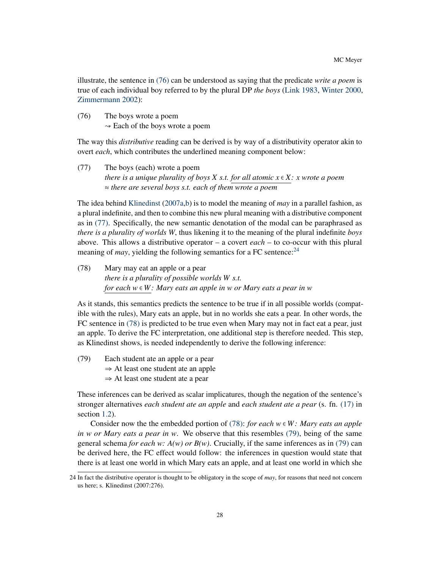illustrate, the sentence in [\(76\)](#page-27-0) can be understood as saying that the predicate *write a poem* is true of each individual boy referred to by the plural DP *the boys* [\(Link](#page-47-13) [1983,](#page-47-13) [Winter](#page-50-7) [2000,](#page-50-7) [Zimmermann](#page-50-8) [2002\)](#page-50-8):

<span id="page-27-0"></span>(76) The boys wrote a poem  $\sim$  Each of the boys wrote a poem

The way this *distributive* reading can be derived is by way of a distributivity operator akin to overt *each*, which contributes the underlined meaning component below:

<span id="page-27-1"></span>(77) The boys (each) wrote a poem *there is a unique plurality of boys X s.t. for all atomic x* <sup>∈</sup> *X: x wrote a poem* <sup>≈</sup> *there are several boys s.t. each of them wrote a poem*

The idea behind [Klinedinst](#page-46-5) [\(2007a](#page-46-5)[,b\)](#page-47-0) is to model the meaning of *may* in a parallel fashion, as a plural indefinite, and then to combine this new plural meaning with a distributive component as in [\(77\).](#page-27-1) Specifically, the new semantic denotation of the modal can be paraphrased as *there is a plurality of worlds W*, thus likening it to the meaning of the plural indefinite *boys* above. This allows a distributive operator – a covert *each* – to co-occur with this plural meaning of *may*, yielding the following semantics for a FC sentence:  $24$ 

<span id="page-27-3"></span>(78) Mary may eat an apple or a pear *there is a plurality of possible worlds W s.t. for each w* <sup>∈</sup> *W: Mary eats an apple in w or Mary eats a pear in w*

As it stands, this semantics predicts the sentence to be true if in all possible worlds (compatible with the rules), Mary eats an apple, but in no worlds she eats a pear. In other words, the FC sentence in [\(78\)](#page-27-3) is predicted to be true even when Mary may not in fact eat a pear, just an apple. To derive the FC interpretation, one additional step is therefore needed. This step, as Klinedinst shows, is needed independently to derive the following inference:

<span id="page-27-4"></span>(79) Each student ate an apple or a pear  $\Rightarrow$  At least one student ate an apple <sup>⇒</sup> At least one student ate a pear

These inferences can be derived as scalar implicatures, though the negation of the sentence's stronger alternatives *each student ate an apple* and *each student ate a pear* (s. fn. [\(17\)](#page-5-3) in section [1.2\)](#page-2-0).

Consider now the the embedded portion of [\(78\):](#page-27-3) *for each*  $w \in W$ : *Mary eats an apple in w or Mary eats a pear in w*. We observe that this resembles [\(79\),](#page-27-4) being of the same general schema *for each w: A(w) or B(w)*. Crucially, if the same inferences as in [\(79\)](#page-27-4) can be derived here, the FC effect would follow: the inferences in question would state that there is at least one world in which Mary eats an apple, and at least one world in which she

<span id="page-27-2"></span><sup>24</sup> In fact the distributive operator is thought to be obligatory in the scope of *may*, for reasons that need not concern us here; s. Klinedinst (2007:276).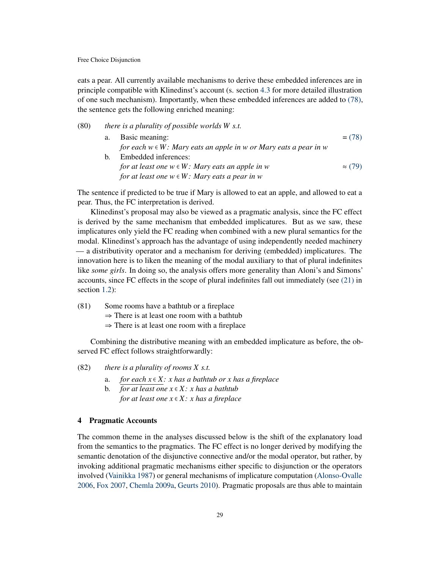eats a pear. All currently available mechanisms to derive these embedded inferences are in principle compatible with Klinedinst's account (s. section [4.3](#page-36-0) for more detailed illustration of one such mechanism). Importantly, when these embedded inferences are added to [\(78\),](#page-27-3) the sentence gets the following enriched meaning:

# (80) *there is a plurality of possible worlds W s.t.*

| a. | Basic meaning:                                                        | $= (78)$       |
|----|-----------------------------------------------------------------------|----------------|
|    | for each $w \in W$ : Mary eats an apple in w or Mary eats a pear in w |                |
| b. | Embedded inferences:                                                  |                |
|    | for at least one $w \in W$ : Mary eats an apple in w                  | $\approx$ (79) |
|    | for at least one $w \in W$ : Mary eats a pear in w                    |                |
|    |                                                                       |                |

The sentence if predicted to be true if Mary is allowed to eat an apple, and allowed to eat a pear. Thus, the FC interpretation is derived.

Klinedinst's proposal may also be viewed as a pragmatic analysis, since the FC effect is derived by the same mechanism that embedded implicatures. But as we saw, these implicatures only yield the FC reading when combined with a new plural semantics for the modal. Klinedinst's approach has the advantage of using independently needed machinery — a distributivity operator and a mechanism for deriving (embedded) implicatures. The innovation here is to liken the meaning of the modal auxiliary to that of plural indefinites like *some girls*. In doing so, the analysis offers more generality than Aloni's and Simons' accounts, since FC effects in the scope of plural indefinites fall out immediately (see [\(21\)](#page-6-3) in section [1.2\)](#page-2-0):

- (81) Some rooms have a bathtub or a fireplace
	- $\Rightarrow$  There is at least one room with a bathtub
	- $\Rightarrow$  There is at least one room with a fireplace

Combining the distributive meaning with an embedded implicature as before, the observed FC effect follows straightforwardly:

- (82) *there is a plurality of rooms X s.t.*
	- a. *for each*  $x \in X$ : *x* has a bathtub or *x* has a fireplace<br>b. *for at least one*  $x \in X$ : *x* has a bathtub
	- b. *for at least one x* <sup>∈</sup> *X : x has a bathtub for at least one*  $x \in X$ *: x has a fireplace*

#### <span id="page-28-0"></span>4 Pragmatic Accounts

The common theme in the analyses discussed below is the shift of the explanatory load from the semantics to the pragmatics. The FC effect is no longer derived by modifying the semantic denotation of the disjunctive connective and/or the modal operator, but rather, by invoking additional pragmatic mechanisms either specific to disjunction or the operators involved [\(Vainikka](#page-50-1) [1987\)](#page-50-1) or general mechanisms of implicature computation [\(Alonso-Ovalle](#page-43-0) [2006,](#page-43-0) [Fox](#page-45-0) [2007,](#page-45-0) [Chemla](#page-44-4) [2009a,](#page-44-4) [Geurts](#page-45-8) [2010\)](#page-45-8). Pragmatic proposals are thus able to maintain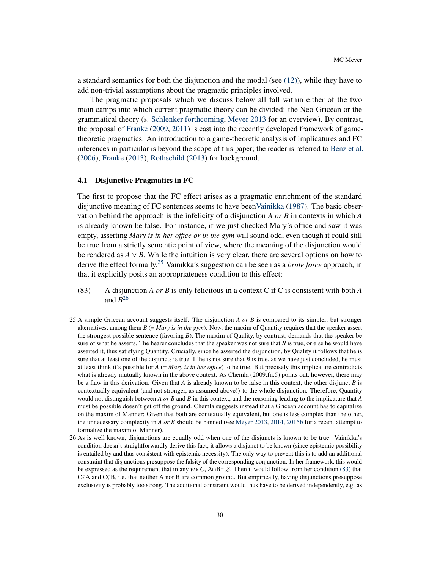a standard semantics for both the disjunction and the modal (see  $(12)$ ), while they have to add non-trivial assumptions about the pragmatic principles involved.

The pragmatic proposals which we discuss below all fall within either of the two main camps into which current pragmatic theory can be divided: the Neo-Gricean or the grammatical theory (s. [Schlenker](#page-49-11) [forthcoming,](#page-49-11) [Meyer](#page-48-5) [2013](#page-48-5) for an overview). By contrast, the proposal of [Franke](#page-45-9) [\(2009,](#page-45-9) [2011\)](#page-45-10) is cast into the recently developed framework of gametheoretic pragmatics. An introduction to a game-theoretic analysis of implicatures and FC inferences in particular is beyond the scope of this paper; the reader is referred to [Benz et al.](#page-43-11) [\(2006\)](#page-43-11), [Franke](#page-45-11) [\(2013\)](#page-45-11), [Rothschild](#page-49-12) [\(2013\)](#page-49-12) for background.

### <span id="page-29-0"></span>4.1 Disjunctive Pragmatics in FC

The first to propose that the FC effect arises as a pragmatic enrichment of the standard disjunctive meaning of FC sentences seems to have bee[nVainikka](#page-50-1) [\(1987\)](#page-50-1). The basic observation behind the approach is the infelicity of a disjunction *A or B* in contexts in which *A* is already known be false. For instance, if we just checked Mary's office and saw it was empty, asserting *Mary is in her office or in the gym* will sound odd, even though it could still be true from a strictly semantic point of view, where the meaning of the disjunction would be rendered as  $A \vee B$ . While the intuition is very clear, there are several options on how to derive the effect formally.[25](#page-29-1) Vainikka's suggestion can be seen as a *brute force* approach, in that it explicitly posits an appropriateness condition to this effect:

<span id="page-29-3"></span>(83) A disjunction *A or B* is only felicitous in a context C if C is consistent with both *A* and  $B^{26}$  $B^{26}$  $B^{26}$ 

<span id="page-29-1"></span><sup>25</sup> A simple Gricean account suggests itself: The disjunction *A or B* is compared to its simpler, but stronger alternatives, among them *B* (= *Mary is in the gym*). Now, the maxim of Quantity requires that the speaker assert the strongest possible sentence (favoring *B*). The maxim of Quality, by contrast, demands that the speaker be sure of what he asserts. The hearer concludes that the speaker was not sure that *B* is true, or else he would have asserted it, thus satisfying Quantity. Crucially, since he asserted the disjunction, by Quality it follows that he is sure that at least one of the disjuncts is true. If he is not sure that  $B$  is true, as we have just concluded, he must at least think it's possible for *A* (= *Mary is in her office*) to be true. But precisely this implicature contradicts what is already mutually known in the above context. As Chemla (2009:fn.5) points out, however, there may be a flaw in this derivation: Given that *A* is already known to be false in this context, the other disjunct *B* is contextually equivalent (and not stronger, as assumed above!) to the whole disjunction. Therefore, Quantity would not distinguish between *A or B* and *B* in this context, and the reasoning leading to the implicature that *A* must be possible doesn't get off the ground. Chemla suggests instead that a Gricean account has to capitalize on the maxim of Manner: Given that both are contextually equivalent, but one is less complex than the other, the unnecessary complexity in *A or B* should be banned (see [Meyer](#page-48-5) [2013,](#page-48-5) [2014,](#page-48-6) [2015b](#page-48-11) for a recent attempt to formalize the maxim of Manner).

<span id="page-29-2"></span><sup>26</sup> As is well known, disjunctions are equally odd when one of the disjuncts is known to be true. Vainikka's condition doesn't straightforwardly derive this fact; it allows a disjunct to be known (since epistemic possibility is entailed by and thus consistent with epistemic necessity). The only way to prevent this is to add an additional constraint that disjunctions presuppose the falsity of the corresponding conjunction. In her framework, this would be expressed as the requirement that in any  $w \in C$ , A∩B=  $\varnothing$ . Then it would follow from her condition [\(83\)](#page-29-3) that C⊊A and C⊊B, i.e. that neither A nor B are common ground. But empirically, having disjunctions presuppose exclusivity is probably too strong. The additional constraint would thus have to be derived independently, e.g. as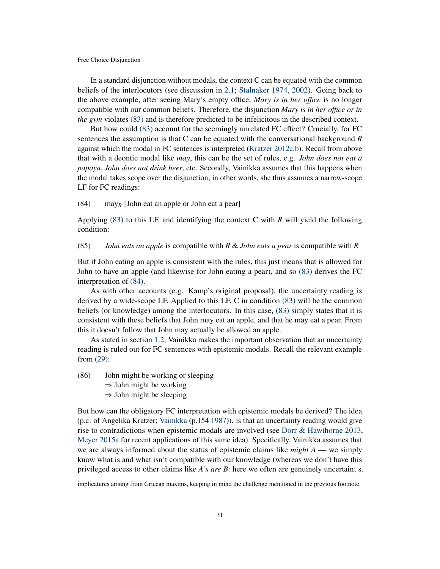In a standard disjunction without modals, the context C can be equated with the common beliefs of the interlocutors (see discussion in [2.1;](#page-16-0) [Stalnaker](#page-49-7) [1974,](#page-49-7) [2002\)](#page-50-5). Going back to the above example, after seeing Mary's empty office, *Mary is in her office* is no longer compatible with our common beliefs. Therefore, the disjunction *Mary is in her office or in the gym* violates [\(83\)](#page-29-3) and is therefore predicted to be infelicitous in the described context.

But how could [\(83\)](#page-29-3) account for the seemingly unrelated FC effect? Crucially, for FC sentences the assumption is that C can be equated with the conversational background *R* against which the modal in FC sentences is interpreted [\(Kratzer](#page-47-14) [2012c,](#page-47-14)[b\)](#page-47-15). Recall from above that with a deontic modal like *may*, this can be the set of rules, e.g. *John does not eat a papaya*, *John does not drink beer*, etc. Secondly, Vainikka assumes that this happens when the modal takes scope over the disjunction; in other words, she thus assumes a narrow-scope LF for FC readings:

<span id="page-30-0"></span>(84) may*<sup>R</sup>* [John eat an apple or John eat a pear]

Applying [\(83\)](#page-29-3) to this LF, and identifying the context C with *R* will yield the following condition:

<span id="page-30-2"></span>(85) *John eats an apple* is compatible with *R* & *John eats a pear* is compatible with *R*

But if John eating an apple is consistent with the rules, this just means that is allowed for John to have an apple (and likewise for John eating a pear), and so [\(83\)](#page-29-3) derives the FC interpretation of [\(84\).](#page-30-0)

As with other accounts (e.g. Kamp's original proposal), the uncertainty reading is derived by a wide-scope LF. Applied to this LF, C in condition [\(83\)](#page-29-3) will be the common beliefs (or knowledge) among the interlocutors. In this case, [\(83\)](#page-29-3) simply states that it is consistent with these beliefs that John may eat an apple, and that he may eat a pear. From this it doesn't follow that John may actually be allowed an apple.

As stated in section [1.2,](#page-2-0) Vainikka makes the important observation that an uncertainty reading is ruled out for FC sentences with epistemic modals. Recall the relevant example from [\(29\):](#page-8-2)

<span id="page-30-1"></span>(86) John might be working or sleeping

- $\Rightarrow$  John might be working
- $\Rightarrow$  John might be sleeping

But how can the obligatory FC interpretation with epistemic modals be derived? The idea (p.c. of Angelika Kratzer; [Vainikka](#page-50-1) (p.154 [1987\)](#page-50-1)). is that an uncertainty reading would give rise to contradictions when epistemic modals are involved (see [Dorr & Hawthorne](#page-45-12) [2013,](#page-45-12) [Meyer](#page-48-12) [2015a](#page-48-12) for recent applications of this same idea). Specifically, Vainikka assumes that we are always informed about the status of epistemic claims like *might A* — we simply know what is and what isn't compatible with our knowledge (whereas we don't have this privileged access to other claims like *A's are B*: here we often are genuinely uncertain; s.

implicatures arising from Gricean maxims, keeping in mind the challenge mentioned in the previous footnote.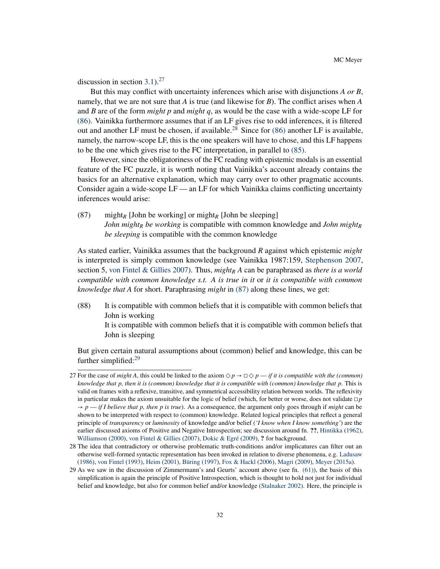discussion in section [3.1\)](#page-19-1).<sup>[27](#page-31-0)</sup>

But this may conflict with uncertainty inferences which arise with disjunctions *A or B*, namely, that we are not sure that *A* is true (and likewise for *B*). The conflict arises when *A* and *B* are of the form *might p* and *might q*, as would be the case with a wide-scope LF for [\(86\).](#page-30-1) Vainikka furthermore assumes that if an LF gives rise to odd inferences, it is filtered out and another LF must be chosen, if available.<sup>[28](#page-31-1)</sup> Since for  $(86)$  another LF is available, namely, the narrow-scope LF, this is the one speakers will have to chose, and this LF happens to be the one which gives rise to the FC interpretation, in parallel to [\(85\).](#page-30-2)

However, since the obligatoriness of the FC reading with epistemic modals is an essential feature of the FC puzzle, it is worth noting that Vainikka's account already contains the basics for an alternative explanation, which may carry over to other pragmatic accounts. Consider again a wide-scope LF — an LF for which Vainikka claims conflicting uncertainty inferences would arise:

<span id="page-31-2"></span>(87) might*<sup>R</sup>* [John be working] or might*<sup>R</sup>* [John be sleeping] *John might<sup>R</sup> be working* is compatible with common knowledge and *John might<sup>R</sup> be sleeping* is compatible with the common knowledge

As stated earlier, Vainikka assumes that the background *R* against which epistemic *might* is interpreted is simply common knowledge (see Vainikka 1987:159, [Stephenson](#page-50-9) [2007,](#page-50-9) section 5, [von Fintel & Gillies](#page-45-13) [2007\)](#page-45-13). Thus, *might<sup>R</sup> A* can be paraphrased as *there is a world compatible with common knowledge s.t. A is true in it* or *it is compatible with common knowledge that A* for short. Paraphrasing *might* in [\(87\)](#page-31-2) along these lines, we get:

(88) It is compatible with common beliefs that it is compatible with common beliefs that John is working It is compatible with common beliefs that it is compatible with common beliefs that John is sleeping

But given certain natural assumptions about (common) belief and knowledge, this can be further simplified: $29$ 

<span id="page-31-0"></span><sup>27</sup> For the case of *might A*, this could be linked to the axiom  $\Diamond p \rightarrow \Box \Diamond p$  — *if it is compatible with the (common) knowledge that p, then it is (common) knowledge that it is compatible with (common) knowledge that p*. This is valid on frames with a reflexive, transitive, and symmetrical accessibility relation between worlds. The reflexivity in particular makes the axiom unsuitable for the logic of belief (which, for better or worse, does not validate  $\Box p$  $\rightarrow$  *p* — *if I believe that p, then p is true*). As a consequence, the argument only goes through if *might* can be shown to be interpreted with respect to (common) knowledge. Related logical principles that reflect a general principle of *transparency* or *luminosity* of knowledge and/or belief (*'I know when I know something'*) are the earlier discussed axioms of Positive and Negative Introspection; see discussion around fn. ??, [Hintikka](#page-46-14) [\(1962\)](#page-46-14), [Williamson](#page-50-10) [\(2000\)](#page-50-10), [von Fintel & Gillies](#page-45-13) [\(2007\)](#page-45-13), [Dokic & Egré](#page-44-5) [\(2009\)](#page-44-5), ? for background.

<span id="page-31-1"></span><sup>28</sup> The idea that contradictory or otherwise problematic truth-conditions and/or implicatures can filter out an otherwise well-formed syntactic representation has been invoked in relation to diverse phenomena, e.g. [Ladusaw](#page-47-16) [\(1986\)](#page-47-16), [von Fintel](#page-45-14) [\(1993\)](#page-45-14), [Heim](#page-46-15) [\(2001\)](#page-46-15), [Büring](#page-44-6) [\(1997\)](#page-44-6), [Fox & Hackl](#page-45-15) [\(2006\)](#page-45-15), [Magri](#page-47-17) [\(2009\)](#page-47-17), [Meyer](#page-48-12) [\(2015a\)](#page-48-12).

<span id="page-31-3"></span><sup>29</sup> As we saw in the discussion of Zimmermann's and Geurts' account above (see fn. [\(61\)\)](#page-22-2), the basis of this simplification is again the principle of Positive Introspection, which is thought to hold not just for individual belief and knowledge, but also for common belief and/or knowledge [\(Stalnaker](#page-50-5) [2002\)](#page-50-5). Here, the principle is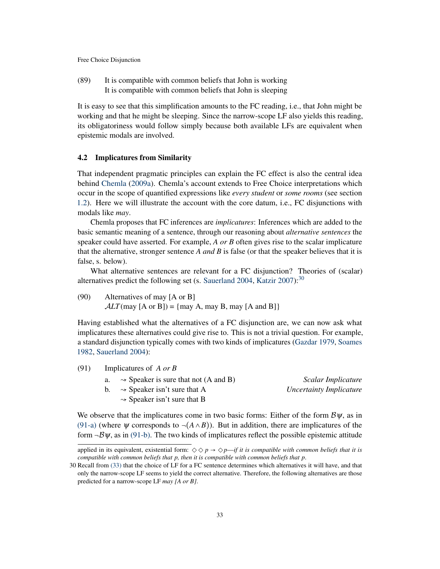(89) It is compatible with common beliefs that John is working It is compatible with common beliefs that John is sleeping

It is easy to see that this simplification amounts to the FC reading, i.e., that John might be working and that he might be sleeping. Since the narrow-scope LF also yields this reading, its obligatoriness would follow simply because both available LFs are equivalent when epistemic modals are involved.

### <span id="page-32-0"></span>4.2 Implicatures from Similarity

That independent pragmatic principles can explain the FC effect is also the central idea behind [Chemla](#page-44-4) [\(2009a\)](#page-44-4). Chemla's account extends to Free Choice interpretations which occur in the scope of quantified expressions like *every student* or *some rooms* (see section [1.2\)](#page-2-0). Here we will illustrate the account with the core datum, i.e., FC disjunctions with modals like *may*.

Chemla proposes that FC inferences are *implicatures*: Inferences which are added to the basic semantic meaning of a sentence, through our reasoning about *alternative sentences* the speaker could have asserted. For example, *A or B* often gives rise to the scalar implicature that the alternative, stronger sentence *A and B* is false (or that the speaker believes that it is false, s. below).

What alternative sentences are relevant for a FC disjunction? Theories of (scalar) alternatives predict the following set (s. [Sauerland](#page-49-1) [2004,](#page-49-1) [Katzir](#page-46-3) [2007\)](#page-46-3): $30$ 

<span id="page-32-5"></span>(90) Alternatives of may [A or B]  $ALT$ (may [A or B]) = {may A, may B, may [A and B]}

Having established what the alternatives of a FC disjunction are, we can now ask what implicatures these alternatives could give rise to. This is not a trivial question. For example, a standard disjunction typically comes with two kinds of implicatures [\(Gazdar](#page-45-3) [1979,](#page-45-3) [Soames](#page-49-2) [1982,](#page-49-2) [Sauerland](#page-49-1) [2004\)](#page-49-1):

- <span id="page-32-4"></span><span id="page-32-3"></span><span id="page-32-2"></span>(91) Implicatures of *A or B*
	- a. **→ Speaker is sure that not (A and B)** *Scalar Implicature*<br>b. → Speaker isn't sure that A *Uncertainty Implicature* 
		-

 $\sim$  Speaker isn't sure that B

 $\sim$  Speaker isn't sure that A

We observe that the implicatures come in two basic forms: Either of the form  $\mathcal{B}\psi$ , as in [\(91-a\)](#page-32-2) (where  $\psi$  corresponds to  $\neg$ ( $A \land B$ )). But in addition, there are implicatures of the form  $\neg B\psi$ , as in [\(91-b\).](#page-32-3) The two kinds of implicatures reflect the possible epistemic attitude

applied in its equivalent, existential form:  $\Diamond \Diamond p \rightarrow \Diamond p$ —*if it is compatible with common beliefs that it is compatible with common beliefs that p, then it is compatible with common beliefs that p*.

<span id="page-32-1"></span><sup>30</sup> Recall from [\(33\)](#page-10-4) that the choice of LF for a FC sentence determines which alternatives it will have, and that only the narrow-scope LF seems to yield the correct alternative. Therefore, the following alternatives are those predicted for a narrow-scope LF *may [A or B]*.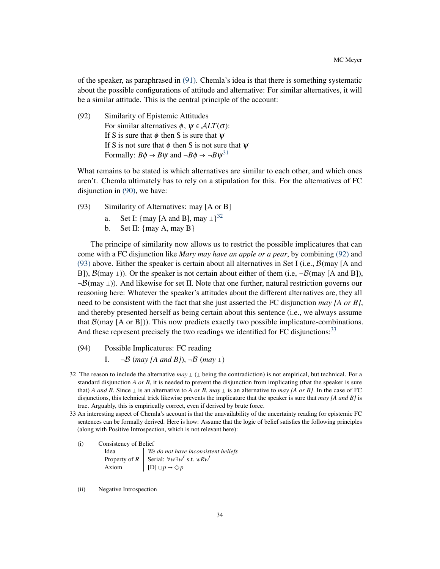of the speaker, as paraphrased in [\(91\).](#page-32-4) Chemla's idea is that there is something systematic about the possible configurations of attitude and alternative: For similar alternatives, it will be a similar attitude. This is the central principle of the account:

<span id="page-33-1"></span>(92) Similarity of Epistemic Attitudes For similar alternatives  $\phi$ ,  $\psi \in ALT(\sigma)$ : If S is sure that  $\phi$  then S is sure that  $\psi$ If S is not sure that  $\phi$  then S is not sure that  $\psi$ Formally:  $B\phi \rightarrow B\psi$  and  $\neg B\phi \rightarrow \neg B\psi^{31}$  $\neg B\phi \rightarrow \neg B\psi^{31}$  $\neg B\phi \rightarrow \neg B\psi^{31}$ 

What remains to be stated is which alternatives are similar to each other, and which ones aren't. Chemla ultimately has to rely on a stipulation for this. For the alternatives of FC disjunction in [\(90\),](#page-32-5) we have:

- <span id="page-33-2"></span>(93) Similarity of Alternatives: may [A or B]
	- a. Set I:  $\{\text{may } [A \text{ and } B], \text{may } \perp\}^{32}$  $\{\text{may } [A \text{ and } B], \text{may } \perp\}^{32}$  $\{\text{may } [A \text{ and } B], \text{may } \perp\}^{32}$
	- b. Set II:  $\{may A, may B\}$

<span id="page-33-5"></span>The principe of similarity now allows us to restrict the possible implicatures that can come with a FC disjunction like *Mary may have an apple or a pear*, by combining [\(92\)](#page-33-1) and [\(93\)](#page-33-2) above. Either the speaker is certain about all alternatives in Set I (i.e.,  $\mathcal{B}(\text{may } | \text{A} \text{ and } \text{A})$ B]),  $\mathcal{B}$ (may  $\perp$ )). Or the speaker is not certain about either of them (i.e,  $\neg \mathcal{B}$ (may [A and B]),  $\neg \mathcal{B}(\text{may } \perp)$ . And likewise for set II. Note that one further, natural restriction governs our reasoning here: Whatever the speaker's attitudes about the different alternatives are, they all need to be consistent with the fact that she just asserted the FC disjunction *may [A or B]*, and thereby presented herself as being certain about this sentence (i.e., we always assume that  $\mathcal{B}(\text{may } [A \text{ or } B])$ . This now predicts exactly two possible implicature-combinations. And these represent precisely the two readings we identified for FC disjunctions:<sup>[33](#page-33-3)</sup>

- <span id="page-33-4"></span>(94) Possible Implicatures: FC reading
	- I.  $\neg B$  (*may* [A and B]),  $\neg B$  (*may*  $\perp$ )

(ii) Negative Introspection

<span id="page-33-0"></span><sup>32</sup> The reason to include the alternative  $may \perp (\perp$  being the contradiction) is not empirical, but technical. For a standard disjunction *A or B*, it is needed to prevent the disjunction from implicating (that the speaker is sure that) *A and B*. Since  $\perp$  is an alternative to *A or B*, *may*  $\perp$  is an alternative to *may [A or B]*. In the case of FC disjunctions, this technical trick likewise prevents the implicature that the speaker is sure that *may [A and B]* is true. Arguably, this is empirically correct, even if derived by brute force.

<span id="page-33-3"></span><sup>33</sup> An interesting aspect of Chemla's account is that the unavailability of the uncertainty reading for epistemic FC sentences can be formally derived. Here is how: Assume that the logic of belief satisfies the following principles (along with Positive Introspection, which is not relevant here):

<sup>(</sup>i) Consistency of Belief Idea *We do not have inconsistent beliefs* Property of  $R$  Serial:  $\forall w \exists w'$  s.t.  $wRw'$ Axiom  $[D] \Box p \rightarrow \Diamond p$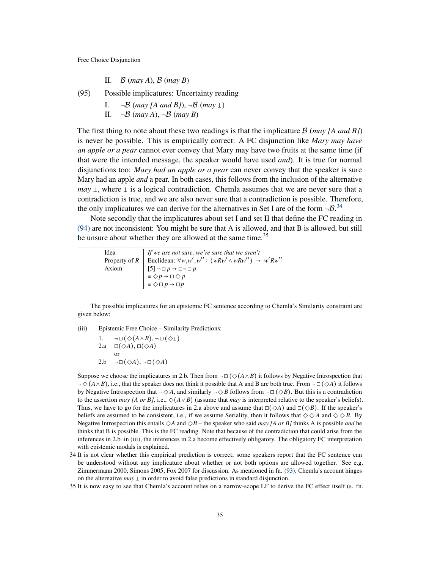II. <sup>B</sup> (*may A*), <sup>B</sup> (*may B*)

<span id="page-34-3"></span>(95) Possible implicatures: Uncertainty reading

- I.  $\neg B \text{ (may } [A \text{ and } B]), \neg B \text{ (may } \bot)$ <br>II.  $\neg B \text{ (may } A), \neg B \text{ (may } B)$
- $\neg B$  (*may A*),  $\neg B$  (*may B*)

The first thing to note about these two readings is that the implicature <sup>B</sup> (*may [A and B]*) is never be possible. This is empirically correct: A FC disjunction like *Mary may have an apple or a pear* cannot ever convey that Mary may have two fruits at the same time (if that were the intended message, the speaker would have used *and*). It is true for normal disjunctions too: *Mary had an apple or a pear* can never convey that the speaker is sure Mary had an apple *and* a pear. In both cases, this follows from the inclusion of the alternative *may*  $\perp$ , where  $\perp$  is a logical contradiction. Chemla assumes that we are never sure that a contradiction is true, and we are also never sure that a contradiction is possible. Therefore, the only implicatures we can derive for the alternatives in Set I are of the form  $-\mathcal{B}^{34}$  $-\mathcal{B}^{34}$  $-\mathcal{B}^{34}$ .

Note secondly that the implicatures about set I and set II that define the FC reading in [\(94\)](#page-33-4) are not inconsistent: You might be sure that A is allowed, and that B is allowed, but still be unsure about whether they are allowed at the same time.<sup>[35](#page-34-1)</sup>

| Idea  | If we are not sure, we're sure that we aren't                                                                                                                                          |
|-------|----------------------------------------------------------------------------------------------------------------------------------------------------------------------------------------|
|       | Property of R Euclidean: $\forall w, w', w'' : (wRw' \land wRw'') \rightarrow w'Rw''$                                                                                                  |
| Axiom |                                                                                                                                                                                        |
|       |                                                                                                                                                                                        |
|       | $\left[\begin{array}{l} [5] \neg \Box p \rightarrow \Box \neg \Box p \\ \equiv \Diamond p \rightarrow \Box \Diamond p \\ \equiv \Diamond \Box p \rightarrow \Box p \end{array}\right]$ |

The possible implicatures for an epistemic FC sentence according to Chemla's Similarity constraint are given below:

<span id="page-34-2"></span>(iii) Epistemic Free Choice – Similarity Predictions:

1.  $\neg\Box(\Diamond(A \land B), \neg\Box(\Diamond \bot))$ 2.a  $\square(\diamondsuit A), \square(\diamondsuit A)$ or 2.b  $\neg\Box(\Diamond A), \neg\Box(\Diamond A)$ 

Suppose we choose the implicatures in 2.b. Then from  $\neg \Box (\Diamond (A \wedge B))$  it follows by Negative Introspection that ¬◇(*A*∧*B*), i.e., that the speaker does not think it possible that A and B are both true. From ¬◻(◇*<sup>A</sup>*) it follows by Negative Introspection that  $\neg \Diamond A$ , and similarly  $\neg \Diamond B$  follows from  $\neg \Box (\Diamond B)$ . But this is a contradiction to the assertion *may [A or B]*, i.e.,  $\Diamond$ ( $A \lor B$ ) (assume that *may* is interpreted relative to the speaker's beliefs). Thus, we have to go for the implicatures in 2.a above and assume that  $\square(\diamondsuit A)$  and  $\square(\diamondsuit B)$ . If the speaker's beliefs are assumed to be consistent, i.e., if we assume Seriality, then it follows that  $\diamondsuit \diamond A$  and  $\diamondsuit \diamond B$ . By Negative Introspection this entails  $\Diamond A$  and  $\Diamond B$  – the speaker who said *may [A or B]* thinks A is possible *and* he thinks that B is possible. This is the FC reading. Note that because of the contradiction that could arise from the inferences in 2.b. in [\(iii\),](#page-34-2) the inferences in 2.a become effectively obligatory. The obligatory FC interpretation with epistemic modals is explained.

- <span id="page-34-0"></span>34 It is not clear whether this empirical prediction is correct; some speakers report that the FC sentence can be understood without any implicature about whether or not both options are allowed together. See e.g. Zimmermann 2000, Simons 2005, Fox 2007 for discussion. As mentioned in fn. [\(93\),](#page-33-5) Chemla's account hinges on the alternative  $may \perp$  in order to avoid false predictions in standard disjunction.
- <span id="page-34-1"></span>35 It is now easy to see that Chemla's account relies on a narrow-scope LF to derive the FC effect itself (s. fn.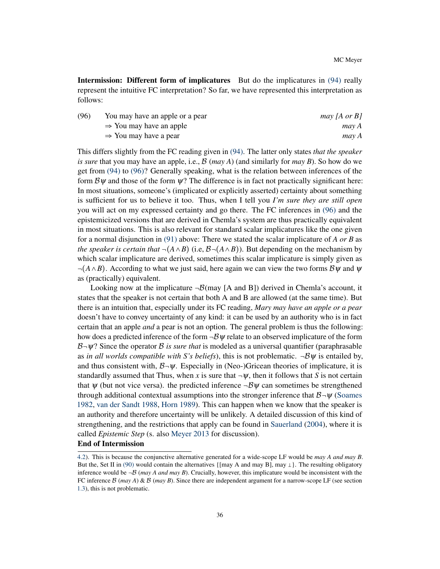Intermission: Different form of implicatures But do the implicatures in [\(94\)](#page-33-4) really represent the intuitive FC interpretation? So far, we have represented this interpretation as follows:

<span id="page-35-0"></span>

| (96) | You may have an apple or a pear     | may [A or B] |
|------|-------------------------------------|--------------|
|      | $\Rightarrow$ You may have an apple | may A        |
|      | $\Rightarrow$ You may have a pear   | may A        |

This differs slightly from the FC reading given in [\(94\).](#page-33-4) The latter only states *that the speaker is sure* that you may have an apple, i.e., <sup>B</sup> (*may A*) (and similarly for *may B*). So how do we get from [\(94\)](#page-33-4) to [\(96\)?](#page-35-0) Generally speaking, what is the relation between inferences of the form  $\mathcal{B}\psi$  and those of the form  $\psi$ ? The difference is in fact not practically significant here: In most situations, someone's (implicated or explicitly asserted) certainty about something is sufficient for us to believe it too. Thus, when I tell you *I'm sure they are still open* you will act on my expressed certainty and go there. The FC inferences in [\(96\)](#page-35-0) and the epistemicized versions that are derived in Chemla's system are thus practically equivalent in most situations. This is also relevant for standard scalar implicatures like the one given for a normal disjunction in [\(91\)](#page-32-4) above: There we stated the scalar implicature of *A or B* as *the speaker is certain that*  $\neg(A \land B)$  (i.e,  $\mathcal{B}\neg(A \land B)$ ). But depending on the mechanism by which scalar implicature are derived, sometimes this scalar implicature is simply given as  $\neg(A \wedge B)$ . According to what we just said, here again we can view the two forms  $\mathcal{B}\psi$  and  $\psi$ as (practically) equivalent.

Looking now at the implicature  $\neg B$ (may [A and B]) derived in Chemla's account, it states that the speaker is not certain that both A and B are allowed (at the same time). But there is an intuition that, especially under its FC reading, *Mary may have an apple or a pear* doesn't have to convey uncertainty of any kind: it can be used by an authority who is in fact certain that an apple *and* a pear is not an option. The general problem is thus the following: how does a predicted inference of the form  $-\mathcal{B}\psi$  relate to an observed implicature of the form  $B\n\neg \psi$ ? Since the operator B *is sure that* is modeled as a universal quantifier (paraphrasable as *in all worlds compatible with S's beliefs*), this is not problematic.  $-\mathcal{B}\psi$  is entailed by, and thus consistent with,  $\mathcal{B}-\psi$ . Especially in (Neo-)Gricean theories of implicature, it is standardly assumed that Thus, when *x* is sure that  $\neg \psi$ , then it follows that *S* is not certain that  $\psi$  (but not vice versa). the predicted inference  $\neg B\psi$  can sometimes be strengthened through additional contextual assumptions into the stronger inference that  $B\neg \psi$  [\(Soames](#page-49-2) [1982,](#page-49-2) [van der Sandt](#page-49-13) [1988,](#page-49-13) [Horn](#page-46-16) [1989\)](#page-46-16). This can happen when we know that the speaker is an authority and therefore uncertainty will be unlikely. A detailed discussion of this kind of strengthening, and the restrictions that apply can be found in [Sauerland](#page-49-1) [\(2004\)](#page-49-1), where it is called *Epistemic Step* (s. also [Meyer](#page-48-5) [2013](#page-48-5) for discussion).

#### End of Intermission

[<sup>4.2\)</sup>](#page-32-0). This is because the conjunctive alternative generated for a wide-scope LF would be *may A and may B*. But the, Set II in [\(90\)](#page-32-5) would contain the alternatives { $\{$ may A and may B $\}$ , may  $\perp$ }. The resulting obligatory inference would be  $\neg B$  (*may A and may B*). Crucially, however, this implicature would be inconsistent with the FC inference  $\beta$  (*may A*) &  $\beta$  (*may B*). Since there are independent argument for a narrow-scope LF (see section [1.3\)](#page-9-0), this is not problematic.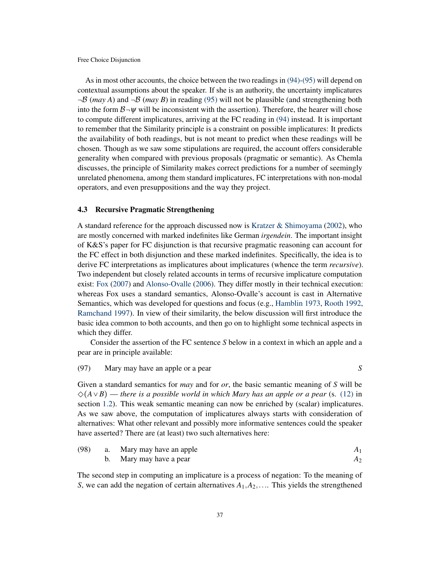As in most other accounts, the choice between the two readings in [\(94\)-](#page-33-4)[\(95\)](#page-34-3) will depend on contextual assumptions about the speaker. If she is an authority, the uncertainty implicatures  $\neg B$  (*may A*) and  $\neg B$  (*may B*) in reading [\(95\)](#page-34-3) will not be plausible (and strengthening both into the form  $B\neg \psi$  will be inconsistent with the assertion). Therefore, the hearer will chose to compute different implicatures, arriving at the FC reading in [\(94\)](#page-33-4) instead. It is important to remember that the Similarity principle is a constraint on possible implicatures: It predicts the availability of both readings, but is not meant to predict when these readings will be chosen. Though as we saw some stipulations are required, the account offers considerable generality when compared with previous proposals (pragmatic or semantic). As Chemla discusses, the principle of Similarity makes correct predictions for a number of seemingly unrelated phenomena, among them standard implicatures, FC interpretations with non-modal operators, and even presuppositions and the way they project.

### <span id="page-36-0"></span>4.3 Recursive Pragmatic Strengthening

A standard reference for the approach discussed now is [Kratzer & Shimoyama](#page-47-12) [\(2002\)](#page-47-12), who are mostly concerned with marked indefinites like German *irgendein*. The important insight of K&S's paper for FC disjunction is that recursive pragmatic reasoning can account for the FC effect in both disjunction and these marked indefinites. Specifically, the idea is to derive FC interpretations as implicatures about implicatures (whence the term *recursive*). Two independent but closely related accounts in terms of recursive implicature computation exist: [Fox](#page-45-0) [\(2007\)](#page-45-0) and [Alonso-Ovalle](#page-43-0) [\(2006\)](#page-43-0). They differ mostly in their technical execution: whereas Fox uses a standard semantics, Alonso-Ovalle's account is cast in Alternative Semantics, which was developed for questions and focus (e.g., [Hamblin](#page-46-17) [1973,](#page-46-17) [Rooth](#page-48-13) [1992,](#page-48-13) [Ramchand](#page-48-14) [1997\)](#page-48-14). In view of their similarity, the below discussion will first introduce the basic idea common to both accounts, and then go on to highlight some technical aspects in which they differ.

Consider the assertion of the FC sentence *S* below in a context in which an apple and a pear are in principle available:

# <span id="page-36-4"></span>(97) Mary may have an apple or a pear *S*

Given a standard semantics for *may* and for *or*, the basic semantic meaning of *S* will be ◇(*A*∨*B*) — *there is a possible world in which Mary has an apple or a pear* (s. [\(12\)](#page-4-1) in section [1.2\)](#page-2-0). This weak semantic meaning can now be enriched by (scalar) implicatures. As we saw above, the computation of implicatures always starts with consideration of alternatives: What other relevant and possibly more informative sentences could the speaker have asserted? There are (at least) two such alternatives here:

<span id="page-36-3"></span><span id="page-36-2"></span><span id="page-36-1"></span>

| (98) | a. | Mary may have an apple |  |
|------|----|------------------------|--|
|      |    | Mary may have a pear   |  |

The second step in computing an implicature is a process of negation: To the meaning of *S*, we can add the negation of certain alternatives  $A_1, A_2, \ldots$  This yields the strengthened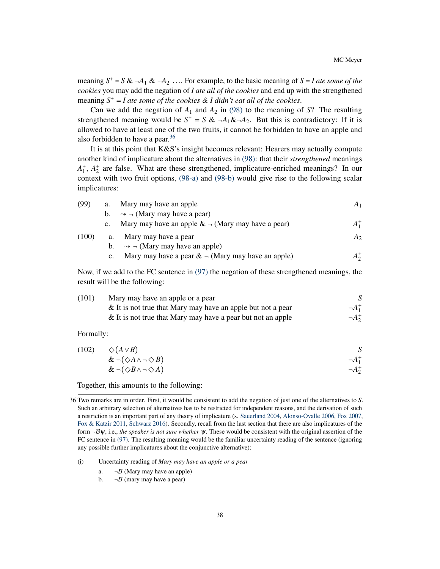meaning  $S^+ = S \& \neg A_1 \& \neg A_2 \dots$  For example, to the basic meaning of  $S = I$  ate some of the *cookies* you may add the negation of *I ate all of the cookies* and end up with the strengthened meaning  $S^+$  = *I* ate some of the cookies & *I* didn't eat all of the cookies.

Can we add the negation of  $A_1$  and  $A_2$  in [\(98\)](#page-36-1) to the meaning of *S*? The resulting strengthened meaning would be  $S^+ = S \& \neg A_1 \& \neg A_2$ . But this is contradictory: If it is allowed to have at least one of the two fruits, it cannot be forbidden to have an apple and also forbidden to have a pear.<sup>[36](#page-37-0)</sup>

It is at this point that K&S's insight becomes relevant: Hearers may actually compute another kind of implicature about the alternatives in [\(98\):](#page-36-1) that their *strengthened* meanings  $A_1^+$ ,  $A_2^+$  are false. What are these strengthened, implicature-enriched meanings? In our context with two fruit options, [\(98-a\)](#page-36-2) and [\(98-b\)](#page-36-3) would give rise to the following scalar implicatures:

<span id="page-37-4"></span><span id="page-37-2"></span><span id="page-37-1"></span>

| (99)  | a.          | Mary may have an apple                                  | A <sub>1</sub> |
|-------|-------------|---------------------------------------------------------|----------------|
|       | $b_{1}$     | $\rightarrow$ - (Mary may have a pear)                  |                |
|       | $c_{\cdot}$ | Mary may have an apple $\▵$ – (Mary may have a pear)    | $A_1^+$        |
| (100) | a.          | Mary may have a pear                                    | A <sub>2</sub> |
|       | b.          | $\rightarrow$ $\neg$ (Mary may have an apple)           |                |
|       | $c_{\cdot}$ | Mary may have a pear $\& \neg$ (Mary may have an apple) | $A_2^+$        |

Now, if we add to the FC sentence in [\(97\)](#page-36-4) the negation of these strengthened meanings, the result will be the following:

<span id="page-37-3"></span>

| (101) | Mary may have an apple or a pear                               |                  |
|-------|----------------------------------------------------------------|------------------|
|       | $\&$ It is not true that Mary may have an apple but not a pear | $\neg A_1^+$     |
|       | & It is not true that Mary may have a pear but not an apple    | $\neg A_{2}^{+}$ |

Formally:

(102) 
$$
\diamond (A \vee B)
$$
  
\n&  $\neg (\diamond A \wedge \neg \diamond B)$   
\n&  $\neg (\diamond B \wedge \neg \diamond A)$   
\n $\neg A_1^+$   
\n $\neg A_2^+$ 

Together, this amounts to the following:

<span id="page-37-0"></span><sup>36</sup> Two remarks are in order. First, it would be consistent to add the negation of just one of the alternatives to *S*. Such an arbitrary selection of alternatives has to be restricted for independent reasons, and the derivation of such a restriction is an important part of any theory of implicature (s. [Sauerland](#page-49-1) [2004,](#page-49-1) [Alonso-Ovalle](#page-43-0) [2006,](#page-43-0) [Fox](#page-45-0) [2007,](#page-45-0) [Fox & Katzir](#page-45-16) [2011,](#page-45-16) [Schwarz](#page-49-14) [2016\)](#page-49-14). Secondly, recall from the last section that there are also implicatures of the form ¬Bψ, i.e., *the speaker is not sure whether* <sup>ψ</sup>. These would be consistent with the original assertion of the FC sentence in [\(97\).](#page-36-4) The resulting meaning would be the familiar uncertainty reading of the sentence (ignoring any possible further implicatures about the conjunctive alternative):

<sup>(</sup>i) Uncertainty reading of *Mary may have an apple or a pear*

a.  $\neg B$  (Mary may have an apple)<br>b.  $\neg B$  (mary may have a pear)

 $\neg B$  (mary may have a pear)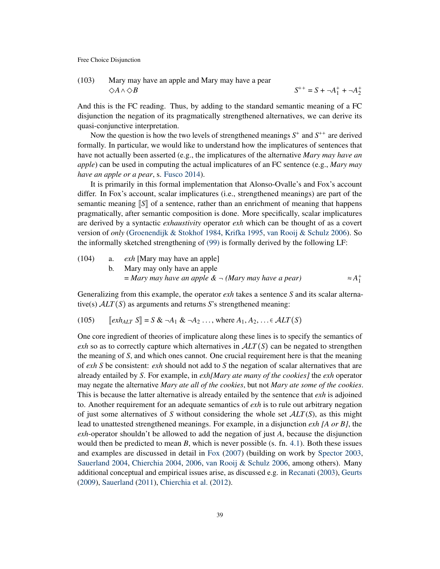(103) Mary may have an apple and Mary may have a pear  $S^{++} = S + \neg A_1^+ + \neg A_2^+$ 

And this is the FC reading. Thus, by adding to the standard semantic meaning of a FC disjunction the negation of its pragmatically strengthened alternatives, we can derive its quasi-conjunctive interpretation.

Now the question is how the two levels of strengthened meanings  $S^+$  and  $S^{++}$  are derived formally. In particular, we would like to understand how the implicatures of sentences that have not actually been asserted (e.g., the implicatures of the alternative *Mary may have an apple*) can be used in computing the actual implicatures of an FC sentence (e.g., *Mary may have an apple or a pear*, s. [Fusco](#page-45-17) [2014\)](#page-45-17).

It is primarily in this formal implementation that Alonso-Ovalle's and Fox's account differ. In Fox's account, scalar implicatures (i.e., strengthened meanings) are part of the semantic meaning  $\llbracket S \rrbracket$  of a sentence, rather than an enrichment of meaning that happens pragmatically, after semantic composition is done. More specifically, scalar implicatures are derived by a syntactic *exhaustivity* operator *exh* which can be thought of as a covert version of *only* [\(Groenendijk & Stokhof](#page-46-18) [1984,](#page-46-18) [Krifka](#page-47-18) [1995,](#page-47-18) [van Rooij & Schulz](#page-48-15) [2006\)](#page-48-15). So the informally sketched strengthening of [\(99\)](#page-37-1) is formally derived by the following LF:

\n- (104) a. *exh* [Mary may have an apple]
\n- b. Mary may only have an apple
\n- $$
= Mary\ may\ have\ an\ apple\ & \neg\ (Mary\ may\ have\ a\ pear)
$$
\n- $\approx A_1^+$
\n

Generalizing from this example, the operator *exh* takes a sentence *S* and its scalar alternative(s) <sup>A</sup>*LT*(*S*) as arguments and returns *<sup>S</sup>*'s strengthened meaning:

<span id="page-38-0"></span>(105) 
$$
[\![\nexists x h_{ALT} S]\!] = S \& \neg A_1 \& \neg A_2 \dots
$$
, where  $A_1, A_2, \dots \in \mathcal{A}LT(S)$ 

One core ingredient of theories of implicature along these lines is to specify the semantics of *exh* so as to correctly capture which alternatives in  $ALT(S)$  can be negated to strengthen the meaning of *S*, and which ones cannot. One crucial requirement here is that the meaning of *exh S* be consistent: *exh* should not add to *S* the negation of scalar alternatives that are already entailed by *S*. For example, in *exh[Mary ate many of the cookies]* the *exh* operator may negate the alternative *Mary ate all of the cookies*, but not *Mary ate some of the cookies*. This is because the latter alternative is already entailed by the sentence that *exh* is adjoined to. Another requirement for an adequate semantics of *exh* is to rule out arbitrary negation of just some alternatives of *<sup>S</sup>* without considering the whole set <sup>A</sup>*LT*(*S*), as this might lead to unattested strengthened meanings. For example, in a disjunction *exh [A or B]*, the *exh*-operator shouldn't be allowed to add the negation of just *A*, because the disjunction would then be predicted to mean *B*, which is never possible (s. fn. [4.1\)](#page-29-0). Both these issues and examples are discussed in detail in [Fox](#page-45-0) [\(2007\)](#page-45-0) (building on work by [Spector](#page-49-15) [2003,](#page-49-15) [Sauerland](#page-49-1) [2004,](#page-49-1) [Chierchia](#page-44-7) [2004,](#page-44-7) [2006,](#page-44-8) [van Rooij & Schulz](#page-48-15) [2006,](#page-48-15) among others). Many additional conceptual and empirical issues arise, as discussed e.g. in [Recanati](#page-48-16) [\(2003\)](#page-48-16), [Geurts](#page-45-18) [\(2009\)](#page-45-18), [Sauerland](#page-49-16) [\(2011\)](#page-49-16), [Chierchia et al.](#page-44-9) [\(2012\)](#page-44-9).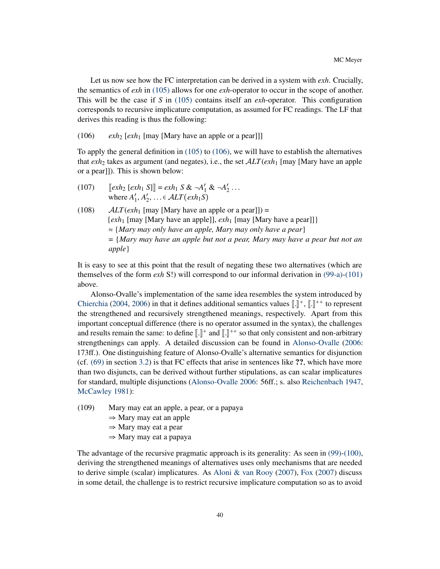Let us now see how the FC interpretation can be derived in a system with *exh*. Crucially, the semantics of *exh* in [\(105\)](#page-38-0) allows for one *exh*-operator to occur in the scope of another. This will be the case if *S* in [\(105\)](#page-38-0) contains itself an *exh*-operator. This configuration corresponds to recursive implicature computation, as assumed for FC readings. The LF that derives this reading is thus the following:

<span id="page-39-0"></span>(106)  $exh_2$  [ $exh_1$  [may [Mary have an apple or a pear]]]

To apply the general definition in [\(105\)](#page-38-0) to [\(106\),](#page-39-0) we will have to establish the alternatives that  $exh_2$  takes as argument (and negates), i.e., the set  $ALT(exh_1$  [may [Mary have an apple or a pear]]). This is shown below:

- (107)  $[\![exh_2\;[exh_1\;S]\!] = exh_1\;S\&\;\neg A'_1\&\;\neg A'_2\cdots$ <br>where  $A'_1 \,A'_2 = c\;AIT(xh, S)$ where  $A'_1, A'_2, \ldots \in ALT(\text{exh}_1S)$
- (108)  $ALT(exh_1$  [may [Mary have an apple or a pear]]) = {*exh*<sup>1</sup> [may [Mary have an apple]], *exh*<sup>1</sup> [may [Mary have a pear]]} <sup>≈</sup> {*Mary may only have an apple, Mary may only have a pear*} = {*Mary may have an apple but not a pear, Mary may have a pear but not an apple*}

It is easy to see at this point that the result of negating these two alternatives (which are themselves of the form *exh* S!) will correspond to our informal derivation in [\(99-a\)-](#page-37-2)[\(101\)](#page-37-3) above.

Alonso-Ovalle's implementation of the same idea resembles the system introduced by [Chierchia](#page-44-7) [\(2004,](#page-44-7) [2006\)](#page-44-8) in that it defines additional semantics values  $\left[\right]$ ,  $\left[\right]$ ,  $\left[\right]$ ,  $\left[\right]$ ,  $\left[\right]$ ,  $\left[\right]$ ,  $\left[\right]$ ,  $\left[\right]$ ,  $\left[\right]$ ,  $\left[\right]$ ,  $\left[\right]$ ,  $\left[\right]$ ,  $\left[\right]$ ,  $\left[\right]$ ,  $\left[\right]$ ,  $\left[\right]$ ,  $\left[\right]$ the strengthened and recursively strengthened meanings, respectively. Apart from this important conceptual difference (there is no operator assumed in the syntax), the challenges and results remain the same: to define  $\llbracket . \rrbracket^+$  and  $\llbracket . \rrbracket^{++}$  so that only consistent and non-arbitrary<br>etrapathenings can apply. A detailed discussion can be found in Alonse Qualle (2006) strengthenings can apply. A detailed discussion can be found in [Alonso-Ovalle](#page-43-0) [\(2006:](#page-43-0) 173ff.). One distinguishing feature of Alonso-Ovalle's alternative semantics for disjunction (cf. [\(69\)](#page-24-2) in section [3.2\)](#page-24-0) is that FC effects that arise in sentences like ??, which have more than two disjuncts, can be derived without further stipulations, as can scalar implicatures for standard, multiple disjunctions [\(Alonso-Ovalle](#page-43-0) [2006:](#page-43-0) 56ff.; s. also [Reichenbach](#page-48-17) [1947,](#page-48-17) [McCawley](#page-47-19) [1981\)](#page-47-19):

- (109) Mary may eat an apple, a pear, or a papaya
	- $\Rightarrow$  Mary may eat an apple
	- <sup>⇒</sup> Mary may eat a pear
	- <sup>⇒</sup> Mary may eat a papaya

The advantage of the recursive pragmatic approach is its generality: As seen in [\(99\)-](#page-37-1)[\(100\),](#page-37-4) deriving the strengthened meanings of alternatives uses only mechanisms that are needed to derive simple (scalar) implicatures. As [Aloni & van Rooy](#page-43-12) [\(2007\)](#page-43-12), [Fox](#page-45-0) [\(2007\)](#page-45-0) discuss in some detail, the challenge is to restrict recursive implicature computation so as to avoid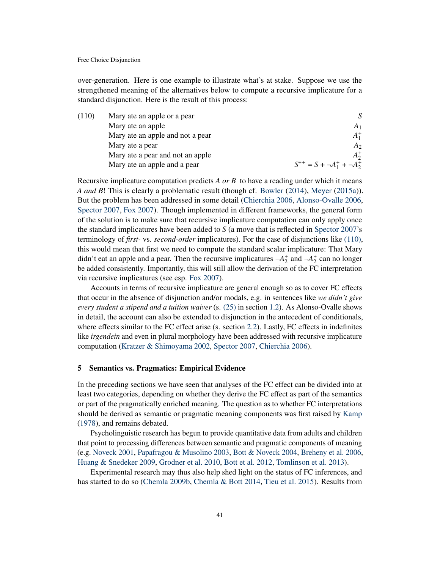over-generation. Here is one example to illustrate what's at stake. Suppose we use the strengthened meaning of the alternatives below to compute a recursive implicature for a standard disjunction. Here is the result of this process:

<span id="page-40-1"></span>

| (110) | Mary ate an apple or a pear      |                                        |
|-------|----------------------------------|----------------------------------------|
|       | Mary ate an apple                | A <sub>1</sub>                         |
|       | Mary ate an apple and not a pear | $A_1^+$                                |
|       | Mary ate a pear                  | A <sub>2</sub>                         |
|       | Mary ate a pear and not an apple | $A_2^+$                                |
|       | Mary ate an apple and a pear     | $S^{++} = S + \neg A_1^+ + \neg A_2^+$ |
|       |                                  |                                        |

Recursive implicature computation predicts *A or B* to have a reading under which it means *A and B*! This is clearly a problematic result (though cf. [Bowler](#page-44-10) [\(2014\)](#page-44-10), [Meyer](#page-48-12) [\(2015a\)](#page-48-12)). But the problem has been addressed in some detail [\(Chierchia](#page-44-8) [2006,](#page-44-8) [Alonso-Ovalle](#page-43-0) [2006,](#page-43-0) [Spector](#page-49-17) [2007,](#page-49-17) [Fox](#page-45-0) [2007\)](#page-45-0). Though implemented in different frameworks, the general form of the solution is to make sure that recursive implicature computation can only apply once the standard implicatures have been added to *S* (a move that is reflected in [Spector](#page-49-17) [2007'](#page-49-17)s terminology of *first-* vs. *second-order* implicatures). For the case of disjunctions like [\(110\),](#page-40-1) this would mean that first we need to compute the standard scalar implicature: That Mary didn't eat an apple and a pear. Then the recursive implicatures  $\neg A_2^+$  and  $\neg A_2^+$  can no longer be added consistently. Importantly, this will still allow the derivation of the FC interpretation via recursive implicatures (see esp. [Fox](#page-45-0) [2007\)](#page-45-0).

Accounts in terms of recursive implicature are general enough so as to cover FC effects that occur in the absence of disjunction and/or modals, e.g. in sentences like *we didn't give every student a stipend and a tuition waiver* (s. [\(25\)](#page-7-1) in section [1.2\)](#page-2-0). As Alonso-Ovalle shows in detail, the account can also be extended to disjunction in the antecedent of conditionals, where effects similar to the FC effect arise (s. section [2.2\)](#page-18-0). Lastly, FC effects in indefinites like *irgendein* and even in plural morphology have been addressed with recursive implicature computation [\(Kratzer & Shimoyama](#page-47-12) [2002,](#page-47-12) [Spector](#page-49-17) [2007,](#page-49-17) [Chierchia](#page-44-8) [2006\)](#page-44-8).

### <span id="page-40-0"></span>5 Semantics vs. Pragmatics: Empirical Evidence

In the preceding sections we have seen that analyses of the FC effect can be divided into at least two categories, depending on whether they derive the FC effect as part of the semantics or part of the pragmatically enriched meaning. The question as to whether FC interpretations should be derived as semantic or pragmatic meaning components was first raised by [Kamp](#page-46-11) [\(1978\)](#page-46-11), and remains debated.

Psycholinguistic research has begun to provide quantitative data from adults and children that point to processing differences between semantic and pragmatic components of meaning (e.g. [Noveck](#page-48-18) [2001,](#page-48-18) [Papafragou & Musolino](#page-48-19) [2003,](#page-48-19) [Bott & Noveck](#page-43-13) [2004,](#page-43-13) [Breheny et al.](#page-44-11) [2006,](#page-44-11) [Huang & Snedeker](#page-46-19) [2009,](#page-46-19) [Grodner et al.](#page-46-20) [2010,](#page-46-20) [Bott et al.](#page-43-14) [2012,](#page-43-14) [Tomlinson et al.](#page-50-11) [2013\)](#page-50-11).

Experimental research may thus also help shed light on the status of FC inferences, and has started to do so [\(Chemla](#page-44-12) [2009b,](#page-44-12) [Chemla & Bott](#page-44-13) [2014,](#page-44-13) [Tieu et al.](#page-50-12) [2015\)](#page-50-12). Results from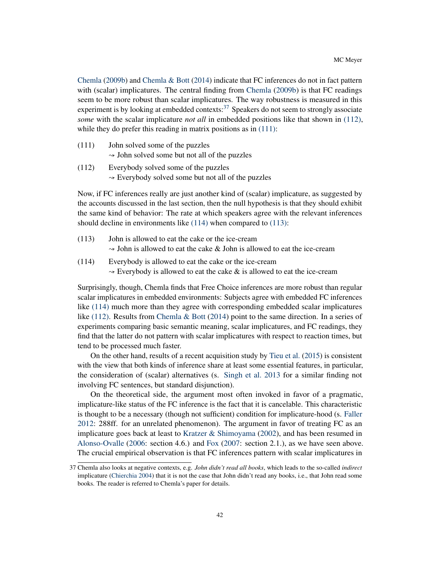[Chemla](#page-44-12) [\(2009b\)](#page-44-12) and [Chemla & Bott](#page-44-13) [\(2014\)](#page-44-13) indicate that FC inferences do not in fact pattern with (scalar) implicatures. The central finding from [Chemla](#page-44-12) [\(2009b\)](#page-44-12) is that FC readings seem to be more robust than scalar implicatures. The way robustness is measured in this experiment is by looking at embedded contexts: $37$  Speakers do not seem to strongly associate *some* with the scalar implicature *not all* in embedded positions like that shown in [\(112\),](#page-41-1) while they do prefer this reading in matrix positions as in  $(111)$ :

- <span id="page-41-2"></span>(111) John solved some of the puzzles  $\sim$  John solved some but not all of the puzzles
- <span id="page-41-1"></span>(112) Everybody solved some of the puzzles  $\sim$  Everybody solved some but not all of the puzzles

Now, if FC inferences really are just another kind of (scalar) implicature, as suggested by the accounts discussed in the last section, then the null hypothesis is that they should exhibit the same kind of behavior: The rate at which speakers agree with the relevant inferences should decline in environments like [\(114\)](#page-41-3) when compared to [\(113\):](#page-41-4)

- <span id="page-41-4"></span>(113) John is allowed to eat the cake or the ice-cream  $\sim$  John is allowed to eat the cake & John is allowed to eat the ice-cream
- <span id="page-41-3"></span>(114) Everybody is allowed to eat the cake or the ice-cream  $\rightarrow$  Everybody is allowed to eat the cake  $\&$  is allowed to eat the ice-cream

Surprisingly, though, Chemla finds that Free Choice inferences are more robust than regular scalar implicatures in embedded environments: Subjects agree with embedded FC inferences like [\(114\)](#page-41-3) much more than they agree with corresponding embedded scalar implicatures like [\(112\).](#page-41-1) Results from [Chemla & Bott](#page-44-13) [\(2014\)](#page-44-13) point to the same direction. In a series of experiments comparing basic semantic meaning, scalar implicatures, and FC readings, they find that the latter do not pattern with scalar implicatures with respect to reaction times, but tend to be processed much faster.

On the other hand, results of a recent acquisition study by [Tieu et al.](#page-50-12) [\(2015\)](#page-50-12) is consistent with the view that both kinds of inference share at least some essential features, in particular, the consideration of (scalar) alternatives (s. [Singh et al.](#page-49-18) [2013](#page-49-18) for a similar finding not involving FC sentences, but standard disjunction).

On the theoretical side, the argument most often invoked in favor of a pragmatic, implicature-like status of the FC inference is the fact that it is cancelable. This characteristic is thought to be a necessary (though not sufficient) condition for implicature-hood (s. [Faller](#page-45-19) [2012:](#page-45-19) 288ff. for an unrelated phenomenon). The argument in favor of treating FC as an implicature goes back at least to Kratzer  $\&$  Shimoyama [\(2002\)](#page-47-12), and has been resumed in [Alonso-Ovalle](#page-43-0) [\(2006:](#page-43-0) section 4.6.) and [Fox](#page-45-0) [\(2007:](#page-45-0) section 2.1.), as we have seen above. The crucial empirical observation is that FC inferences pattern with scalar implicatures in

<span id="page-41-0"></span><sup>37</sup> Chemla also looks at negative contexts, e.g. *John didn't read all books*, which leads to the so-called *indirect* implicature [\(Chierchia](#page-44-7) [2004\)](#page-44-7) that it is not the case that John didn't read any books, i.e., that John read some books. The reader is referred to Chemla's paper for details.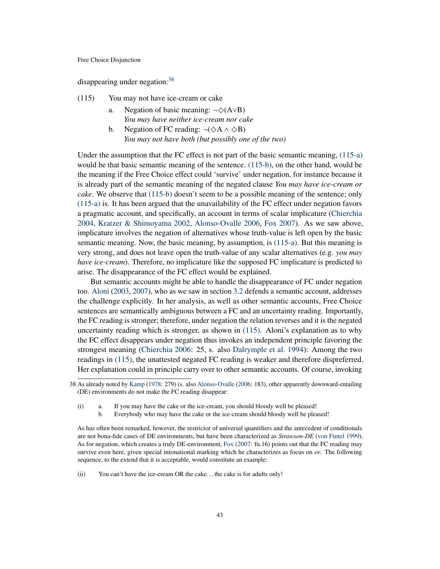disappearing under negation:<sup>[38](#page-42-0)</sup>

- <span id="page-42-3"></span><span id="page-42-2"></span><span id="page-42-1"></span>(115) You may not have ice-cream or cake
	- a. Negation of basic meaning:  $\neg \Diamond (A \lor B)$ *You may have neither ice-cream nor cake*
	- b. Negation of FC reading:  $\neg(\Diamond A \land \Diamond B)$ *You may not have both (but possibly one of the two)*

Under the assumption that the FC effect is not part of the basic semantic meaning, [\(115-a\)](#page-42-1) would be that basic semantic meaning of the sentence. [\(115-b\),](#page-42-2) on the other hand, would be the meaning if the Free Choice effect could 'survive' under negation, for instance because it is already part of the semantic meaning of the negated clause *You may have ice-cream or cake*. We observe that [\(115-b\)](#page-42-2) doesn't seem to be a possible meaning of the sentence; only [\(115-a\)](#page-42-1) is. It has been argued that the unavailability of the FC effect under negation favors a pragmatic account, and specifically, an account in terms of scalar implicature [\(Chierchia](#page-44-7) [2004,](#page-44-7) [Kratzer & Shimoyama](#page-47-12) [2002,](#page-47-12) [Alonso-Ovalle](#page-43-0) [2006,](#page-43-0) [Fox](#page-45-0) [2007\)](#page-45-0). As we saw above, implicature involves the negation of alternatives whose truth-value is left open by the basic semantic meaning. Now, the basic meaning, by assumption, is [\(115-a\).](#page-42-1) But this meaning is very strong, and does not leave open the truth-value of any scalar alternatives (e.g. *you may have ice-cream*). Therefore, no implicature like the supposed FC implicature is predicted to arise. The disappearance of the FC effect would be explained.

But semantic accounts might be able to handle the disappearance of FC under negation too. [Aloni](#page-43-2) [\(2003,](#page-43-2) [2007\)](#page-43-1), who as we saw in section [3.2](#page-24-0) defends a semantic account, addresses the challenge explicitly. In her analysis, as well as other semantic accounts, Free Choice sentences are semantically ambiguous between a FC and an uncertainty reading. Importantly, the FC reading is stronger; therefore, under negation the relation reverses and it is the negated uncertainty reading which is stronger, as shown in [\(115\).](#page-42-3) Aloni's explanation as to why the FC effect disappears under negation thus invokes an independent principle favoring the strongest meaning [\(Chierchia](#page-44-8) [2006:](#page-44-8) 25, s. also [Dalrymple et al.](#page-44-14) [1994\)](#page-44-14): Among the two readings in [\(115\),](#page-42-3) the unattested negated FC reading is weaker and therefore dispreferred. Her explanation could in principle carry over to other semantic accounts. Of course, invoking

(i) a. If you may have the cake or the ice-cream, you should bloody well be pleased!

b. Everybody who may have the cake or the ice-cream should bloody well be pleased!

As has often been remarked, however, the restrictor of universal quantifiers and the antecedent of conditionals are not bona-fide cases of DE environments, but have been characterized as *Strawson-DE* [\(von Fintel](#page-45-20) [1999\)](#page-45-20). As for negation, which creates a truly DE-environment, [Fox](#page-45-0) [\(2007:](#page-45-0) fn.16) points out that the FC reading may survive even here, given special intonational marking which he characterizes as focus on *or*. The following sequence, to the extend that it is acceptable, would constitute an example:

(ii) You can't have the ice-cream OR the cake. . . the cake is for adults only!

<span id="page-42-0"></span><sup>38</sup> As already noted by [Kamp](#page-46-11) [\(1978:](#page-46-11) 279) (s. also [Alonso-Ovalle](#page-43-0) [\(2006:](#page-43-0) 183), other apparently downward-entailing (DE) environments do not make the FC reading disappear: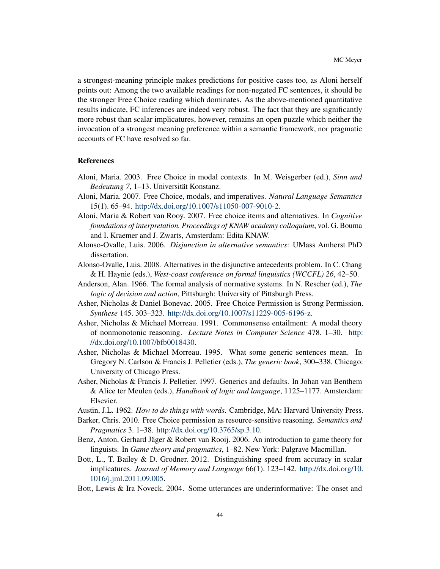a strongest-meaning principle makes predictions for positive cases too, as Aloni herself points out: Among the two available readings for non-negated FC sentences, it should be the stronger Free Choice reading which dominates. As the above-mentioned quantitative results indicate, FC inferences are indeed very robust. The fact that they are significantly more robust than scalar implicatures, however, remains an open puzzle which neither the invocation of a strongest meaning preference within a semantic framework, nor pragmatic accounts of FC have resolved so far.

#### References

- <span id="page-43-2"></span>Aloni, Maria. 2003. Free Choice in modal contexts. In M. Weisgerber (ed.), *Sinn und Bedeutung 7*, 1–13. Universität Konstanz.
- <span id="page-43-1"></span>Aloni, Maria. 2007. Free Choice, modals, and imperatives. *Natural Language Semantics* 15(1). 65–94. [http://dx.doi.org/10.1007/s11050-007-9010-2.](http://dx.doi.org/10.1007/s11050-007-9010-2)
- <span id="page-43-12"></span>Aloni, Maria & Robert van Rooy. 2007. Free choice items and alternatives. In *Cognitive foundations of interpretation. Proceedings of KNAW academy colloquium*, vol. G. Bouma and I. Kraemer and J. Zwarts, Amsterdam: Edita KNAW.
- <span id="page-43-0"></span>Alonso-Ovalle, Luis. 2006. *Disjunction in alternative semantics*: UMass Amherst PhD dissertation.
- <span id="page-43-7"></span>Alonso-Ovalle, Luis. 2008. Alternatives in the disjunctive antecedents problem. In C. Chang & H. Haynie (eds.), *West-coast conference on formal linguistics (WCCFL) 26*, 42–50.
- <span id="page-43-3"></span>Anderson, Alan. 1966. The formal analysis of normative systems. In N. Rescher (ed.), *The logic of decision and action*, Pittsburgh: University of Pittsburgh Press.
- <span id="page-43-4"></span>Asher, Nicholas & Daniel Bonevac. 2005. Free Choice Permission is Strong Permission. *Synthese* 145. 303–323. [http://dx.doi.org/10.1007/s11229-005-6196-z.](http://dx.doi.org/10.1007/s11229-005-6196-z)
- <span id="page-43-10"></span>Asher, Nicholas & Michael Morreau. 1991. Commonsense entailment: A modal theory of nonmonotonic reasoning. *Lecture Notes in Computer Science* 478. 1–30. [http:](http://dx.doi.org/10.1007/bfb0018430) [//dx.doi.org/10.1007/bfb0018430.](http://dx.doi.org/10.1007/bfb0018430)
- <span id="page-43-8"></span>Asher, Nicholas & Michael Morreau. 1995. What some generic sentences mean. In Gregory N. Carlson & Francis J. Pelletier (eds.), *The generic book*, 300–338. Chicago: University of Chicago Press.
- <span id="page-43-9"></span>Asher, Nicholas & Francis J. Pelletier. 1997. Generics and defaults. In Johan van Benthem & Alice ter Meulen (eds.), *Handbook of logic and language*, 1125–1177. Amsterdam: Elsevier.
- <span id="page-43-6"></span>Austin, J.L. 1962. *How to do things with words*. Cambridge, MA: Harvard University Press.
- <span id="page-43-5"></span>Barker, Chris. 2010. Free Choice permission as resource-sensitive reasoning. *Semantics and Pragmatics* 3. 1–38. [http://dx.doi.org/10.3765/sp.3.10.](http://dx.doi.org/10.3765/sp.3.10)
- <span id="page-43-11"></span>Benz, Anton, Gerhard Jäger & Robert van Rooij. 2006. An introduction to game theory for linguists. In *Game theory and pragmatics*, 1–82. New York: Palgrave Macmillan.
- <span id="page-43-14"></span>Bott, L., T. Bailey & D. Grodner. 2012. Distinguishing speed from accuracy in scalar implicatures. *Journal of Memory and Language* 66(1). 123–142. [http://dx.doi.org/10.](http://dx.doi.org/10.1016/j.jml.2011.09.005) [1016/j.jml.2011.09.005.](http://dx.doi.org/10.1016/j.jml.2011.09.005)
- <span id="page-43-13"></span>Bott, Lewis & Ira Noveck. 2004. Some utterances are underinformative: The onset and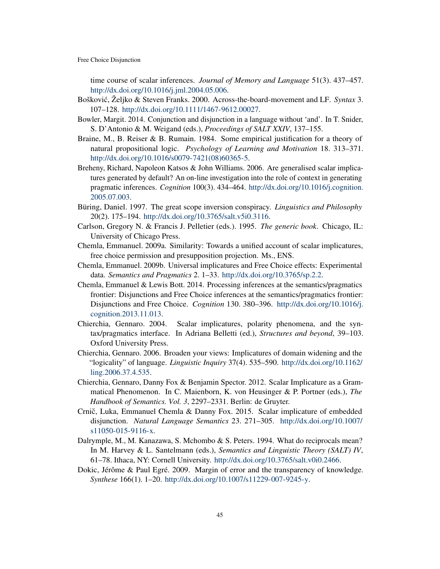time course of scalar inferences. *Journal of Memory and Language* 51(3). 437–457. [http://dx.doi.org/10.1016/j.jml.2004.05.006.](http://dx.doi.org/10.1016/j.jml.2004.05.006)

- <span id="page-44-2"></span>Boškovic, Željko & Steven Franks. 2000. Across-the-board-movement and LF. ´ *Syntax* 3. 107–128. [http://dx.doi.org/10.1111/1467-9612.00027.](http://dx.doi.org/10.1111/1467-9612.00027)
- <span id="page-44-10"></span>Bowler, Margit. 2014. Conjunction and disjunction in a language without 'and'. In T. Snider, S. D'Antonio & M. Weigand (eds.), *Proceedings of SALT XXIV*, 137–155.
- <span id="page-44-3"></span>Braine, M., B. Reiser & B. Rumain. 1984. Some empirical justification for a theory of natural propositional logic. *Psychology of Learning and Motivation* 18. 313–371. [http://dx.doi.org/10.1016/s0079-7421\(08\)60365-5.](http://dx.doi.org/10.1016/s0079-7421(08)60365-5)
- <span id="page-44-11"></span>Breheny, Richard, Napoleon Katsos & John Williams. 2006. Are generalised scalar implicatures generated by default? An on-line investigation into the role of context in generating pragmatic inferences. *Cognition* 100(3). 434–464. [http://dx.doi.org/10.1016/j.cognition.](http://dx.doi.org/10.1016/j.cognition.2005.07.003) [2005.07.003.](http://dx.doi.org/10.1016/j.cognition.2005.07.003)
- <span id="page-44-6"></span>Büring, Daniel. 1997. The great scope inversion conspiracy. *Linguistics and Philosophy* 20(2). 175–194. [http://dx.doi.org/10.3765/salt.v5i0.3116.](http://dx.doi.org/10.3765/salt.v5i0.3116)
- <span id="page-44-1"></span>Carlson, Gregory N. & Francis J. Pelletier (eds.). 1995. *The generic book*. Chicago, IL: University of Chicago Press.
- <span id="page-44-4"></span>Chemla, Emmanuel. 2009a. Similarity: Towards a unified account of scalar implicatures, free choice permission and presupposition projection. Ms., ENS.
- <span id="page-44-12"></span>Chemla, Emmanuel. 2009b. Universal implicatures and Free Choice effects: Experimental data. *Semantics and Pragmatics* 2. 1–33. [http://dx.doi.org/10.3765/sp.2.2.](http://dx.doi.org/10.3765/sp.2.2)
- <span id="page-44-13"></span>Chemla, Emmanuel & Lewis Bott. 2014. Processing inferences at the semantics/pragmatics frontier: Disjunctions and Free Choice inferences at the semantics/pragmatics frontier: Disjunctions and Free Choice. *Cognition* 130. 380–396. [http://dx.doi.org/10.1016/j.](http://dx.doi.org/10.1016/j.cognition.2013.11.013) [cognition.2013.11.013.](http://dx.doi.org/10.1016/j.cognition.2013.11.013)
- <span id="page-44-7"></span>Chierchia, Gennaro. 2004. Scalar implicatures, polarity phenomena, and the syntax/pragmatics interface. In Adriana Belletti (ed.), *Structures and beyond*, 39–103. Oxford University Press.
- <span id="page-44-8"></span>Chierchia, Gennaro. 2006. Broaden your views: Implicatures of domain widening and the "logicality" of language. *Linguistic Inquiry* 37(4). 535–590. [http://dx.doi.org/10.1162/](http://dx.doi.org/10.1162/ling.2006.37.4.535) [ling.2006.37.4.535.](http://dx.doi.org/10.1162/ling.2006.37.4.535)
- <span id="page-44-9"></span>Chierchia, Gennaro, Danny Fox & Benjamin Spector. 2012. Scalar Implicature as a Grammatical Phenomenon. In C. Maienborn, K. von Heusinger & P. Portner (eds.), *The Handbook of Semantics. Vol. 3*, 2297–2331. Berlin: de Gruyter.
- <span id="page-44-0"></span>Crnič, Luka, Emmanuel Chemla & Danny Fox. 2015. Scalar implicature of embedded disjunction. *Natural Language Semantics* 23. 271–305. [http://dx.doi.org/10.1007/](http://dx.doi.org/10.1007/s11050-015-9116-x) [s11050-015-9116-x.](http://dx.doi.org/10.1007/s11050-015-9116-x)
- <span id="page-44-14"></span>Dalrymple, M., M. Kanazawa, S. Mchombo & S. Peters. 1994. What do reciprocals mean? In M. Harvey & L. Santelmann (eds.), *Semantics and Linguistic Theory (SALT) IV*, 61–78. Ithaca, NY: Cornell University. [http://dx.doi.org/10.3765/salt.v0i0.2466.](http://dx.doi.org/10.3765/salt.v0i0.2466)
- <span id="page-44-5"></span>Dokic, Jérôme & Paul Egré. 2009. Margin of error and the transparency of knowledge. *Synthese* 166(1). 1–20. [http://dx.doi.org/10.1007/s11229-007-9245-y.](http://dx.doi.org/10.1007/s11229-007-9245-y)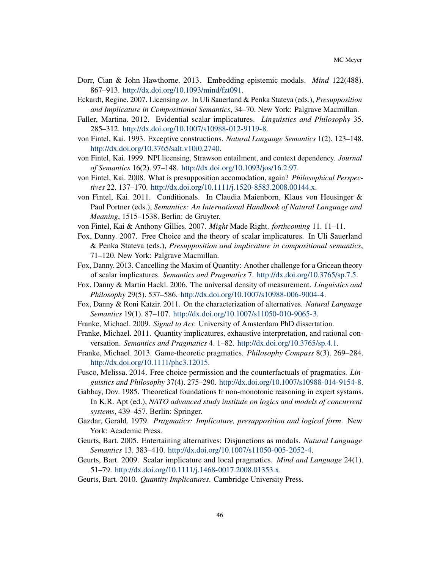- <span id="page-45-12"></span>Dorr, Cian & John Hawthorne. 2013. Embedding epistemic modals. *Mind* 122(488). 867–913. [http://dx.doi.org/10.1093/mind/fzt091.](http://dx.doi.org/10.1093/mind/fzt091)
- <span id="page-45-1"></span>Eckardt, Regine. 2007. Licensing *or*. In Uli Sauerland & Penka Stateva (eds.), *Presupposition and Implicature in Compositional Semantics*, 34–70. New York: Palgrave Macmillan.
- <span id="page-45-19"></span>Faller, Martina. 2012. Evidential scalar implicatures. *Linguistics and Philosophy* 35. 285–312. [http://dx.doi.org/10.1007/s10988-012-9119-8.](http://dx.doi.org/10.1007/s10988-012-9119-8)
- <span id="page-45-14"></span>von Fintel, Kai. 1993. Exceptive constructions. *Natural Language Semantics* 1(2). 123–148. [http://dx.doi.org/10.3765/salt.v10i0.2740.](http://dx.doi.org/10.3765/salt.v10i0.2740)
- <span id="page-45-20"></span>von Fintel, Kai. 1999. NPI licensing, Strawson entailment, and context dependency. *Journal of Semantics* 16(2). 97–148. [http://dx.doi.org/10.1093/jos/16.2.97.](http://dx.doi.org/10.1093/jos/16.2.97)
- <span id="page-45-5"></span>von Fintel, Kai. 2008. What is presupposition accomodation, again? *Philosophical Perspectives* 22. 137–170. [http://dx.doi.org/10.1111/j.1520-8583.2008.00144.x.](http://dx.doi.org/10.1111/j.1520-8583.2008.00144.x)
- <span id="page-45-7"></span>von Fintel, Kai. 2011. Conditionals. In Claudia Maienborn, Klaus von Heusinger & Paul Portner (eds.), *Semantics: An International Handbook of Natural Language and Meaning*, 1515–1538. Berlin: de Gruyter.
- <span id="page-45-13"></span>von Fintel, Kai & Anthony Gillies. 2007. *Might* Made Right. *forthcoming* 11. 11–11.
- <span id="page-45-0"></span>Fox, Danny. 2007. Free Choice and the theory of scalar implicatures. In Uli Sauerland & Penka Stateva (eds.), *Presupposition and implicature in compositional semantics*, 71–120. New York: Palgrave Macmillan.
- <span id="page-45-4"></span>Fox, Danny. 2013. Cancelling the Maxim of Quantity: Another challenge for a Gricean theory of scalar implicatures. *Semantics and Pragmatics* 7. [http://dx.doi.org/10.3765/sp.7.5.](http://dx.doi.org/10.3765/sp.7.5)
- <span id="page-45-15"></span>Fox, Danny & Martin Hackl. 2006. The universal density of measurement. *Linguistics and Philosophy* 29(5). 537–586. [http://dx.doi.org/10.1007/s10988-006-9004-4.](http://dx.doi.org/10.1007/s10988-006-9004-4)
- <span id="page-45-16"></span>Fox, Danny & Roni Katzir. 2011. On the characterization of alternatives. *Natural Language Semantics* 19(1). 87–107. [http://dx.doi.org/10.1007/s11050-010-9065-3.](http://dx.doi.org/10.1007/s11050-010-9065-3)
- <span id="page-45-10"></span><span id="page-45-9"></span>Franke, Michael. 2009. *Signal to Act*: University of Amsterdam PhD dissertation.
- Franke, Michael. 2011. Quantity implicatures, exhaustive interpretation, and rational conversation. *Semantics and Pragmatics* 4. 1–82. [http://dx.doi.org/10.3765/sp.4.1.](http://dx.doi.org/10.3765/sp.4.1)
- <span id="page-45-11"></span>Franke, Michael. 2013. Game-theoretic pragmatics. *Philosophy Compass* 8(3). 269–284. [http://dx.doi.org/10.1111/phc3.12015.](http://dx.doi.org/10.1111/phc3.12015)
- <span id="page-45-17"></span>Fusco, Melissa. 2014. Free choice permission and the counterfactuals of pragmatics. *Linguistics and Philosophy* 37(4). 275–290. [http://dx.doi.org/10.1007/s10988-014-9154-8.](http://dx.doi.org/10.1007/s10988-014-9154-8)
- <span id="page-45-6"></span>Gabbay, Dov. 1985. Theoretical foundations fr non-monotonic reasoning in expert systams. In K.R. Apt (ed.), *NATO advanced study institute on logics and models of concurrent systems*, 439–457. Berlin: Springer.
- <span id="page-45-3"></span>Gazdar, Gerald. 1979. *Pragmatics: Implicature, presupposition and logical form*. New York: Academic Press.
- <span id="page-45-2"></span>Geurts, Bart. 2005. Entertaining alternatives: Disjunctions as modals. *Natural Language Semantics* 13. 383–410. [http://dx.doi.org/10.1007/s11050-005-2052-4.](http://dx.doi.org/10.1007/s11050-005-2052-4)
- <span id="page-45-18"></span>Geurts, Bart. 2009. Scalar implicature and local pragmatics. *Mind and Language* 24(1). 51–79. [http://dx.doi.org/10.1111/j.1468-0017.2008.01353.x.](http://dx.doi.org/10.1111/j.1468-0017.2008.01353.x)
- <span id="page-45-8"></span>Geurts, Bart. 2010. *Quantity Implicatures*. Cambridge University Press.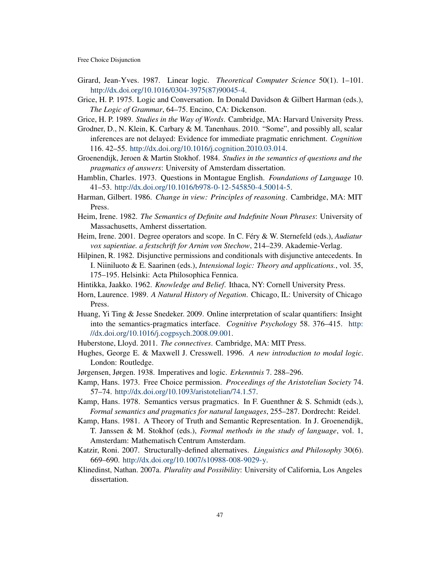- <span id="page-46-12"></span>Girard, Jean-Yves. 1987. Linear logic. *Theoretical Computer Science* 50(1). 1–101. [http://dx.doi.org/10.1016/0304-3975\(87\)90045-4.](http://dx.doi.org/10.1016/0304-3975(87)90045-4)
- <span id="page-46-1"></span>Grice, H. P. 1975. Logic and Conversation. In Donald Davidson & Gilbert Harman (eds.), *The Logic of Grammar*, 64–75. Encino, CA: Dickenson.
- <span id="page-46-2"></span>Grice, H. P. 1989. *Studies in the Way of Words*. Cambridge, MA: Harvard University Press.
- <span id="page-46-20"></span>Grodner, D., N. Klein, K. Carbary & M. Tanenhaus. 2010. "Some", and possibly all, scalar inferences are not delayed: Evidence for immediate pragmatic enrichment. *Cognition* 116. 42–55. [http://dx.doi.org/10.1016/j.cognition.2010.03.014.](http://dx.doi.org/10.1016/j.cognition.2010.03.014)

<span id="page-46-18"></span>Groenendijk, Jeroen & Martin Stokhof. 1984. *Studies in the semantics of questions and the pragmatics of answers*: University of Amsterdam dissertation.

- <span id="page-46-17"></span>Hamblin, Charles. 1973. Questions in Montague English. *Foundations of Language* 10. 41–53. [http://dx.doi.org/10.1016/b978-0-12-545850-4.50014-5.](http://dx.doi.org/10.1016/b978-0-12-545850-4.50014-5)
- <span id="page-46-10"></span>Harman, Gilbert. 1986. *Change in view: Principles of reasoning*. Cambridge, MA: MIT Press.
- <span id="page-46-7"></span>Heim, Irene. 1982. *The Semantics of Definite and Indefinite Noun Phrases*: University of Massachusetts, Amherst dissertation.
- <span id="page-46-15"></span>Heim, Irene. 2001. Degree operators and scope. In C. Féry & W. Sternefeld (eds.), *Audiatur vox sapientiae. a festschrift for Arnim von Stechow*, 214–239. Akademie-Verlag.
- <span id="page-46-9"></span>Hilpinen, R. 1982. Disjunctive permissions and conditionals with disjunctive antecedents. In I. Niiniluoto & E. Saarinen (eds.), *Intensional logic: Theory and applications.*, vol. 35, 175–195. Helsinki: Acta Philosophica Fennica.
- <span id="page-46-14"></span>Hintikka, Jaakko. 1962. *Knowledge and Belief*. Ithaca, NY: Cornell University Press.
- <span id="page-46-16"></span>Horn, Laurence. 1989. *A Natural History of Negation*. Chicago, IL: University of Chicago Press.
- <span id="page-46-19"></span>Huang, Yi Ting & Jesse Snedeker. 2009. Online interpretation of scalar quantifiers: Insight into the semantics-pragmatics interface. *Cognitive Psychology* 58. 376–415. [http:](http://dx.doi.org/10.1016/j.cogpsych.2008.09.001) [//dx.doi.org/10.1016/j.cogpsych.2008.09.001.](http://dx.doi.org/10.1016/j.cogpsych.2008.09.001)
- <span id="page-46-0"></span>Huberstone, Lloyd. 2011. *The connectives*. Cambridge, MA: MIT Press.
- <span id="page-46-13"></span>Hughes, George E. & Maxwell J. Cresswell. 1996. *A new introduction to modal logic*. London: Routledge.
- <span id="page-46-8"></span>Jørgensen, Jørgen. 1938. Imperatives and logic. *Erkenntnis* 7. 288–296.
- <span id="page-46-4"></span>Kamp, Hans. 1973. Free Choice permission. *Proceedings of the Aristotelian Society* 74. 57–74. [http://dx.doi.org/10.1093/aristotelian/74.1.57.](http://dx.doi.org/10.1093/aristotelian/74.1.57)
- <span id="page-46-11"></span>Kamp, Hans. 1978. Semantics versus pragmatics. In F. Guenthner & S. Schmidt (eds.), *Formal semantics and pragmatics for natural languages*, 255–287. Dordrecht: Reidel.
- <span id="page-46-6"></span>Kamp, Hans. 1981. A Theory of Truth and Semantic Representation. In J. Groenendijk, T. Janssen & M. Stokhof (eds.), *Formal methods in the study of language*, vol. 1, Amsterdam: Mathematisch Centrum Amsterdam.
- <span id="page-46-3"></span>Katzir, Roni. 2007. Structurally-defined alternatives. *Linguistics and Philosophy* 30(6). 669–690. [http://dx.doi.org/10.1007/s10988-008-9029-y.](http://dx.doi.org/10.1007/s10988-008-9029-y)
- <span id="page-46-5"></span>Klinedinst, Nathan. 2007a. *Plurality and Possibility*: University of California, Los Angeles dissertation.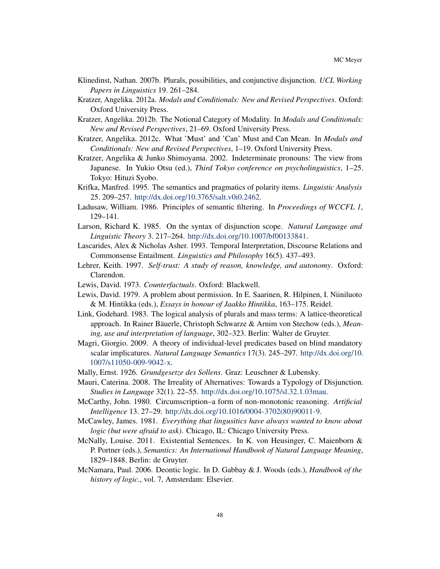- <span id="page-47-0"></span>Klinedinst, Nathan. 2007b. Plurals, possibilities, and conjunctive disjunction. *UCL Working Papers in Linguistics* 19. 261–284.
- <span id="page-47-1"></span>Kratzer, Angelika. 2012a. *Modals and Conditionals: New and Revised Perspectives*. Oxford: Oxford University Press.
- <span id="page-47-15"></span>Kratzer, Angelika. 2012b. The Notional Category of Modality. In *Modals and Conditionals: New and Revised Perspectives*, 21–69. Oxford University Press.
- <span id="page-47-14"></span>Kratzer, Angelika. 2012c. What 'Must' and 'Can' Must and Can Mean. In *Modals and Conditionals: New and Revised Perspectives*, 1–19. Oxford University Press.
- <span id="page-47-12"></span>Kratzer, Angelika & Junko Shimoyama. 2002. Indeterminate pronouns: The view from Japanese. In Yukio Otsu (ed.), *Third Tokyo conference on psycholinguistics*, 1–25. Tokyo: Hituzi Syobo.
- <span id="page-47-18"></span>Krifka, Manfred. 1995. The semantics and pragmatics of polarity items. *Linguistic Analysis* 25. 209–257. [http://dx.doi.org/10.3765/salt.v0i0.2462.](http://dx.doi.org/10.3765/salt.v0i0.2462)
- <span id="page-47-16"></span>Ladusaw, William. 1986. Principles of semantic filtering. In *Proceedings of WCCFL 1*, 129–141.
- <span id="page-47-4"></span>Larson, Richard K. 1985. On the syntax of disjunction scope. *Natural Language and Linguistic Theory* 3. 217–264. [http://dx.doi.org/10.1007/bf00133841.](http://dx.doi.org/10.1007/bf00133841)
- <span id="page-47-10"></span>Lascarides, Alex & Nicholas Asher. 1993. Temporal Interpretation, Discourse Relations and Commonsense Entailment. *Linguistics and Philosophy* 16(5). 437–493.
- <span id="page-47-3"></span>Lehrer, Keith. 1997. *Self-trust: A study of reason, knowledge, and autonomy*. Oxford: Clarendon.
- <span id="page-47-8"></span>Lewis, David. 1973. *Counterfactuals*. Oxford: Blackwell.
- <span id="page-47-7"></span>Lewis, David. 1979. A problem about permission. In E. Saarinen, R. Hilpinen, I. Niiniluoto & M. Hintikka (eds.), *Essays in honour of Jaakko Hintikka*, 163–175. Reidel.
- <span id="page-47-13"></span>Link, Godehard. 1983. The logical analysis of plurals and mass terms: A lattice-theoretical approach. In Rainer Bäuerle, Christoph Schwarze & Arnim von Stechow (eds.), *Meaning, use and interpretation of language*, 302–323. Berlin: Walter de Gruyter.
- <span id="page-47-17"></span>Magri, Giorgio. 2009. A theory of individual-level predicates based on blind mandatory scalar implicatures. *Natural Language Semantics* 17(3). 245–297. [http://dx.doi.org/10.](http://dx.doi.org/10.1007/s11050-009-9042-x) [1007/s11050-009-9042-x.](http://dx.doi.org/10.1007/s11050-009-9042-x)
- <span id="page-47-5"></span>Mally, Ernst. 1926. *Grundgesetze des Sollens*. Graz: Leuschner & Lubensky.
- <span id="page-47-11"></span>Mauri, Caterina. 2008. The Irreality of Alternatives: Towards a Typology of Disjunction. *Studies in Language* 32(1). 22–55. [http://dx.doi.org/10.1075/sl.32.1.03mau.](http://dx.doi.org/10.1075/sl.32.1.03mau)
- <span id="page-47-9"></span>McCarthy, John. 1980. Circumscription–a form of non-monotonic reasoning. *Artificial Intelligence* 13. 27–29. [http://dx.doi.org/10.1016/0004-3702\(80\)90011-9.](http://dx.doi.org/10.1016/0004-3702(80)90011-9)
- <span id="page-47-19"></span>McCawley, James. 1981. *Everything that lingusitics have always wanted to know about logic (but were afraid to ask)*. Chicago, IL: Chicago University Press.
- <span id="page-47-2"></span>McNally, Louise. 2011. Existential Sentences. In K. von Heusinger, C. Maienborn & P. Portner (eds.), *Semantics: An International Handbook of Natural Language Meaning*, 1829–1848. Berlin: de Gruyter.
- <span id="page-47-6"></span>McNamara, Paul. 2006. Deontic logic. In D. Gabbay & J. Woods (eds.), *Handbook of the history of logic.*, vol. 7, Amsterdam: Elsevier.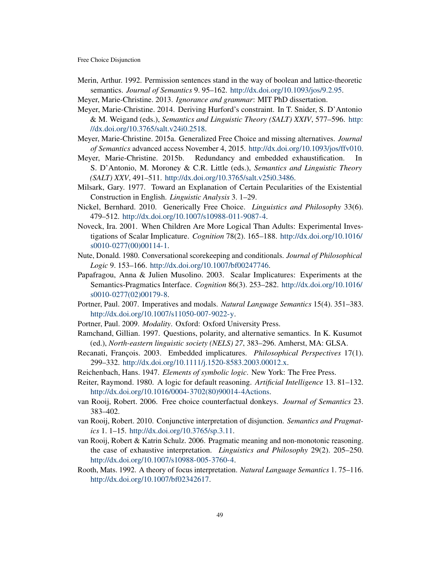- <span id="page-48-3"></span>Merin, Arthur. 1992. Permission sentences stand in the way of boolean and lattice-theoretic semantics. *Journal of Semantics* 9. 95–162. [http://dx.doi.org/10.1093/jos/9.2.95.](http://dx.doi.org/10.1093/jos/9.2.95)
- <span id="page-48-5"></span>Meyer, Marie-Christine. 2013. *Ignorance and grammar*: MIT PhD dissertation.
- <span id="page-48-6"></span>Meyer, Marie-Christine. 2014. Deriving Hurford's constraint. In T. Snider, S. D'Antonio & M. Weigand (eds.), *Semantics and Linguistic Theory (SALT) XXIV*, 577–596. [http:](http://dx.doi.org/10.3765/salt.v24i0.2518) [//dx.doi.org/10.3765/salt.v24i0.2518.](http://dx.doi.org/10.3765/salt.v24i0.2518)
- <span id="page-48-12"></span>Meyer, Marie-Christine. 2015a. Generalized Free Choice and missing alternatives. *Journal of Semantics* advanced access November 4, 2015. [http://dx.doi.org/10.1093/jos/ffv010.](http://dx.doi.org/10.1093/jos/ffv010)
- <span id="page-48-11"></span>Meyer, Marie-Christine. 2015b. Redundancy and embedded exhaustification. In S. D'Antonio, M. Moroney & C.R. Little (eds.), *Semantics and Linguistic Theory (SALT) XXV*, 491–511. [http://dx.doi.org/10.3765/salt.v25i0.3486.](http://dx.doi.org/10.3765/salt.v25i0.3486)
- <span id="page-48-2"></span>Milsark, Gary. 1977. Toward an Explanation of Certain Pecularities of the Existential Construction in English. *Linguistic Analysis* 3. 1–29.
- <span id="page-48-1"></span>Nickel, Bernhard. 2010. Generically Free Choice. *Linguistics and Philosophy* 33(6). 479–512. [http://dx.doi.org/10.1007/s10988-011-9087-4.](http://dx.doi.org/10.1007/s10988-011-9087-4)
- <span id="page-48-18"></span>Noveck, Ira. 2001. When Children Are More Logical Than Adults: Experimental Investigations of Scalar Implicature. *Cognition* 78(2). 165–188. [http://dx.doi.org/10.1016/](http://dx.doi.org/10.1016/s0010-0277(00)00114-1) [s0010-0277\(00\)00114-1.](http://dx.doi.org/10.1016/s0010-0277(00)00114-1)
- <span id="page-48-8"></span>Nute, Donald. 1980. Conversational scorekeeping and conditionals. *Journal of Philosophical Logic* 9. 153–166. [http://dx.doi.org/10.1007/bf00247746.](http://dx.doi.org/10.1007/bf00247746)
- <span id="page-48-19"></span>Papafragou, Anna & Julien Musolino. 2003. Scalar Implicatures: Experiments at the Semantics-Pragmatics Interface. *Cognition* 86(3). 253–282. [http://dx.doi.org/10.1016/](http://dx.doi.org/10.1016/s0010-0277(02)00179-8) [s0010-0277\(02\)00179-8.](http://dx.doi.org/10.1016/s0010-0277(02)00179-8)
- <span id="page-48-4"></span>Portner, Paul. 2007. Imperatives and modals. *Natural Language Semantics* 15(4). 351–383. [http://dx.doi.org/10.1007/s11050-007-9022-y.](http://dx.doi.org/10.1007/s11050-007-9022-y)
- <span id="page-48-14"></span><span id="page-48-9"></span>Portner, Paul. 2009. *Modality*. Oxford: Oxford University Press.
- Ramchand, Gillian. 1997. Questions, polarity, and alternative semantics. In K. Kusumot (ed.), *North-eastern linguistic society (NELS) 27*, 383–296. Amherst, MA: GLSA.
- <span id="page-48-16"></span>Recanati, François. 2003. Embedded implicatures. *Philosophical Perspectives* 17(1). 299–332. [http://dx.doi.org/10.1111/j.1520-8583.2003.00012.x.](http://dx.doi.org/10.1111/j.1520-8583.2003.00012.x)
- <span id="page-48-17"></span>Reichenbach, Hans. 1947. *Elements of symbolic logic*. New York: The Free Press.
- <span id="page-48-10"></span>Reiter, Raymond. 1980. A logic for default reasoning. *Artificial Intelligence* 13. 81–132. [http://dx.doi.org/10.1016/0004-3702\(80\)90014-4Actions.](http://dx.doi.org/10.1016/0004-3702(80)90014-4 Actions)
- <span id="page-48-7"></span>van Rooij, Robert. 2006. Free choice counterfactual donkeys. *Journal of Semantics* 23. 383–402.
- <span id="page-48-0"></span>van Rooij, Robert. 2010. Conjunctive interpretation of disjunction. *Semantics and Pragmatics* 1. 1–15. [http://dx.doi.org/10.3765/sp.3.11.](http://dx.doi.org/10.3765/sp.3.11)
- <span id="page-48-15"></span>van Rooij, Robert & Katrin Schulz. 2006. Pragmatic meaning and non-monotonic reasoning. the case of exhaustive interpretation. *Linguistics and Philosophy* 29(2). 205–250. [http://dx.doi.org/10.1007/s10988-005-3760-4.](http://dx.doi.org/10.1007/s10988-005-3760-4)
- <span id="page-48-13"></span>Rooth, Mats. 1992. A theory of focus interpretation. *Natural Language Semantics* 1. 75–116. [http://dx.doi.org/10.1007/bf02342617.](http://dx.doi.org/10.1007/bf02342617)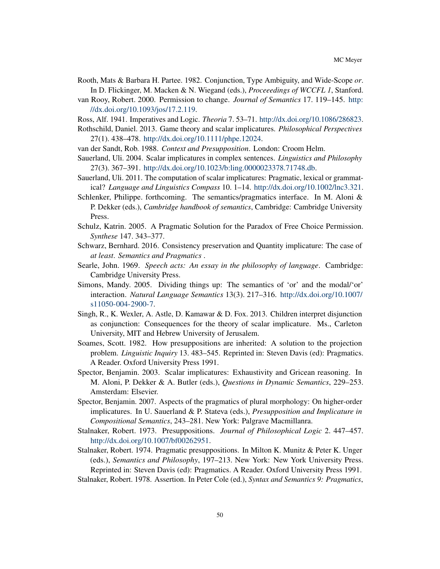- <span id="page-49-3"></span>Rooth, Mats & Barbara H. Partee. 1982. Conjunction, Type Ambiguity, and Wide-Scope *or*. In D. Flickinger, M. Macken & N. Wiegand (eds.), *Proceeedings of WCCFL 1*, Stanford.
- <span id="page-49-9"></span>van Rooy, Robert. 2000. Permission to change. *Journal of Semantics* 17. 119–145. [http:](http://dx.doi.org/10.1093/jos/17.2.119) [//dx.doi.org/10.1093/jos/17.2.119.](http://dx.doi.org/10.1093/jos/17.2.119)
- <span id="page-49-4"></span>Ross, Alf. 1941. Imperatives and Logic. *Theoria* 7. 53–71. [http://dx.doi.org/10.1086/286823.](http://dx.doi.org/10.1086/286823)
- <span id="page-49-12"></span>Rothschild, Daniel. 2013. Game theory and scalar implicatures. *Philosophical Perspectives* 27(1). 438–478. [http://dx.doi.org/10.1111/phpe.12024.](http://dx.doi.org/10.1111/phpe.12024)
- <span id="page-49-13"></span>van der Sandt, Rob. 1988. *Context and Presupposition*. London: Croom Helm.
- <span id="page-49-1"></span>Sauerland, Uli. 2004. Scalar implicatures in complex sentences. *Linguistics and Philosophy* 27(3). 367–391. [http://dx.doi.org/10.1023/b:ling.0000023378.71748.db.](http://dx.doi.org/10.1023/b:ling.0000023378.71748.db)
- <span id="page-49-16"></span>Sauerland, Uli. 2011. The computation of scalar implicatures: Pragmatic, lexical or grammatical? *Language and Linguistics Compass* 10. 1–14. [http://dx.doi.org/10.1002/lnc3.321.](http://dx.doi.org/10.1002/lnc3.321)
- <span id="page-49-11"></span>Schlenker, Philippe. forthcoming. The semantics/pragmatics interface. In M. Aloni & P. Dekker (eds.), *Cambridge handbook of semantics*, Cambridge: Cambridge University Press.
- <span id="page-49-10"></span>Schulz, Katrin. 2005. A Pragmatic Solution for the Paradox of Free Choice Permission. *Synthese* 147. 343–377.
- <span id="page-49-14"></span>Schwarz, Bernhard. 2016. Consistency preservation and Quantity implicature: The case of *at least*. *Semantics and Pragmatics* .
- <span id="page-49-5"></span>Searle, John. 1969. *Speech acts: An essay in the philosophy of language*. Cambridge: Cambridge University Press.
- <span id="page-49-0"></span>Simons, Mandy. 2005. Dividing things up: The semantics of 'or' and the modal/'or' interaction. *Natural Language Semantics* 13(3). 217–316. [http://dx.doi.org/10.1007/](http://dx.doi.org/10.1007/s11050-004-2900-7) [s11050-004-2900-7.](http://dx.doi.org/10.1007/s11050-004-2900-7)
- <span id="page-49-18"></span>Singh, R., K. Wexler, A. Astle, D. Kamawar & D. Fox. 2013. Children interpret disjunction as conjunction: Consequences for the theory of scalar implicature. Ms., Carleton University, MIT and Hebrew University of Jerusalem.
- <span id="page-49-2"></span>Soames, Scott. 1982. How presuppositions are inherited: A solution to the projection problem. *Linguistic Inquiry* 13. 483–545. Reprinted in: Steven Davis (ed): Pragmatics. A Reader. Oxford University Press 1991.
- <span id="page-49-15"></span>Spector, Benjamin. 2003. Scalar implicatures: Exhaustivity and Gricean reasoning. In M. Aloni, P. Dekker & A. Butler (eds.), *Questions in Dynamic Semantics*, 229–253. Amsterdam: Elsevier.
- <span id="page-49-17"></span>Spector, Benjamin. 2007. Aspects of the pragmatics of plural morphology: On higher-order implicatures. In U. Sauerland & P. Stateva (eds.), *Presupposition and Implicature in Compositional Semantics*, 243–281. New York: Palgrave Macmillanra.
- <span id="page-49-6"></span>Stalnaker, Robert. 1973. Presuppositions. *Journal of Philosophical Logic* 2. 447–457. [http://dx.doi.org/10.1007/bf00262951.](http://dx.doi.org/10.1007/bf00262951)
- <span id="page-49-7"></span>Stalnaker, Robert. 1974. Pragmatic presuppositions. In Milton K. Munitz & Peter K. Unger (eds.), *Semantics and Philosophy*, 197–213. New York: New York University Press. Reprinted in: Steven Davis (ed): Pragmatics. A Reader. Oxford University Press 1991.
- <span id="page-49-8"></span>Stalnaker, Robert. 1978. Assertion. In Peter Cole (ed.), *Syntax and Semantics 9: Pragmatics*,